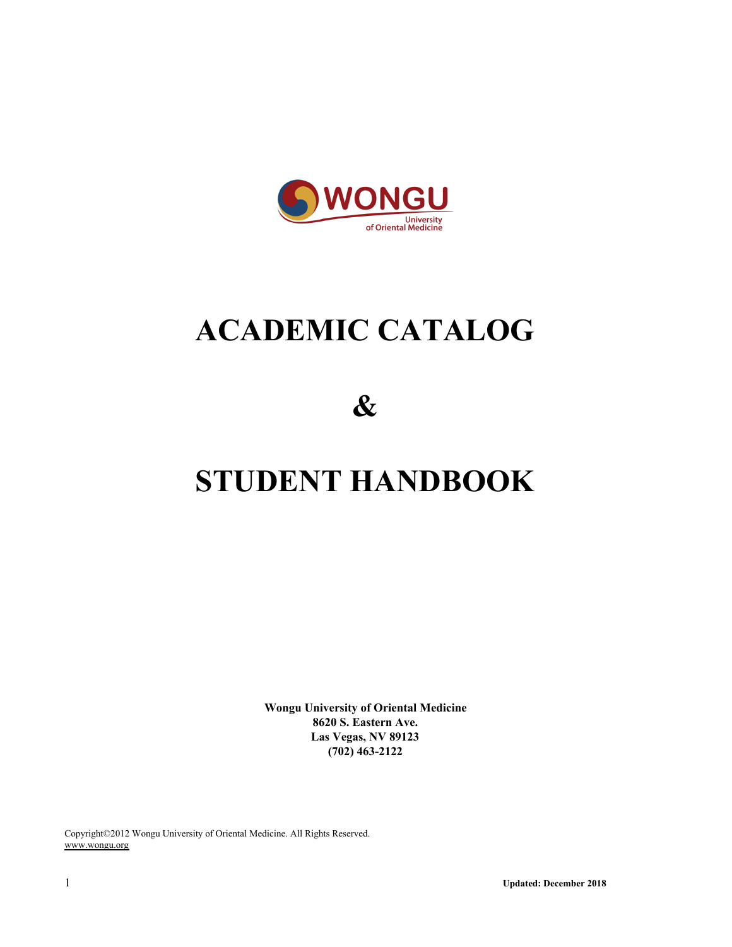

# **ACADEMIC CATALOG**

**&**

# **STUDENT HANDBOOK**

**Wongu University of Oriental Medicine 8620 S. Eastern Ave. Las Vegas, NV 89123 (702) 463-2122**

Copyright©2012 Wongu University of Oriental Medicine. All Rights Reserved. www.wongu.org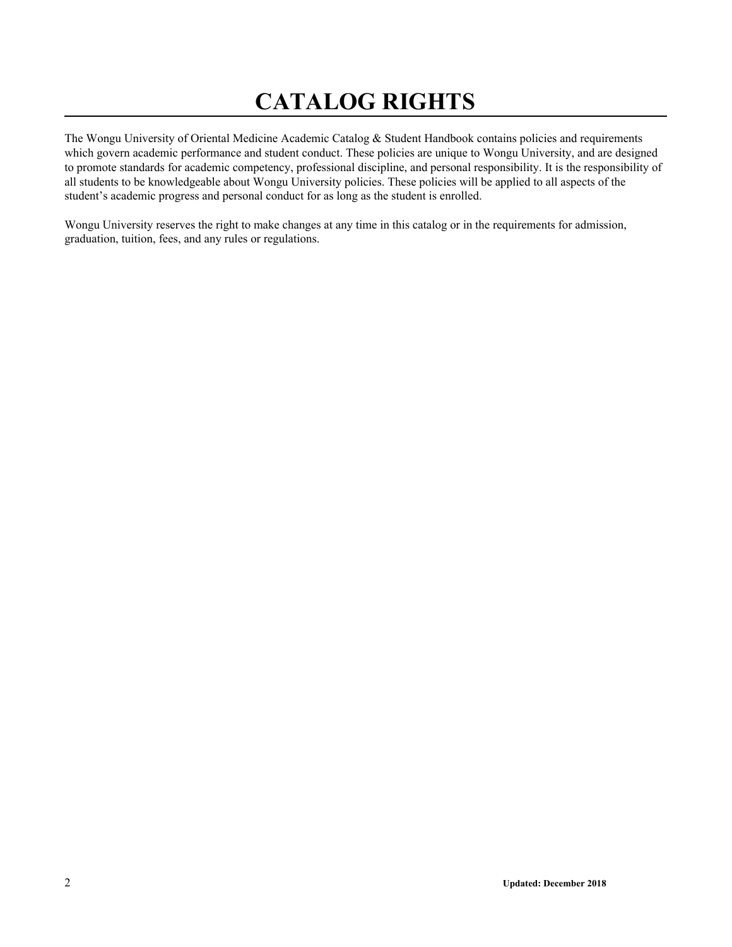# **CATALOG RIGHTS**

The Wongu University of Oriental Medicine Academic Catalog & Student Handbook contains policies and requirements which govern academic performance and student conduct. These policies are unique to Wongu University, and are designed to promote standards for academic competency, professional discipline, and personal responsibility. It is the responsibility of all students to be knowledgeable about Wongu University policies. These policies will be applied to all aspects of the student's academic progress and personal conduct for as long as the student is enrolled.

Wongu University reserves the right to make changes at any time in this catalog or in the requirements for admission, graduation, tuition, fees, and any rules or regulations.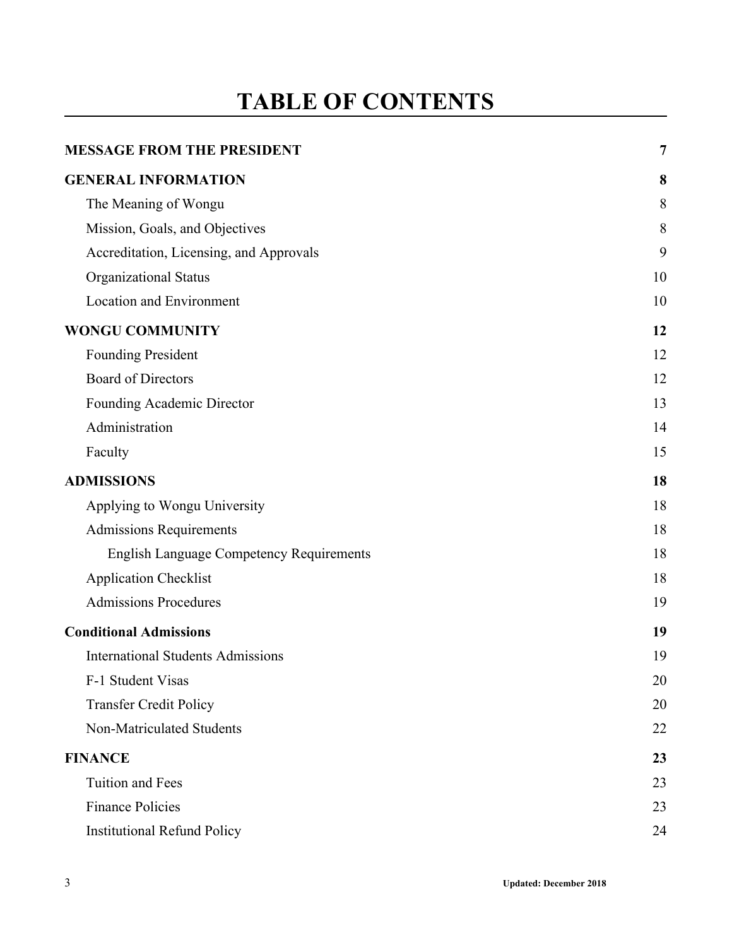# **TABLE OF CONTENTS**

| <b>MESSAGE FROM THE PRESIDENT</b>               | $\overline{7}$ |
|-------------------------------------------------|----------------|
| <b>GENERAL INFORMATION</b>                      | 8              |
| The Meaning of Wongu                            | 8              |
| Mission, Goals, and Objectives                  | 8              |
| Accreditation, Licensing, and Approvals         | 9              |
| <b>Organizational Status</b>                    | 10             |
| <b>Location and Environment</b>                 | 10             |
| <b>WONGU COMMUNITY</b>                          | 12             |
| <b>Founding President</b>                       | 12             |
| <b>Board of Directors</b>                       | 12             |
| Founding Academic Director                      | 13             |
| Administration                                  | 14             |
| Faculty                                         | 15             |
| <b>ADMISSIONS</b>                               | 18             |
| Applying to Wongu University                    | 18             |
| <b>Admissions Requirements</b>                  | 18             |
| <b>English Language Competency Requirements</b> | 18             |
| <b>Application Checklist</b>                    | 18             |
| <b>Admissions Procedures</b>                    | 19             |
| <b>Conditional Admissions</b>                   | 19             |
| <b>International Students Admissions</b>        | 19             |
| F-1 Student Visas                               | 20             |
| <b>Transfer Credit Policy</b>                   | 20             |
| Non-Matriculated Students                       | 22             |
| <b>FINANCE</b>                                  | 23             |
| Tuition and Fees                                | 23             |
| <b>Finance Policies</b>                         | 23             |
| <b>Institutional Refund Policy</b>              | 24             |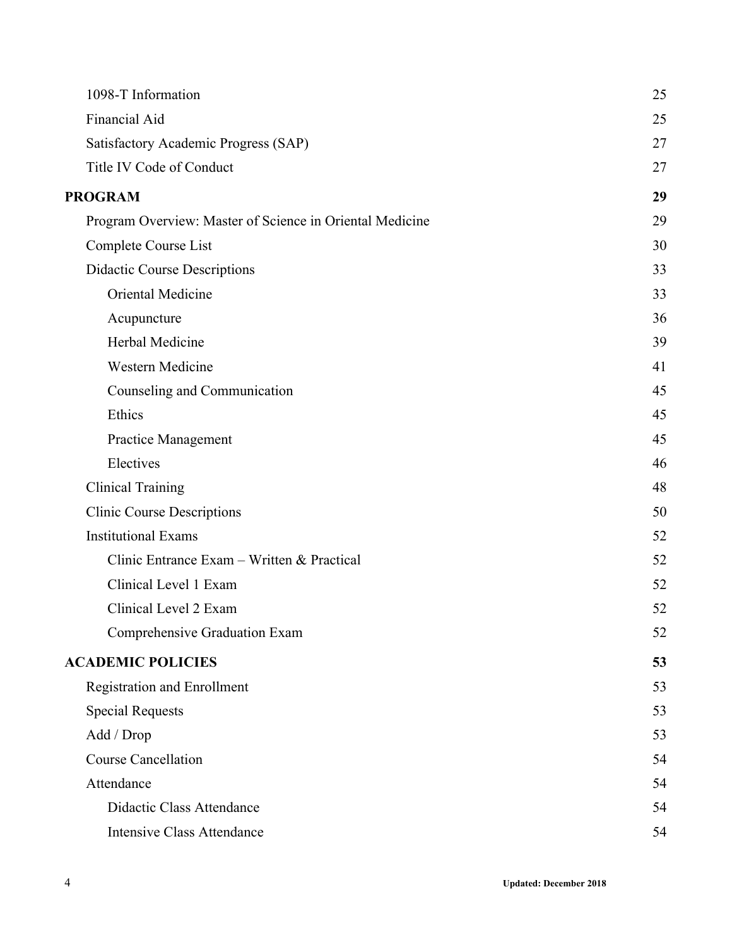| 1098-T Information                                       | 25 |
|----------------------------------------------------------|----|
| Financial Aid                                            | 25 |
| Satisfactory Academic Progress (SAP)                     | 27 |
| Title IV Code of Conduct                                 | 27 |
| <b>PROGRAM</b>                                           | 29 |
| Program Overview: Master of Science in Oriental Medicine | 29 |
| Complete Course List                                     | 30 |
| <b>Didactic Course Descriptions</b>                      | 33 |
| Oriental Medicine                                        | 33 |
| Acupuncture                                              | 36 |
| Herbal Medicine                                          | 39 |
| Western Medicine                                         | 41 |
| Counseling and Communication                             | 45 |
| Ethics                                                   | 45 |
| <b>Practice Management</b>                               | 45 |
| Electives                                                | 46 |
| <b>Clinical Training</b>                                 | 48 |
| <b>Clinic Course Descriptions</b>                        | 50 |
| <b>Institutional Exams</b>                               | 52 |
| Clinic Entrance Exam - Written & Practical               | 52 |
| Clinical Level 1 Exam                                    | 52 |
| Clinical Level 2 Exam                                    | 52 |
| Comprehensive Graduation Exam                            | 52 |
| <b>ACADEMIC POLICIES</b>                                 | 53 |
| <b>Registration and Enrollment</b>                       | 53 |
| <b>Special Requests</b>                                  | 53 |
| Add / Drop                                               | 53 |
| <b>Course Cancellation</b>                               | 54 |
| Attendance                                               | 54 |
| Didactic Class Attendance                                | 54 |
| <b>Intensive Class Attendance</b>                        | 54 |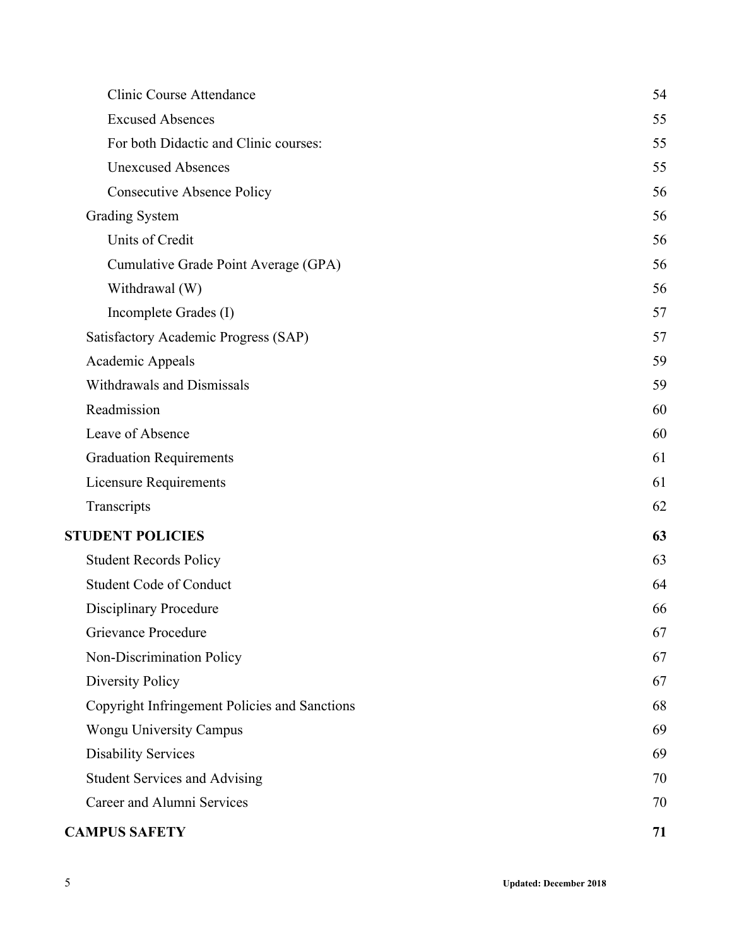| Clinic Course Attendance                      | 54 |
|-----------------------------------------------|----|
| <b>Excused Absences</b>                       | 55 |
| For both Didactic and Clinic courses:         | 55 |
| <b>Unexcused Absences</b>                     | 55 |
| <b>Consecutive Absence Policy</b>             | 56 |
| <b>Grading System</b>                         | 56 |
| Units of Credit                               | 56 |
| Cumulative Grade Point Average (GPA)          | 56 |
| Withdrawal (W)                                | 56 |
| Incomplete Grades (I)                         | 57 |
| Satisfactory Academic Progress (SAP)          | 57 |
| Academic Appeals                              | 59 |
| Withdrawals and Dismissals                    | 59 |
| Readmission                                   | 60 |
| Leave of Absence                              | 60 |
| <b>Graduation Requirements</b>                | 61 |
| Licensure Requirements                        | 61 |
| Transcripts                                   | 62 |
| <b>STUDENT POLICIES</b>                       | 63 |
| <b>Student Records Policy</b>                 | 63 |
| <b>Student Code of Conduct</b>                | 64 |
| <b>Disciplinary Procedure</b>                 | 66 |
| Grievance Procedure                           | 67 |
| Non-Discrimination Policy                     | 67 |
| <b>Diversity Policy</b>                       | 67 |
| Copyright Infringement Policies and Sanctions | 68 |
| Wongu University Campus                       | 69 |
| <b>Disability Services</b>                    | 69 |
| <b>Student Services and Advising</b>          | 70 |
| Career and Alumni Services                    | 70 |
| <b>CAMPUS SAFETY</b>                          | 71 |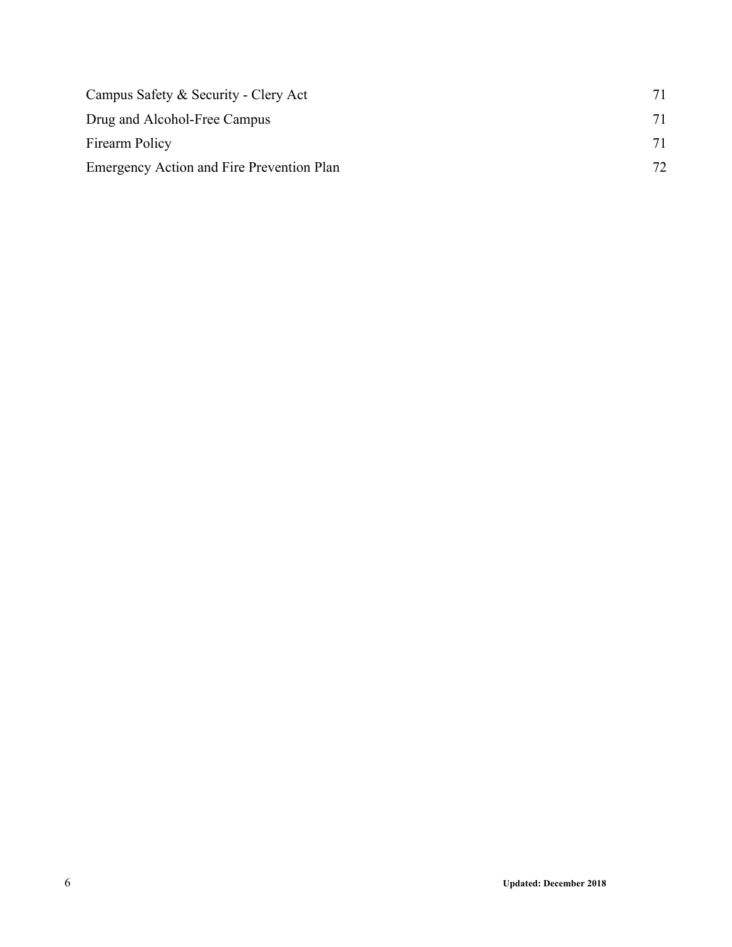| Campus Safety & Security - Clery Act      | 71 |
|-------------------------------------------|----|
| Drug and Alcohol-Free Campus              | 71 |
| Firearm Policy                            | 71 |
| Emergency Action and Fire Prevention Plan | 72 |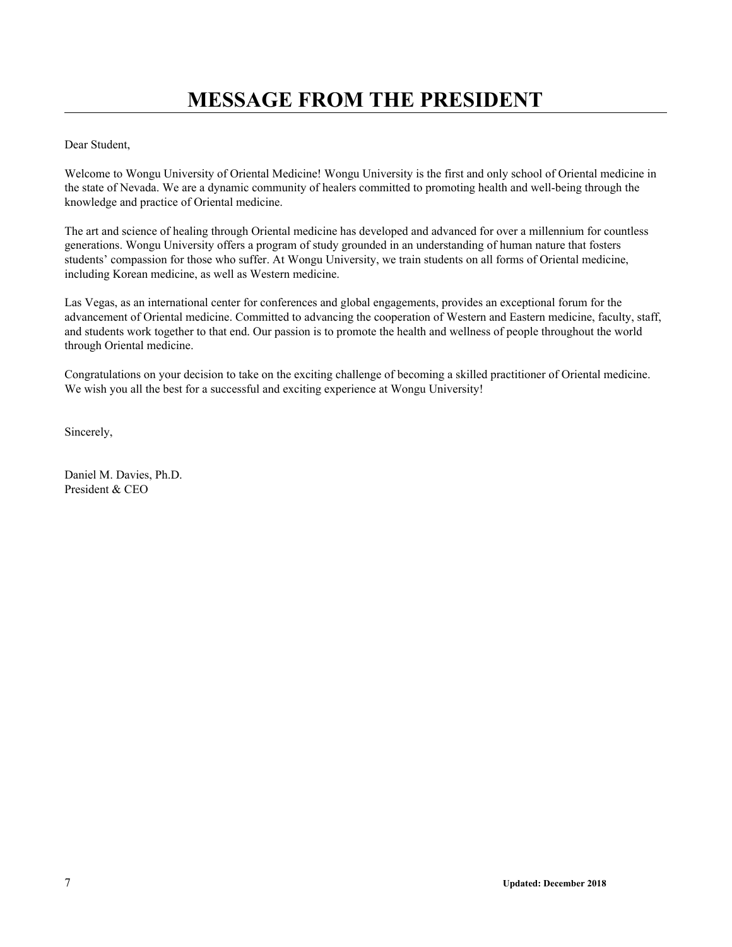<span id="page-6-0"></span>Dear Student,

Welcome to Wongu University of Oriental Medicine! Wongu University is the first and only school of Oriental medicine in the state of Nevada. We are a dynamic community of healers committed to promoting health and well-being through the knowledge and practice of Oriental medicine.

The art and science of healing through Oriental medicine has developed and advanced for over a millennium for countless generations. Wongu University offers a program of study grounded in an understanding of human nature that fosters students' compassion for those who suffer. At Wongu University, we train students on all forms of Oriental medicine, including Korean medicine, as well as Western medicine.

Las Vegas, as an international center for conferences and global engagements, provides an exceptional forum for the advancement of Oriental medicine. Committed to advancing the cooperation of Western and Eastern medicine, faculty, staff, and students work together to that end. Our passion is to promote the health and wellness of people throughout the world through Oriental medicine.

Congratulations on your decision to take on the exciting challenge of becoming a skilled practitioner of Oriental medicine. We wish you all the best for a successful and exciting experience at Wongu University!

Sincerely,

Daniel M. Davies, Ph.D. President & CEO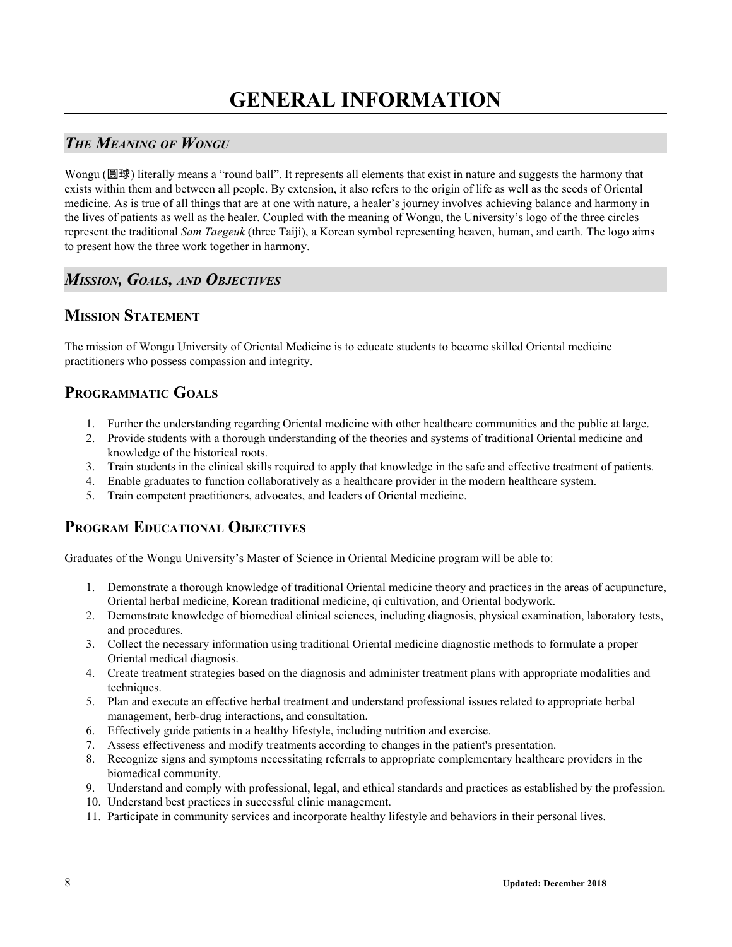# <span id="page-7-1"></span><span id="page-7-0"></span>*THE MEANING OF WONGU*

Wongu (圓球) literally means a "round ball". It represents all elements that exist in nature and suggests the harmony that exists within them and between all people. By extension, it also refers to the origin of life as well as the seeds of Oriental medicine. As is true of all things that are at one with nature, a healer's journey involves achieving balance and harmony in the lives of patients as well as the healer. Coupled with the meaning of Wongu, the University's logo of the three circles represent the traditional *Sam Taegeuk* (three Taiji), a Korean symbol representing heaven, human, and earth. The logo aims to present how the three work together in harmony.

# <span id="page-7-2"></span>*MISSION, GOALS, AND OBJECTIVES*

## **MISSION STATEMENT**

The mission of Wongu University of Oriental Medicine is to educate students to become skilled Oriental medicine practitioners who possess compassion and integrity.

# **PROGRAMMATIC GOALS**

- 1. Further the understanding regarding Oriental medicine with other healthcare communities and the public at large.
- 2. Provide students with a thorough understanding of the theories and systems of traditional Oriental medicine and knowledge of the historical roots.
- 3. Train students in the clinical skills required to apply that knowledge in the safe and effective treatment of patients.
- 4. Enable graduates to function collaboratively as a healthcare provider in the modern healthcare system.
- 5. Train competent practitioners, advocates, and leaders of Oriental medicine.

# **PROGRAM EDUCATIONAL OBJECTIVES**

Graduates of the Wongu University's Master of Science in Oriental Medicine program will be able to:

- 1. Demonstrate a thorough knowledge of traditional Oriental medicine theory and practices in the areas of acupuncture, Oriental herbal medicine, Korean traditional medicine, qi cultivation, and Oriental bodywork.
- 2. Demonstrate knowledge of biomedical clinical sciences, including diagnosis, physical examination, laboratory tests, and procedures.
- 3. Collect the necessary information using traditional Oriental medicine diagnostic methods to formulate a proper Oriental medical diagnosis.
- 4. Create treatment strategies based on the diagnosis and administer treatment plans with appropriate modalities and techniques.
- 5. Plan and execute an effective herbal treatment and understand professional issues related to appropriate herbal management, herb-drug interactions, and consultation.
- 6. Effectively guide patients in a healthy lifestyle, including nutrition and exercise.
- 7. Assess effectiveness and modify treatments according to changes in the patient's presentation.
- 8. Recognize signs and symptoms necessitating referrals to appropriate complementary healthcare providers in the biomedical community.
- 9. Understand and comply with professional, legal, and ethical standards and practices as established by the profession.
- 10. Understand best practices in successful clinic management.
- 11. Participate in community services and incorporate healthy lifestyle and behaviors in their personal lives.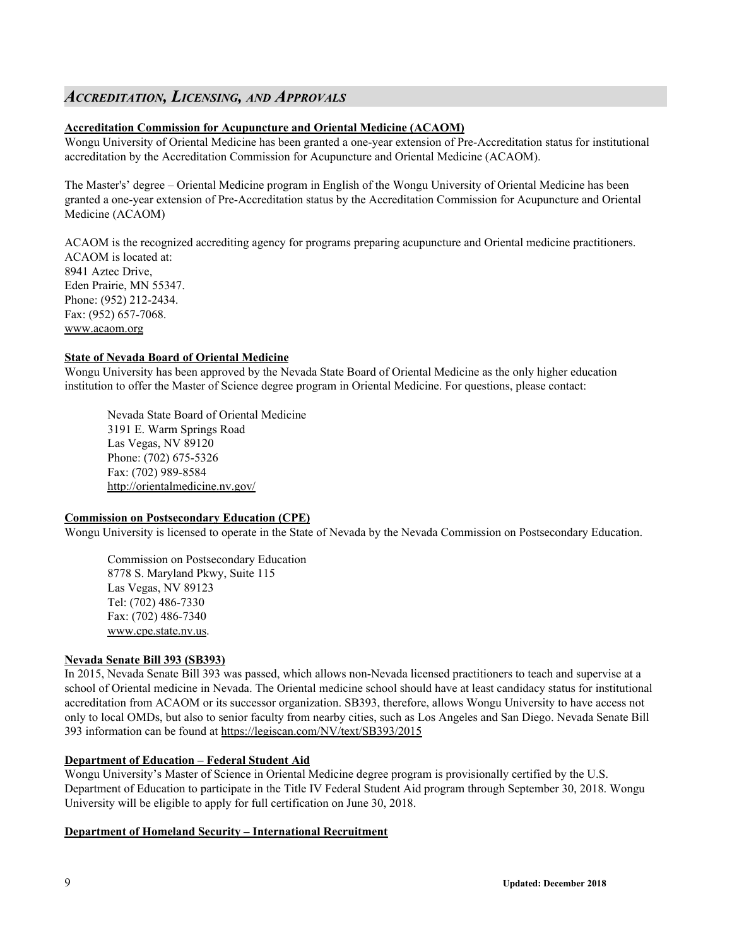### <span id="page-8-0"></span>*ACCREDITATION, LICENSING, AND APPROVALS*

#### **Accreditation Commission for Acupuncture and Oriental Medicine (ACAOM)**

Wongu University of Oriental Medicine has been granted a one-year extension of Pre-Accreditation status for institutional accreditation by the Accreditation Commission for Acupuncture and Oriental Medicine (ACAOM).

The Master's' degree – Oriental Medicine program in English of the Wongu University of Oriental Medicine has been granted a one-year extension of Pre-Accreditation status by the Accreditation Commission for Acupuncture and Oriental Medicine (ACAOM)

ACAOM is the recognized accrediting agency for programs preparing acupuncture and Oriental medicine practitioners. ACAOM is located at: 8941 Aztec Drive, Eden Prairie, MN 55347. Phone: (952) 212-2434. Fax: (952) 657-7068.

www.acaom.org

#### **State of Nevada Board of Oriental Medicine**

Wongu University has been approved by the Nevada State Board of Oriental Medicine as the only higher education institution to offer the Master of Science degree program in Oriental Medicine. For questions, please contact:

Nevada State Board of Oriental Medicine 3191 E. Warm Springs Road Las Vegas, NV 89120 Phone: (702) 675-5326 Fax: (702) 989-8584 http://orientalmedicine.nv.gov/

#### **Commission on Postsecondary Education (CPE)**

Wongu University is licensed to operate in the State of Nevada by the Nevada Commission on Postsecondary Education.

Commission on Postsecondary Education 8778 S. Maryland Pkwy, Suite 115 Las Vegas, NV 89123 Tel: (702) 486-7330 Fax: (702) 486-7340 www.cpe.state.nv.us.

#### **Nevada Senate Bill 393 (SB393)**

In 2015, Nevada Senate Bill 393 was passed, which allows non-Nevada licensed practitioners to teach and supervise at a school of Oriental medicine in Nevada. The Oriental medicine school should have at least candidacy status for institutional accreditation from ACAOM or its successor organization. SB393, therefore, allows Wongu University to have access not only to local OMDs, but also to senior faculty from nearby cities, such as Los Angeles and San Diego. Nevada Senate Bill 393 information can be found at <https://legiscan.com/NV/text/SB393/2015>

#### **Department of Education – Federal Student Aid**

Wongu University's Master of Science in Oriental Medicine degree program is provisionally certified by the U.S. Department of Education to participate in the Title IV Federal Student Aid program through September 30, 2018. Wongu University will be eligible to apply for full certification on June 30, 2018.

#### **Department of Homeland Security – International Recruitment**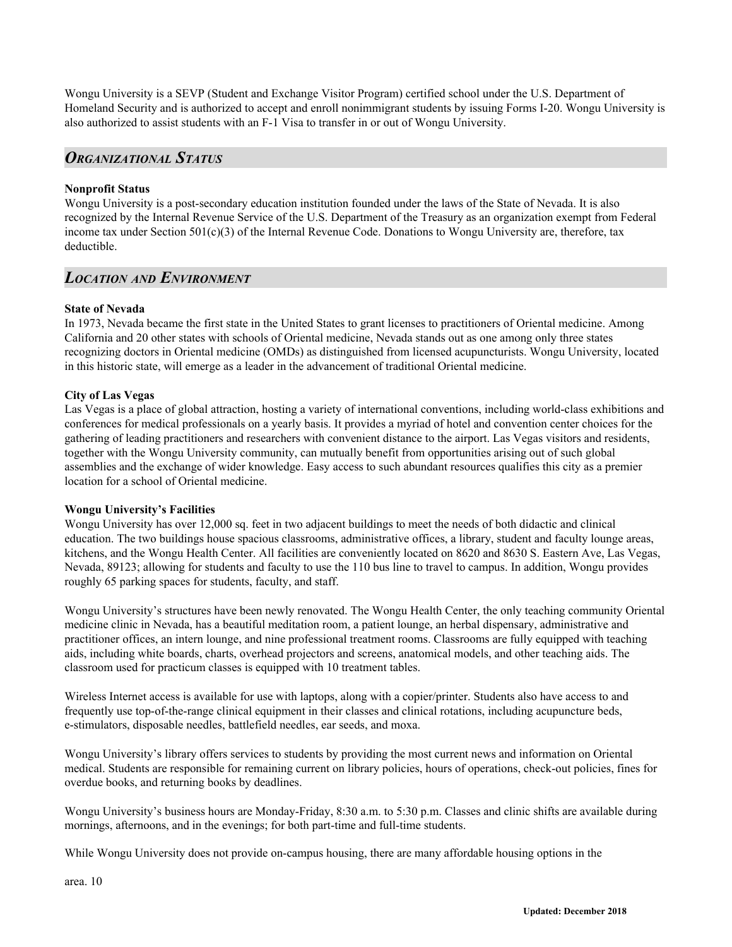Wongu University is a SEVP (Student and Exchange Visitor Program) certified school under the U.S. Department of Homeland Security and is authorized to accept and enroll nonimmigrant students by issuing Forms I-20. Wongu University is also authorized to assist students with an F-1 Visa to transfer in or out of Wongu University.

### <span id="page-9-0"></span>*ORGANIZATIONAL STATUS*

#### **Nonprofit Status**

Wongu University is a post-secondary education institution founded under the laws of the State of Nevada. It is also recognized by the Internal Revenue Service of the U.S. Department of the Treasury as an organization exempt from Federal income tax under Section 501(c)(3) of the Internal Revenue Code. Donations to Wongu University are, therefore, tax deductible.

### <span id="page-9-1"></span>*LOCATION AND ENVIRONMENT*

#### **State of Nevada**

In 1973, Nevada became the first state in the United States to grant licenses to practitioners of Oriental medicine. Among California and 20 other states with schools of Oriental medicine, Nevada stands out as one among only three states recognizing doctors in Oriental medicine (OMDs) as distinguished from licensed acupuncturists. Wongu University, located in this historic state, will emerge as a leader in the advancement of traditional Oriental medicine.

#### **City of Las Vegas**

Las Vegas is a place of global attraction, hosting a variety of international conventions, including world-class exhibitions and conferences for medical professionals on a yearly basis. It provides a myriad of hotel and convention center choices for the gathering of leading practitioners and researchers with convenient distance to the airport. Las Vegas visitors and residents, together with the Wongu University community, can mutually benefit from opportunities arising out of such global assemblies and the exchange of wider knowledge. Easy access to such abundant resources qualifies this city as a premier location for a school of Oriental medicine.

#### **Wongu University's Facilities**

Wongu University has over 12,000 sq. feet in two adjacent buildings to meet the needs of both didactic and clinical education. The two buildings house spacious classrooms, administrative offices, a library, student and faculty lounge areas, kitchens, and the Wongu Health Center. All facilities are conveniently located on 8620 and 8630 S. Eastern Ave, Las Vegas, Nevada, 89123; allowing for students and faculty to use the 110 bus line to travel to campus. In addition, Wongu provides roughly 65 parking spaces for students, faculty, and staff.

Wongu University's structures have been newly renovated. The Wongu Health Center, the only teaching community Oriental medicine clinic in Nevada, has a beautiful meditation room, a patient lounge, an herbal dispensary, administrative and practitioner offices, an intern lounge, and nine professional treatment rooms. Classrooms are fully equipped with teaching aids, including white boards, charts, overhead projectors and screens, anatomical models, and other teaching aids. The classroom used for practicum classes is equipped with 10 treatment tables.

Wireless Internet access is available for use with laptops, along with a copier/printer. Students also have access to and frequently use top-of-the-range clinical equipment in their classes and clinical rotations, including acupuncture beds, e-stimulators, disposable needles, battlefield needles, ear seeds, and moxa.

Wongu University's library offers services to students by providing the most current news and information on Oriental medical. Students are responsible for remaining current on library policies, hours of operations, check-out policies, fines for overdue books, and returning books by deadlines.

Wongu University's business hours are Monday-Friday, 8:30 a.m. to 5:30 p.m. Classes and clinic shifts are available during mornings, afternoons, and in the evenings; for both part-time and full-time students.

While Wongu University does not provide on-campus housing, there are many affordable housing options in the

area. 10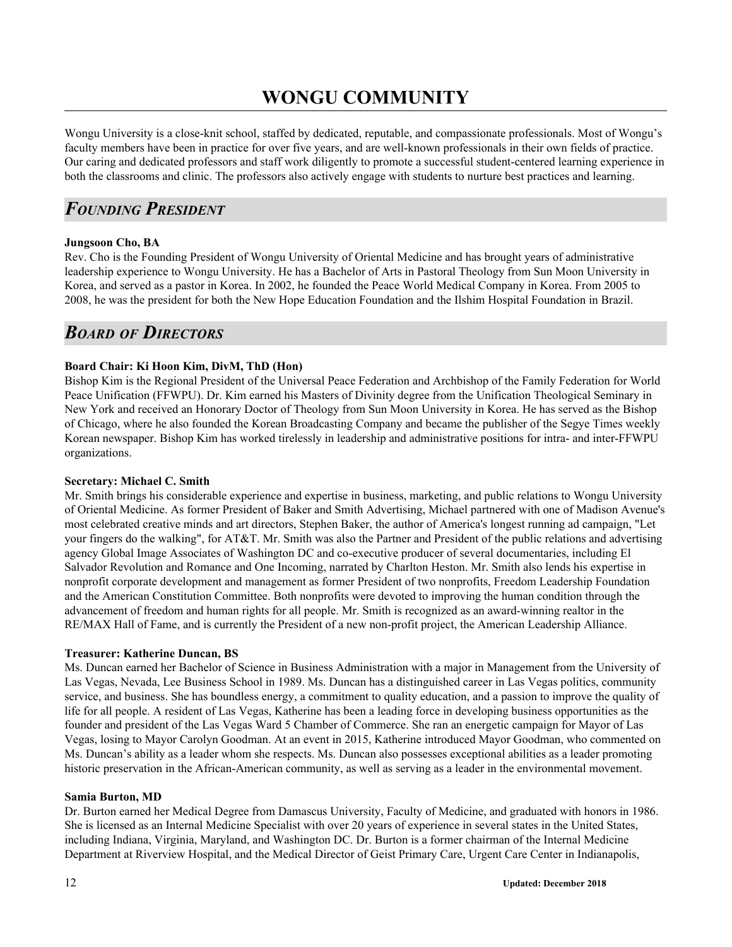# **WONGU COMMUNITY**

<span id="page-11-0"></span>Wongu University is a close-knit school, staffed by dedicated, reputable, and compassionate professionals. Most of Wongu's faculty members have been in practice for over five years, and are well-known professionals in their own fields of practice. Our caring and dedicated professors and staff work diligently to promote a successful student-centered learning experience in both the classrooms and clinic. The professors also actively engage with students to nurture best practices and learning.

# <span id="page-11-1"></span>*FOUNDING PRESIDENT*

#### **Jungsoon Cho, BA**

Rev. Cho is the Founding President of Wongu University of Oriental Medicine and has brought years of administrative leadership experience to Wongu University. He has a Bachelor of Arts in Pastoral Theology from Sun Moon University in Korea, and served as a pastor in Korea. In 2002, he founded the Peace World Medical Company in Korea. From 2005 to 2008, he was the president for both the New Hope Education Foundation and the Ilshim Hospital Foundation in Brazil.

# <span id="page-11-2"></span>*BOARD OF DIRECTORS*

#### **Board Chair: Ki Hoon Kim, DivM, ThD (Hon)**

Bishop Kim is the Regional President of the Universal Peace Federation and Archbishop of the Family Federation for World Peace Unification (FFWPU). Dr. Kim earned his Masters of Divinity degree from the Unification Theological Seminary in New York and received an Honorary Doctor of Theology from Sun Moon University in Korea. He has served as the Bishop of Chicago, where he also founded the Korean Broadcasting Company and became the publisher of the Segye Times weekly Korean newspaper. Bishop Kim has worked tirelessly in leadership and administrative positions for intra- and inter-FFWPU organizations.

#### **Secretary: Michael C. Smith**

Mr. Smith brings his considerable experience and expertise in business, marketing, and public relations to Wongu University of Oriental Medicine. As former President of Baker and Smith Advertising, Michael partnered with one of Madison Avenue's most celebrated creative minds and art directors, Stephen Baker, the author of America's longest running ad campaign, "Let your fingers do the walking", for AT&T. Mr. Smith was also the Partner and President of the public relations and advertising agency Global Image Associates of Washington DC and co-executive producer of several documentaries, including El Salvador Revolution and Romance and One Incoming, narrated by Charlton Heston. Mr. Smith also lends his expertise in nonprofit corporate development and management as former President of two nonprofits, Freedom Leadership Foundation and the American Constitution Committee. Both nonprofits were devoted to improving the human condition through the advancement of freedom and human rights for all people. Mr. Smith is recognized as an award-winning realtor in the RE/MAX Hall of Fame, and is currently the President of a new non-profit project, the American Leadership Alliance.

#### **Treasurer: Katherine Duncan, BS**

Ms. Duncan earned her Bachelor of Science in Business Administration with a major in Management from the University of Las Vegas, Nevada, Lee Business School in 1989. Ms. Duncan has a distinguished career in Las Vegas politics, community service, and business. She has boundless energy, a commitment to quality education, and a passion to improve the quality of life for all people. A resident of Las Vegas, Katherine has been a leading force in developing business opportunities as the founder and president of the Las Vegas Ward 5 Chamber of Commerce. She ran an energetic campaign for Mayor of Las Vegas, losing to Mayor Carolyn Goodman. At an event in 2015, Katherine introduced Mayor Goodman, who commented on Ms. Duncan's ability as a leader whom she respects. Ms. Duncan also possesses exceptional abilities as a leader promoting historic preservation in the African-American community, as well as serving as a leader in the environmental movement.

#### **Samia Burton, MD**

Dr. Burton earned her Medical Degree from Damascus University, Faculty of Medicine, and graduated with honors in 1986. She is licensed as an Internal Medicine Specialist with over 20 years of experience in several states in the United States, including Indiana, Virginia, Maryland, and Washington DC. Dr. Burton is a former chairman of the Internal Medicine Department at Riverview Hospital, and the Medical Director of Geist Primary Care, Urgent Care Center in Indianapolis,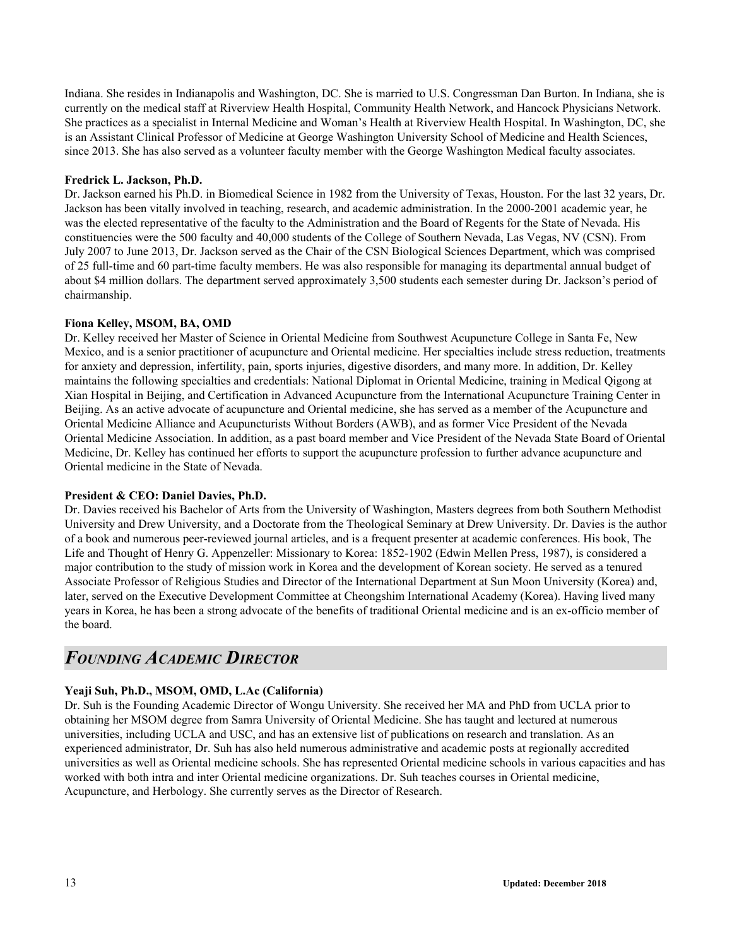Indiana. She resides in Indianapolis and Washington, DC. She is married to U.S. Congressman Dan Burton. In Indiana, she is currently on the medical staff at Riverview Health Hospital, Community Health Network, and Hancock Physicians Network. She practices as a specialist in Internal Medicine and Woman's Health at Riverview Health Hospital. In Washington, DC, she is an Assistant Clinical Professor of Medicine at George Washington University School of Medicine and Health Sciences, since 2013. She has also served as a volunteer faculty member with the George Washington Medical faculty associates.

#### **Fredrick L. Jackson, Ph.D.**

Dr. Jackson earned his Ph.D. in Biomedical Science in 1982 from the University of Texas, Houston. For the last 32 years, Dr. Jackson has been vitally involved in teaching, research, and academic administration. In the 2000-2001 academic year, he was the elected representative of the faculty to the Administration and the Board of Regents for the State of Nevada. His constituencies were the 500 faculty and 40,000 students of the College of Southern Nevada, Las Vegas, NV (CSN). From July 2007 to June 2013, Dr. Jackson served as the Chair of the CSN Biological Sciences Department, which was comprised of 25 full-time and 60 part-time faculty members. He was also responsible for managing its departmental annual budget of about \$4 million dollars. The department served approximately 3,500 students each semester during Dr. Jackson's period of chairmanship.

#### **Fiona Kelley, MSOM, BA, OMD**

Dr. Kelley received her Master of Science in Oriental Medicine from Southwest Acupuncture College in Santa Fe, New Mexico, and is a senior practitioner of acupuncture and Oriental medicine. Her specialties include stress reduction, treatments for anxiety and depression, infertility, pain, sports injuries, digestive disorders, and many more. In addition, Dr. Kelley maintains the following specialties and credentials: National Diplomat in Oriental Medicine, training in Medical Qigong at Xian Hospital in Beijing, and Certification in Advanced Acupuncture from the International Acupuncture Training Center in Beijing. As an active advocate of acupuncture and Oriental medicine, she has served as a member of the Acupuncture and Oriental Medicine Alliance and Acupuncturists Without Borders (AWB), and as former Vice President of the Nevada Oriental Medicine Association. In addition, as a past board member and Vice President of the Nevada State Board of Oriental Medicine, Dr. Kelley has continued her efforts to support the acupuncture profession to further advance acupuncture and Oriental medicine in the State of Nevada.

#### **President & CEO: Daniel Davies, Ph.D.**

Dr. Davies received his Bachelor of Arts from the University of Washington, Masters degrees from both Southern Methodist University and Drew University, and a Doctorate from the Theological Seminary at Drew University. Dr. Davies is the author of a book and numerous peer-reviewed journal articles, and is a frequent presenter at academic conferences. His book, The Life and Thought of Henry G. Appenzeller: Missionary to Korea: 1852-1902 (Edwin Mellen Press, 1987), is considered a major contribution to the study of mission work in Korea and the development of Korean society. He served as a tenured Associate Professor of Religious Studies and Director of the International Department at Sun Moon University (Korea) and, later, served on the Executive Development Committee at Cheongshim International Academy (Korea). Having lived many years in Korea, he has been a strong advocate of the benefits of traditional Oriental medicine and is an ex-officio member of the board.

# <span id="page-12-0"></span>*FOUNDING ACADEMIC DIRECTOR*

#### **Yeaji Suh, Ph.D., MSOM, OMD, L.Ac (California)**

Dr. Suh is the Founding Academic Director of Wongu University. She received her MA and PhD from UCLA prior to obtaining her MSOM degree from Samra University of Oriental Medicine. She has taught and lectured at numerous universities, including UCLA and USC, and has an extensive list of publications on research and translation. As an experienced administrator, Dr. Suh has also held numerous administrative and academic posts at regionally accredited universities as well as Oriental medicine schools. She has represented Oriental medicine schools in various capacities and has worked with both intra and inter Oriental medicine organizations. Dr. Suh teaches courses in Oriental medicine, Acupuncture, and Herbology. She currently serves as the Director of Research.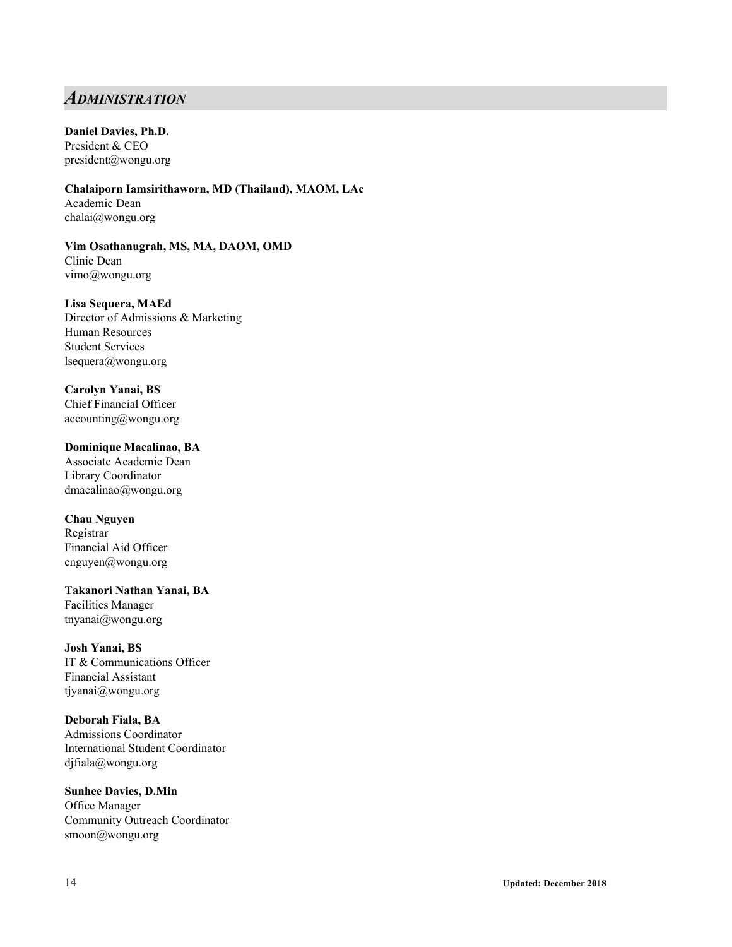## <span id="page-13-0"></span>*ADMINISTRATION*

#### **Daniel Davies, Ph.D.**

President & CEO [pr](mailto:president@wongu.org)esident@wongu.org

**Chalaiporn Iamsirithaworn, MD (Thailand), MAOM, LAc** Academic Dean chalai@wongu.org

#### **Vim Osathanugrah, MS, MA, DAOM, OMD** Clinic Dean vimo@wongu.org

#### **Lisa Sequera, MAEd**

Director of Admissions & Marketing Human Resources Student Services lsequera@wongu.org

### **Carolyn Yanai, BS**

Chief Financial Officer accounting@wongu.org

#### **Dominique Macalinao, BA**

Associate Academic Dean Library Coordinator dmacalinao@wongu.org

#### **Chau Nguyen**

Registrar Financial Aid Officer cnguyen@wongu.org

#### **Takanori Nathan Yanai, BA** Facilities Manager tnyanai@wongu.org

**Josh Yanai, BS** IT & Communications Officer Financial Assistant tjyanai@wongu.org

#### **Deborah Fiala, BA**

Admissions Coordinator International Student Coordinator djfiala@wongu.org

## **Sunhee Davies, D.Min**

Office Manager Community Outreach Coordinator smoon@wongu.org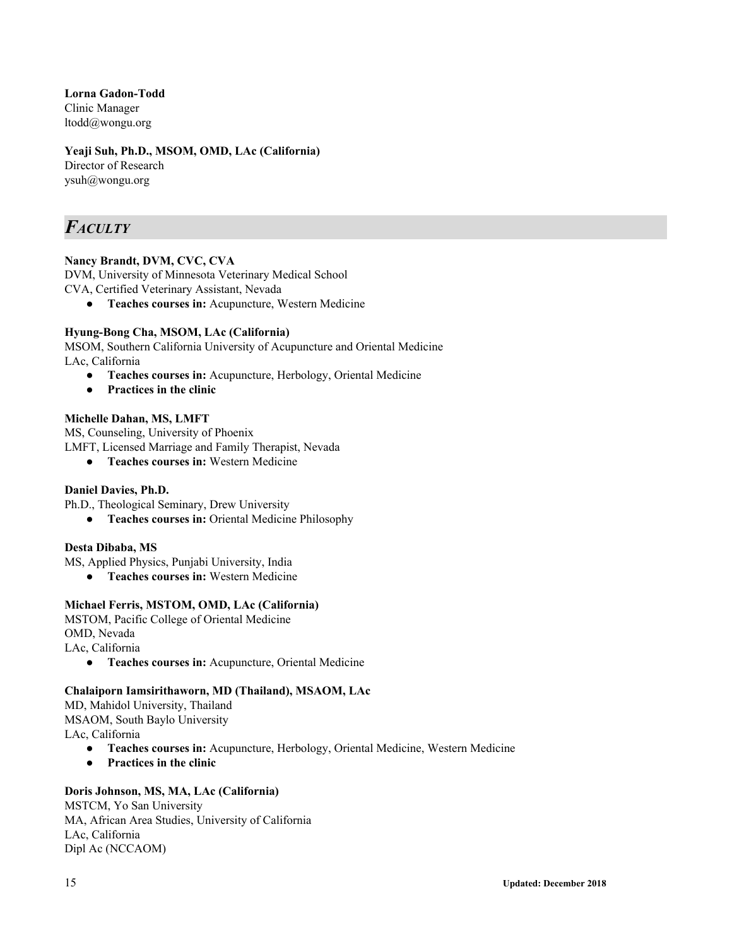**Lorna Gadon-Todd** Clinic Manager [ltodd@wongu.org](mailto:ltodd@wongu.org)

#### **Yeaji Suh, Ph.D., MSOM, OMD, LAc (California)**

Director of Research ysuh@wongu.org

# <span id="page-14-0"></span>*FACULTY*

#### **Nancy Brandt, DVM, CVC, CVA**

DVM, University of Minnesota Veterinary Medical School

CVA, Certified Veterinary Assistant, Nevada

● **Teaches courses in:** Acupuncture, Western Medicine

#### **Hyung-Bong Cha, MSOM, LAc (California)**

MSOM, Southern California University of Acupuncture and Oriental Medicine LAc, California

- **● Teaches courses in:** Acupuncture, Herbology, Oriental Medicine
- **Practices in the clinic**

#### **Michelle Dahan, MS, LMFT**

MS, Counseling, University of Phoenix

LMFT, Licensed Marriage and Family Therapist, Nevada

**● Teaches courses in:** Western Medicine

#### **Daniel Davies, Ph.D.**

Ph.D., Theological Seminary, Drew University

**● Teaches courses in:** Oriental Medicine Philosophy

#### **Desta Dibaba, MS**

MS, Applied Physics, Punjabi University, India

**● Teaches courses in:** Western Medicine

#### **Michael Ferris, MSTOM, OMD, LAc (California)**

MSTOM, Pacific College of Oriental Medicine OMD, Nevada LAc, California ● **Teaches courses in:** Acupuncture, Oriental Medicine

#### **Chalaiporn Iamsirithaworn, MD (Thailand), MSAOM, LAc**

MD, Mahidol University, Thailand MSAOM, South Baylo University LAc, California

- **Teaches courses in:** Acupuncture, Herbology, Oriental Medicine, Western Medicine
- **Practices in the clinic**

# **Doris Johnson, MS, MA, LAc (California)**

MSTCM, Yo San University MA, African Area Studies, University of California LAc, California Dipl Ac (NCCAOM)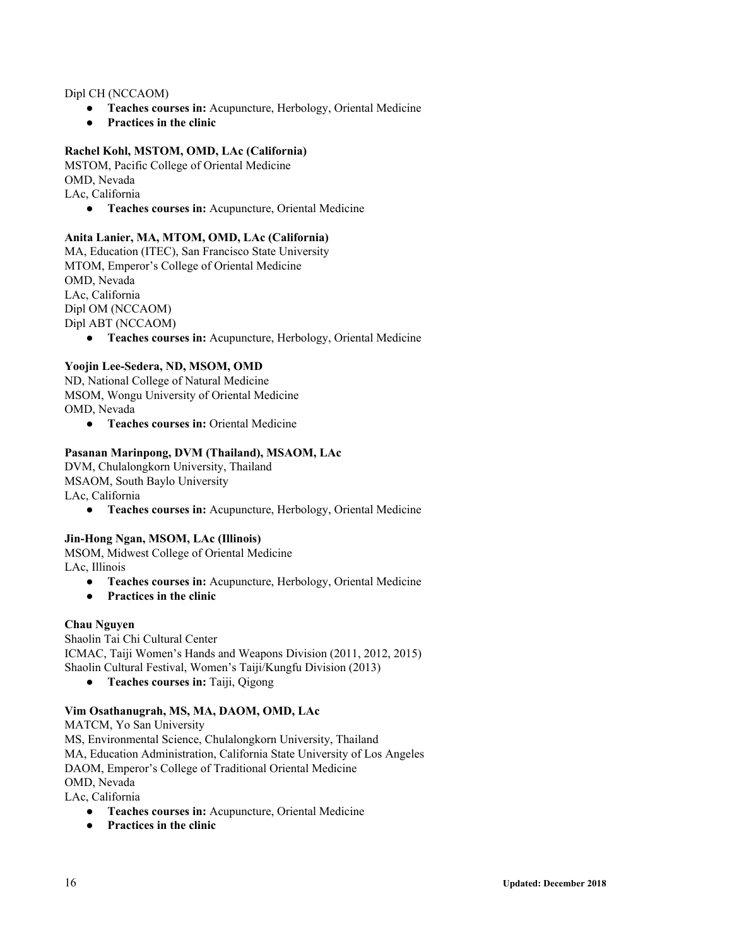#### Dipl CH (NCCAOM)

- **● Teaches courses in:** Acupuncture, Herbology, Oriental Medicine
- **● Practices in the clinic**

#### **Rachel Kohl, MSTOM, OMD, LAc (California)**

MSTOM, Pacific College of Oriental Medicine OMD, Nevada LAc, California

**● Teaches courses in:** Acupuncture, Oriental Medicine

#### **Anita Lanier, MA, MTOM, OMD, LAc (California)**

MA, Education (ITEC), San Francisco State University MTOM, Emperor's College of Oriental Medicine OMD, Nevada LAc, California Dipl OM (NCCAOM) Dipl ABT (NCCAOM)

**● Teaches courses in:** Acupuncture, Herbology, Oriental Medicine

#### **Yoojin Lee-Sedera, ND, MSOM, OMD**

ND, National College of Natural Medicine MSOM, Wongu University of Oriental Medicine OMD, Nevada

**● Teaches courses in:** Oriental Medicine

#### **Pasanan Marinpong, DVM (Thailand), MSAOM, LAc**

DVM, Chulalongkorn University, Thailand MSAOM, South Baylo University LAc, California

● **Teaches courses in:** Acupuncture, Herbology, Oriental Medicine

#### **Jin-Hong Ngan, MSOM, LAc (Illinois)**

MSOM, Midwest College of Oriental Medicine LAc, Illinois

- **● Teaches courses in:** Acupuncture, Herbology, Oriental Medicine
- **● Practices in the clinic**

#### **Chau Nguyen**

Shaolin Tai Chi Cultural Center ICMAC, Taiji Women's Hands and Weapons Division (2011, 2012, 2015) Shaolin Cultural Festival, Women's Taiji/Kungfu Division (2013)

**● Teaches courses in:** Taiji, Qigong

#### **Vim Osathanugrah, MS, MA, DAOM, OMD, LAc**

MATCM, Yo San University MS, Environmental Science, Chulalongkorn University, Thailand MA, Education Administration, California State University of Los Angeles DAOM, Emperor's College of Traditional Oriental Medicine OMD, Nevada

LAc, California

- **● Teaches courses in:** Acupuncture, Oriental Medicine
- **● Practices in the clinic**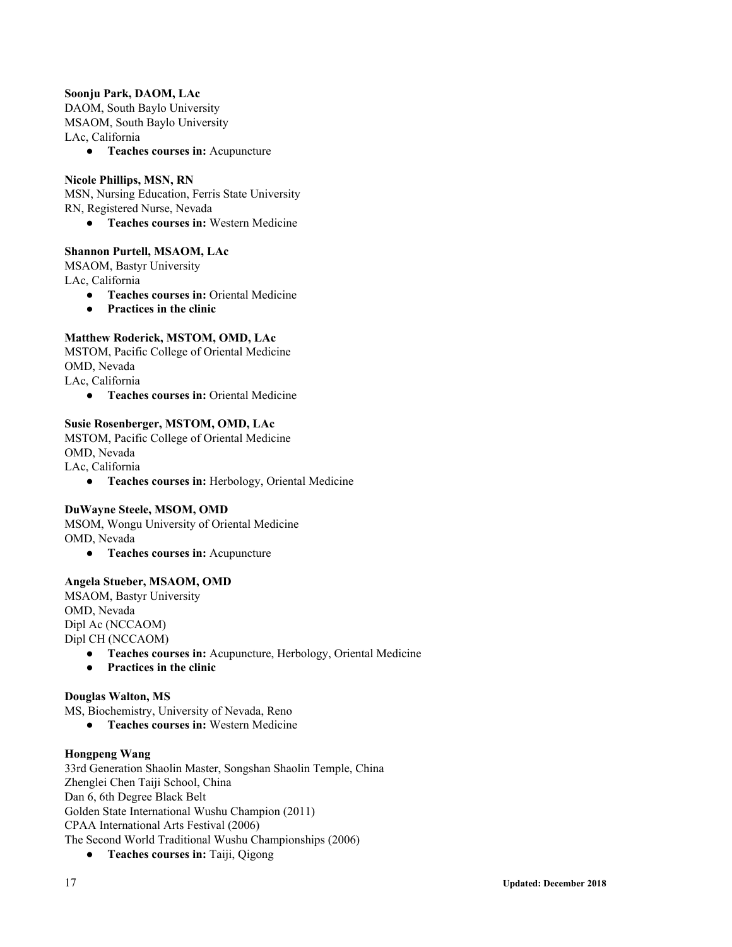#### **Soonju Park, DAOM, LAc**

DAOM, South Baylo University MSAOM, South Baylo University LAc, California

**● Teaches courses in:** Acupuncture

#### **Nicole Phillips, MSN, RN**

MSN, Nursing Education, Ferris State University

RN, Registered Nurse, Nevada

**● Teaches courses in:** Western Medicine

#### **Shannon Purtell, MSAOM, LAc**

MSAOM, Bastyr University LAc, California

- **● Teaches courses in:** Oriental Medicine
- **● Practices in the clinic**

#### **Matthew Roderick, MSTOM, OMD, LAc**

MSTOM, Pacific College of Oriental Medicine OMD, Nevada LAc, California

**● Teaches courses in:** Oriental Medicine

#### **Susie Rosenberger, MSTOM, OMD, LAc**

MSTOM, Pacific College of Oriental Medicine OMD, Nevada LAc, California

**● Teaches courses in:** Herbology, Oriental Medicine

#### **DuWayne Steele, MSOM, OMD**

MSOM, Wongu University of Oriental Medicine OMD, Nevada

**● Teaches courses in:** Acupuncture

#### **Angela Stueber, MSAOM, OMD**

MSAOM, Bastyr University OMD, Nevada Dipl Ac (NCCAOM) Dipl CH (NCCAOM)

- **● Teaches courses in:** Acupuncture, Herbology, Oriental Medicine
- **Practices in the clinic**

#### **Douglas Walton, MS**

MS, Biochemistry, University of Nevada, Reno

**● Teaches courses in:** Western Medicine

#### **Hongpeng Wang**

33rd Generation Shaolin Master, Songshan Shaolin Temple, China Zhenglei Chen Taiji School, China Dan 6, 6th Degree Black Belt Golden State International Wushu Champion (2011) CPAA International Arts Festival (2006) The Second World Traditional Wushu Championships (2006)

**● Teaches courses in:** Taiji, Qigong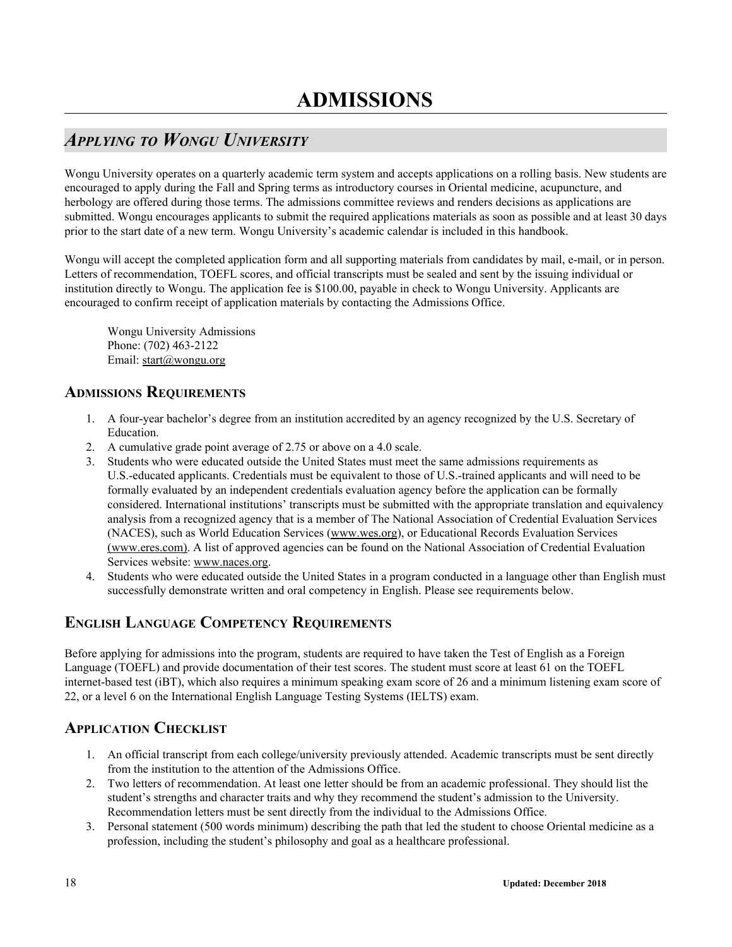# <span id="page-17-1"></span><span id="page-17-0"></span>*APPLYING TO WONGU UNIVERSITY*

Wongu University operates on a quarterly academic term system and accepts applications on a rolling basis. New students are encouraged to apply during the Fall and Spring terms as introductory courses in Oriental medicine, acupuncture, and herbology are offered during those terms. The admissions committee reviews and renders decisions as applications are submitted. Wongu encourages applicants to submit the required applications materials as soon as possible and at least 30 days prior to the start date of a new term. Wongu University's academic calendar is included in this handbook.

Wongu will accept the completed application form and all supporting materials from candidates by mail, e-mail, or in person. Letters of recommendation, TOEFL scores, and official transcripts must be sealed and sent by the issuing individual or institution directly to Wongu. The application fee is \$100.00, payable in check to Wongu University. Applicants are encouraged to confirm receipt of application materials by contacting the Admissions Office.

Wongu University Admissions Phone: (702) 463-2122 Email: start@wongu.org

## <span id="page-17-2"></span>**ADMISSIONS REQUIREMENTS**

- 1. A four-year bachelor's degree from an institution accredited by an agency recognized by the U.S. Secretary of Education.
- 2. A cumulative grade point average of 2.75 or above on a 4.0 scale.
- 3. Students who were educated outside the United States must meet the same admissions requirements as U.S.-educated applicants. Credentials must be equivalent to those of U.S.-trained applicants and will need to be formally evaluated by an independent credentials evaluation agency before the application can be formally considered. International institutions' transcripts must be submitted with the appropriate translation and equivalency analysis from a recognized agency that is a member of The National Association of Credential Evaluation Services (NACES), such as World Education Services (www.wes.org), or Educational Records Evaluation Services (www.eres.com). A list of approved agencies can be found on the National Association of Credential Evaluation Services website: www.naces.org.
- 4. Students who were educated outside the United States in a program conducted in a language other than English must successfully demonstrate written and oral competency in English. Please see requirements below.

# <span id="page-17-3"></span>**ENGLISH LANGUAGE COMPETENCY REQUIREMENTS**

Before applying for admissions into the program, students are required to have taken the Test of English as a Foreign Language (TOEFL) and provide documentation of their test scores. The student must score at least 61 on the TOEFL internet-based test (iBT), which also requires a minimum speaking exam score of 26 and a minimum listening exam score of 22, or a level 6 on the International English Language Testing Systems (IELTS) exam.

# <span id="page-17-4"></span>**APPLICATION CHECKLIST**

- 1. An official transcript from each college/university previously attended. Academic transcripts must be sent directly from the institution to the attention of the Admissions Office.
- 2. Two letters of recommendation. At least one letter should be from an academic professional. They should list the student's strengths and character traits and why they recommend the student's admission to the University. Recommendation letters must be sent directly from the individual to the Admissions Office.
- 3. Personal statement (500 words minimum) describing the path that led the student to choose Oriental medicine as a profession, including the student's philosophy and goal as a healthcare professional.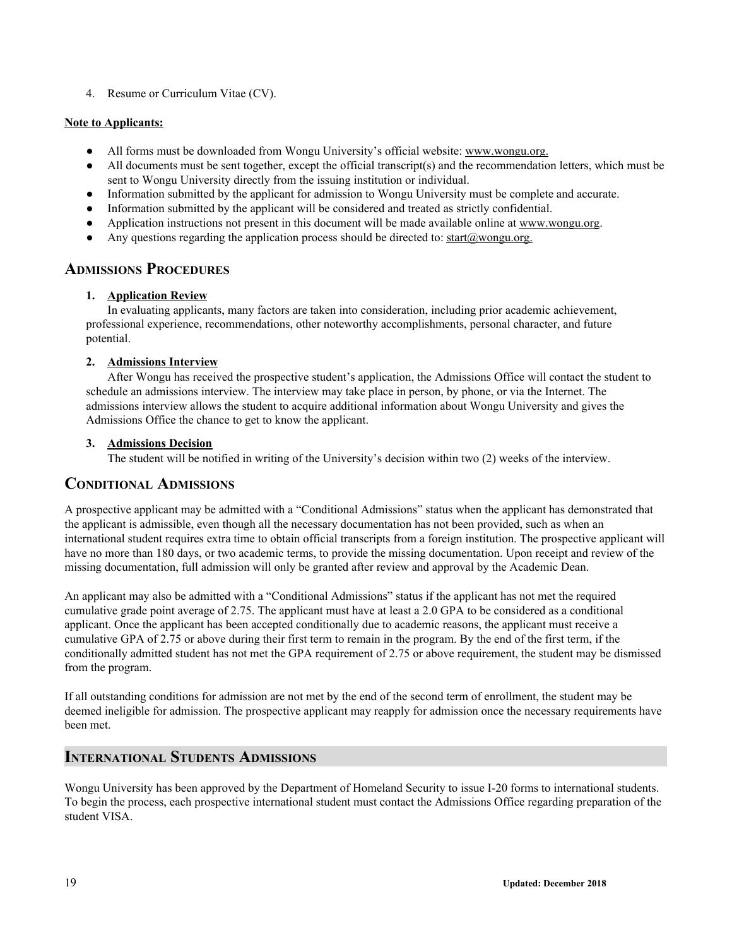4. Resume or Curriculum Vitae (CV).

#### **Note to Applicants:**

- All forms must be downloaded from Wongu University's official website: www.wongu.org.
- All documents must be sent together, except the official transcript(s) and the recommendation letters, which must be sent to Wongu University directly from the issuing institution or individual.
- Information submitted by the applicant for admission to Wongu University must be complete and accurate.
- Information submitted by the applicant will be considered and treated as strictly confidential.
- Application instructions not present in this document will be made available online at www.wongu.org.
- Any questions regarding the application process should be directed to: start@wongu.org.

## <span id="page-18-0"></span>**ADMISSIONS PROCEDURES**

#### **1. Application Review**

In evaluating applicants, many factors are taken into consideration, including prior academic achievement, professional experience, recommendations, other noteworthy accomplishments, personal character, and future potential.

#### **2. Admissions Interview**

After Wongu has received the prospective student's application, the Admissions Office will contact the student to schedule an admissions interview. The interview may take place in person, by phone, or via the Internet. The admissions interview allows the student to acquire additional information about Wongu University and gives the Admissions Office the chance to get to know the applicant.

#### **3. Admissions Decision**

The student will be notified in writing of the University's decision within two (2) weeks of the interview.

### <span id="page-18-1"></span>**CONDITIONAL ADMISSIONS**

A prospective applicant may be admitted with a "Conditional Admissions" status when the applicant has demonstrated that the applicant is admissible, even though all the necessary documentation has not been provided, such as when an international student requires extra time to obtain official transcripts from a foreign institution. The prospective applicant will have no more than 180 days, or two academic terms, to provide the missing documentation. Upon receipt and review of the missing documentation, full admission will only be granted after review and approval by the Academic Dean.

An applicant may also be admitted with a "Conditional Admissions" status if the applicant has not met the required cumulative grade point average of 2.75. The applicant must have at least a 2.0 GPA to be considered as a conditional applicant. Once the applicant has been accepted conditionally due to academic reasons, the applicant must receive a cumulative GPA of 2.75 or above during their first term to remain in the program. By the end of the first term, if the conditionally admitted student has not met the GPA requirement of 2.75 or above requirement, the student may be dismissed from the program.

If all outstanding conditions for admission are not met by the end of the second term of enrollment, the student may be deemed ineligible for admission. The prospective applicant may reapply for admission once the necessary requirements have been met.

### <span id="page-18-2"></span>**INTERNATIONAL STUDENTS ADMISSIONS**

Wongu University has been approved by the Department of Homeland Security to issue I-20 forms to international students. To begin the process, each prospective international student must contact the Admissions Office regarding preparation of the student VISA.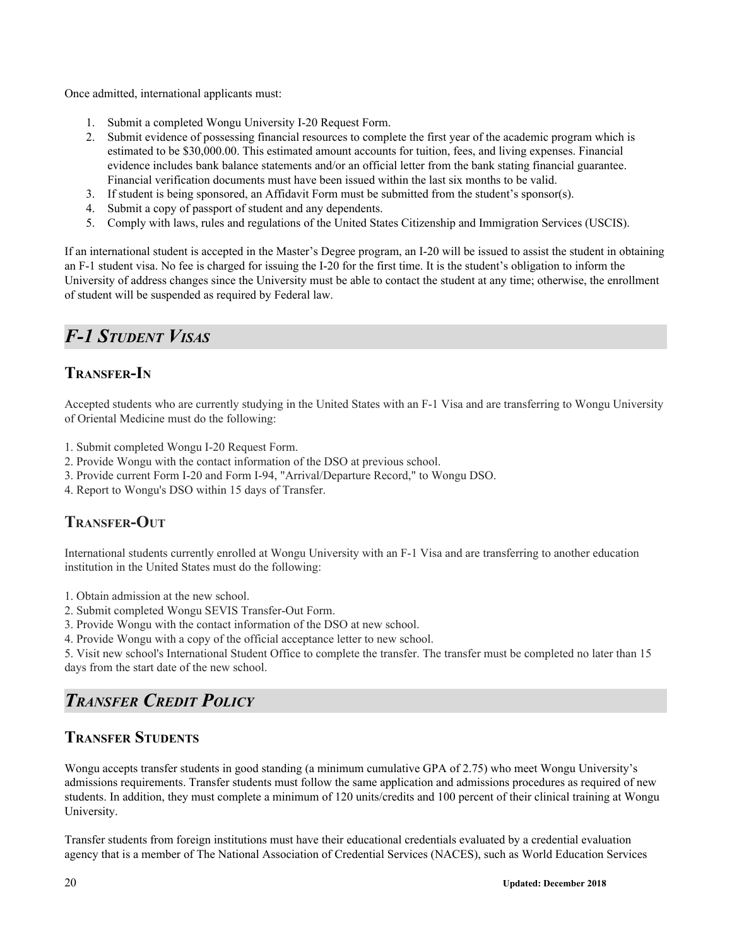Once admitted, international applicants must:

- 1. Submit a completed Wongu University I-20 Request Form.
- 2. Submit evidence of possessing financial resources to complete the first year of the academic program which is estimated to be \$30,000.00. This estimated amount accounts for tuition, fees, and living expenses. Financial evidence includes bank balance statements and/or an official letter from the bank stating financial guarantee. Financial verification documents must have been issued within the last six months to be valid.
- 3. If student is being sponsored, an Affidavit Form must be submitted from the student's sponsor(s).
- 4. Submit a copy of passport of student and any dependents.
- 5. Comply with laws, rules and regulations of the United States Citizenship and Immigration Services (USCIS).

If an international student is accepted in the Master's Degree program, an I-20 will be issued to assist the student in obtaining an F-1 student visa. No fee is charged for issuing the I-20 for the first time. It is the student's obligation to inform the University of address changes since the University must be able to contact the student at any time; otherwise, the enrollment of student will be suspended as required by Federal law.

# <span id="page-19-0"></span>*F-1 STUDENT VISAS*

# **TRANSFER-I<sup>N</sup>**

Accepted students who are currently studying in the United States with an F-1 Visa and are transferring to Wongu University of Oriental Medicine must do the following:

- 1. Submit completed Wongu I-20 Request Form.
- 2. Provide Wongu with the contact information of the DSO at previous school.
- 3. Provide current Form I-20 and Form I-94, "Arrival/Departure Record," to Wongu DSO.
- 4. Report to Wongu's DSO within 15 days of Transfer.

# **TRANSFER-OUT**

International students currently enrolled at Wongu University with an F-1 Visa and are transferring to another education institution in the United States must do the following:

- 1. Obtain admission at the new school.
- 2. Submit completed Wongu SEVIS Transfer-Out Form.
- 3. Provide Wongu with the contact information of the DSO at new school.
- 4. Provide Wongu with a copy of the official acceptance letter to new school.

5. Visit new school's International Student Office to complete the transfer. The transfer must be completed no later than 15 days from the start date of the new school.

# <span id="page-19-1"></span>*TRANSFER CREDIT POLICY*

## **TRANSFER STUDENTS**

Wongu accepts transfer students in good standing (a minimum cumulative GPA of 2.75) who meet Wongu University's admissions requirements. Transfer students must follow the same application and admissions procedures as required of new students. In addition, they must complete a minimum of 120 units/credits and 100 percent of their clinical training at Wongu University.

Transfer students from foreign institutions must have their educational credentials evaluated by a credential evaluation agency that is a member of The National Association of Credential Services (NACES), such as World Education Services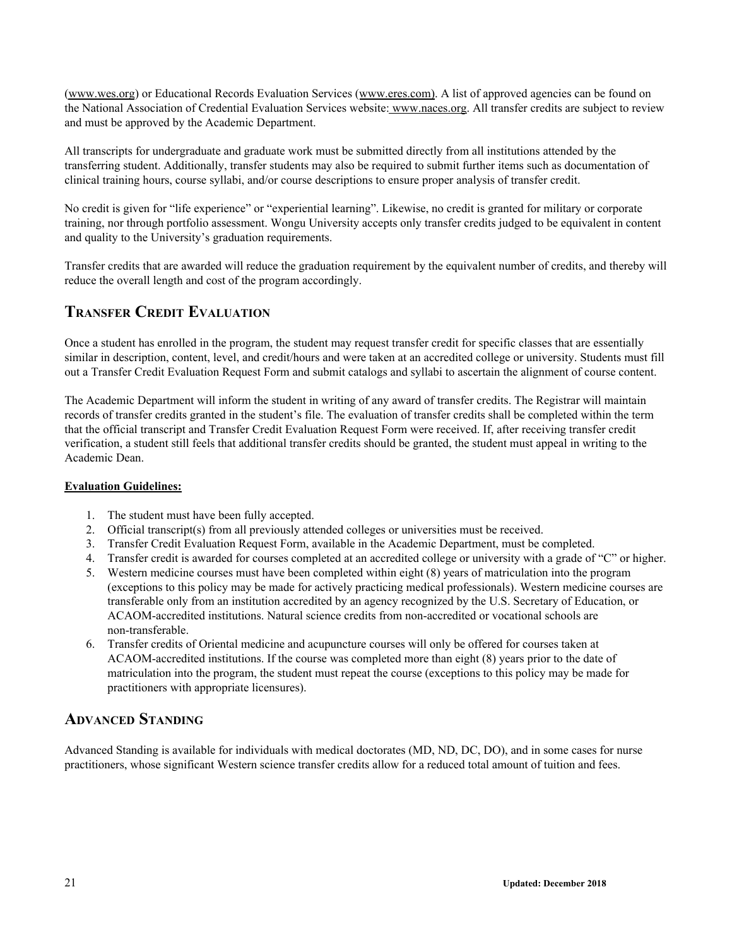[\(www.wes.org](http://www.wes.org/)) or Educational Records Evaluation Services (www.eres.com). A list of approved agencies can be found on the National Association of Credential Evaluation Services website: [www.naces.org.](http://www.naces.org/) All transfer credits are subject to review and must be approved by the Academic Department.

All transcripts for undergraduate and graduate work must be submitted directly from all institutions attended by the transferring student. Additionally, transfer students may also be required to submit further items such as documentation of clinical training hours, course syllabi, and/or course descriptions to ensure proper analysis of transfer credit.

No credit is given for "life experience" or "experiential learning". Likewise, no credit is granted for military or corporate training, nor through portfolio assessment. Wongu University accepts only transfer credits judged to be equivalent in content and quality to the University's graduation requirements.

Transfer credits that are awarded will reduce the graduation requirement by the equivalent number of credits, and thereby will reduce the overall length and cost of the program accordingly.

# **TRANSFER CREDIT EVALUATION**

Once a student has enrolled in the program, the student may request transfer credit for specific classes that are essentially similar in description, content, level, and credit/hours and were taken at an accredited college or university. Students must fill out a Transfer Credit Evaluation Request Form and submit catalogs and syllabi to ascertain the alignment of course content.

The Academic Department will inform the student in writing of any award of transfer credits. The Registrar will maintain records of transfer credits granted in the student's file. The evaluation of transfer credits shall be completed within the term that the official transcript and Transfer Credit Evaluation Request Form were received. If, after receiving transfer credit verification, a student still feels that additional transfer credits should be granted, the student must appeal in writing to the Academic Dean.

#### **Evaluation Guidelines:**

- 1. The student must have been fully accepted.
- 2. Official transcript(s) from all previously attended colleges or universities must be received.
- 3. Transfer Credit Evaluation Request Form, available in the Academic Department, must be completed.
- 4. Transfer credit is awarded for courses completed at an accredited college or university with a grade of "C" or higher.
- 5. Western medicine courses must have been completed within eight (8) years of matriculation into the program (exceptions to this policy may be made for actively practicing medical professionals). Western medicine courses are transferable only from an institution accredited by an agency recognized by the U.S. Secretary of Education, or ACAOM-accredited institutions. Natural science credits from non-accredited or vocational schools are non-transferable.
- 6. Transfer credits of Oriental medicine and acupuncture courses will only be offered for courses taken at ACAOM-accredited institutions. If the course was completed more than eight (8) years prior to the date of matriculation into the program, the student must repeat the course (exceptions to this policy may be made for practitioners with appropriate licensures).

# **ADVANCED STANDING**

Advanced Standing is available for individuals with medical doctorates (MD, ND, DC, DO), and in some cases for nurse practitioners, whose significant Western science transfer credits allow for a reduced total amount of tuition and fees.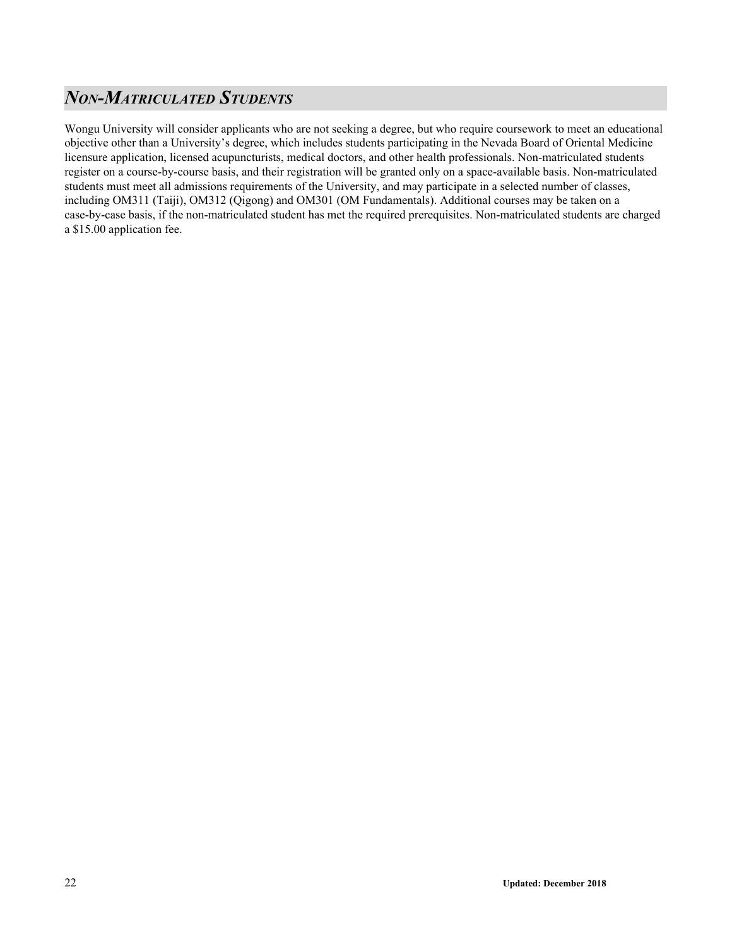# <span id="page-21-0"></span>*NON-MATRICULATED STUDENTS*

Wongu University will consider applicants who are not seeking a degree, but who require coursework to meet an educational objective other than a University's degree, which includes students participating in the Nevada Board of Oriental Medicine licensure application, licensed acupuncturists, medical doctors, and other health professionals. Non-matriculated students register on a course-by-course basis, and their registration will be granted only on a space-available basis. Non-matriculated students must meet all admissions requirements of the University, and may participate in a selected number of classes, including OM311 (Taiji), OM312 (Qigong) and OM301 (OM Fundamentals). Additional courses may be taken on a case-by-case basis, if the non-matriculated student has met the required prerequisites. Non-matriculated students are charged a \$15.00 application fee.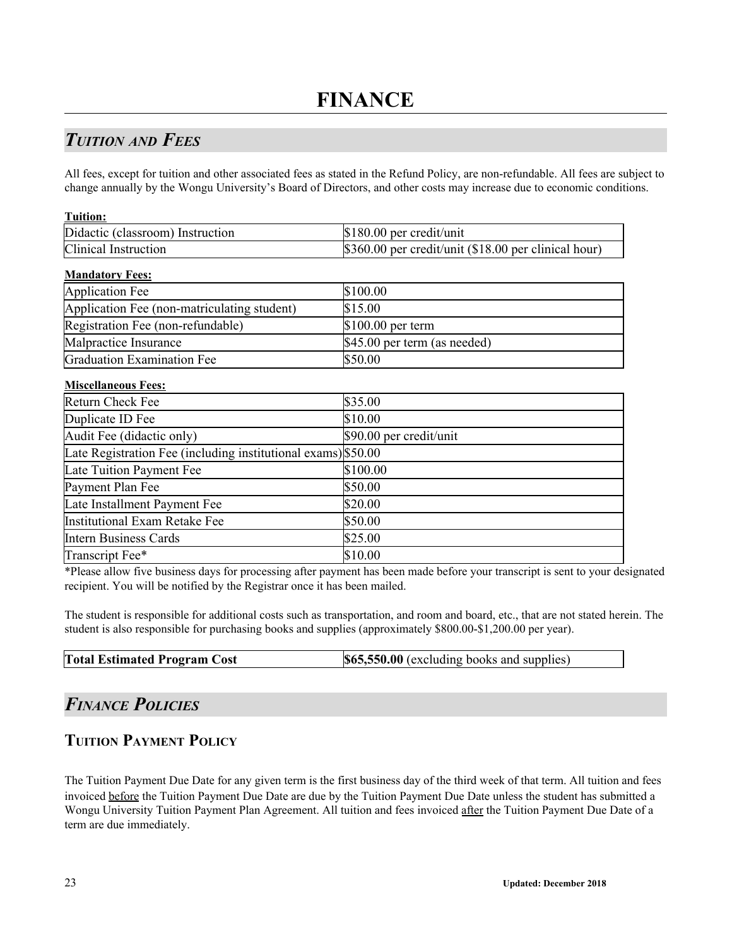# <span id="page-22-1"></span><span id="page-22-0"></span>*TUITION AND FEES*

All fees, except for tuition and other associated fees as stated in the Refund Policy, are non-refundable. All fees are subject to change annually by the Wongu University's Board of Directors, and other costs may increase due to economic conditions.

| <b>Tuition:</b>                                               |                                                      |
|---------------------------------------------------------------|------------------------------------------------------|
| Didactic (classroom) Instruction                              | \$180.00 per credit/unit                             |
| Clinical Instruction                                          | \$360.00 per credit/unit (\$18.00 per clinical hour) |
| <b>Mandatory Fees:</b>                                        |                                                      |
| <b>Application Fee</b>                                        | \$100.00                                             |
| Application Fee (non-matriculating student)                   | \$15.00                                              |
| Registration Fee (non-refundable)                             | \$100.00 per term                                    |
| Malpractice Insurance                                         | \$45.00 per term (as needed)                         |
| <b>Graduation Examination Fee</b>                             | \$50.00                                              |
| <b>Miscellaneous Fees:</b>                                    |                                                      |
| <b>Return Check Fee</b>                                       | \$35.00                                              |
| Duplicate ID Fee                                              | \$10.00                                              |
| Audit Fee (didactic only)                                     | \$90.00 per credit/unit                              |
| Late Registration Fee (including institutional exams) \$50.00 |                                                      |
| Late Tuition Payment Fee                                      | \$100.00                                             |
| Payment Plan Fee                                              | \$50.00                                              |
| Late Installment Payment Fee                                  | \$20.00                                              |
| <b>Institutional Exam Retake Fee</b>                          | \$50.00                                              |
| <b>Intern Business Cards</b>                                  | \$25.00                                              |
| Transcript Fee*                                               | \$10.00                                              |

\*Please allow five business days for processing after payment has been made before your transcript is sent to your designated recipient. You will be notified by the Registrar once it has been mailed.

The student is responsible for additional costs such as transportation, and room and board, etc., that are not stated herein. The student is also responsible for purchasing books and supplies (approximately \$800.00-\$1,200.00 per year).

| <b>Total Estimated Program Cost</b> | \$65,550.00 (excluding books and supplies) |
|-------------------------------------|--------------------------------------------|
|-------------------------------------|--------------------------------------------|

# <span id="page-22-2"></span>*FINANCE POLICIES*

# **TUITION PAYMENT POLICY**

The Tuition Payment Due Date for any given term is the first business day of the third week of that term. All tuition and fees invoiced before the Tuition Payment Due Date are due by the Tuition Payment Due Date unless the student has submitted a Wongu University Tuition Payment Plan Agreement. All tuition and fees invoiced after the Tuition Payment Due Date of a term are due immediately.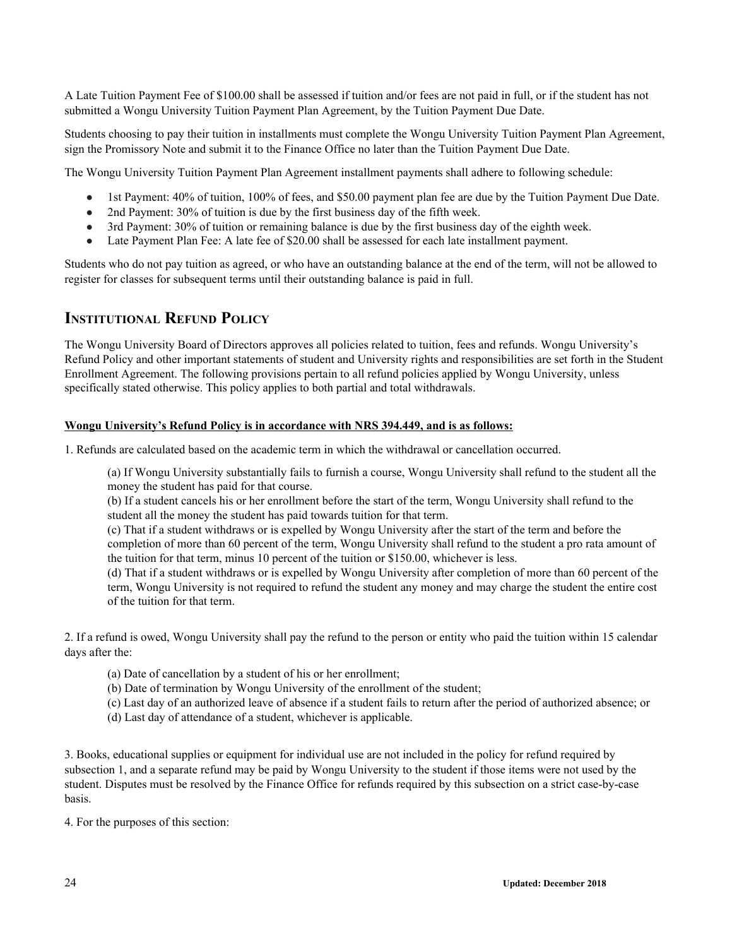A Late Tuition Payment Fee of \$100.00 shall be assessed if tuition and/or fees are not paid in full, or if the student has not submitted a Wongu University Tuition Payment Plan Agreement, by the Tuition Payment Due Date.

Students choosing to pay their tuition in installments must complete the Wongu University Tuition Payment Plan Agreement, sign the Promissory Note and submit it to the Finance Office no later than the Tuition Payment Due Date.

The Wongu University Tuition Payment Plan Agreement installment payments shall adhere to following schedule:

- 1st Payment: 40% of tuition, 100% of fees, and \$50.00 payment plan fee are due by the Tuition Payment Due Date.
- 2nd Payment: 30% of tuition is due by the first business day of the fifth week.
- 3rd Payment: 30% of tuition or remaining balance is due by the first business day of the eighth week.
- Late Payment Plan Fee: A late fee of \$20.00 shall be assessed for each late installment payment.

Students who do not pay tuition as agreed, or who have an outstanding balance at the end of the term, will not be allowed to register for classes for subsequent terms until their outstanding balance is paid in full.

### <span id="page-23-0"></span>**INSTITUTIONAL REFUND POLICY**

The Wongu University Board of Directors approves all policies related to tuition, fees and refunds. Wongu University's Refund Policy and other important statements of student and University rights and responsibilities are set forth in the Student Enrollment Agreement. The following provisions pertain to all refund policies applied by Wongu University, unless specifically stated otherwise. This policy applies to both partial and total withdrawals.

#### **Wongu University's Refund Policy is in accordance with NRS 394.449, and is as follows:**

1. Refunds are calculated based on the academic term in which the withdrawal or cancellation occurred.

(a) If Wongu University substantially fails to furnish a course, Wongu University shall refund to the student all the money the student has paid for that course.

(b) If a student cancels his or her enrollment before the start of the term, Wongu University shall refund to the student all the money the student has paid towards tuition for that term.

(c) That if a student withdraws or is expelled by Wongu University after the start of the term and before the completion of more than 60 percent of the term, Wongu University shall refund to the student a pro rata amount of the tuition for that term, minus 10 percent of the tuition or \$150.00, whichever is less.

(d) That if a student withdraws or is expelled by Wongu University after completion of more than 60 percent of the term, Wongu University is not required to refund the student any money and may charge the student the entire cost of the tuition for that term.

2. If a refund is owed, Wongu University shall pay the refund to the person or entity who paid the tuition within 15 calendar days after the:

- (a) Date of cancellation by a student of his or her enrollment;
- (b) Date of termination by Wongu University of the enrollment of the student;
- (c) Last day of an authorized leave of absence if a student fails to return after the period of authorized absence; or
- (d) Last day of attendance of a student, whichever is applicable.

3. Books, educational supplies or equipment for individual use are not included in the policy for refund required by subsection 1, and a separate refund may be paid by Wongu University to the student if those items were not used by the student. Disputes must be resolved by the Finance Office for refunds required by this subsection on a strict case-by-case basis.

4. For the purposes of this section: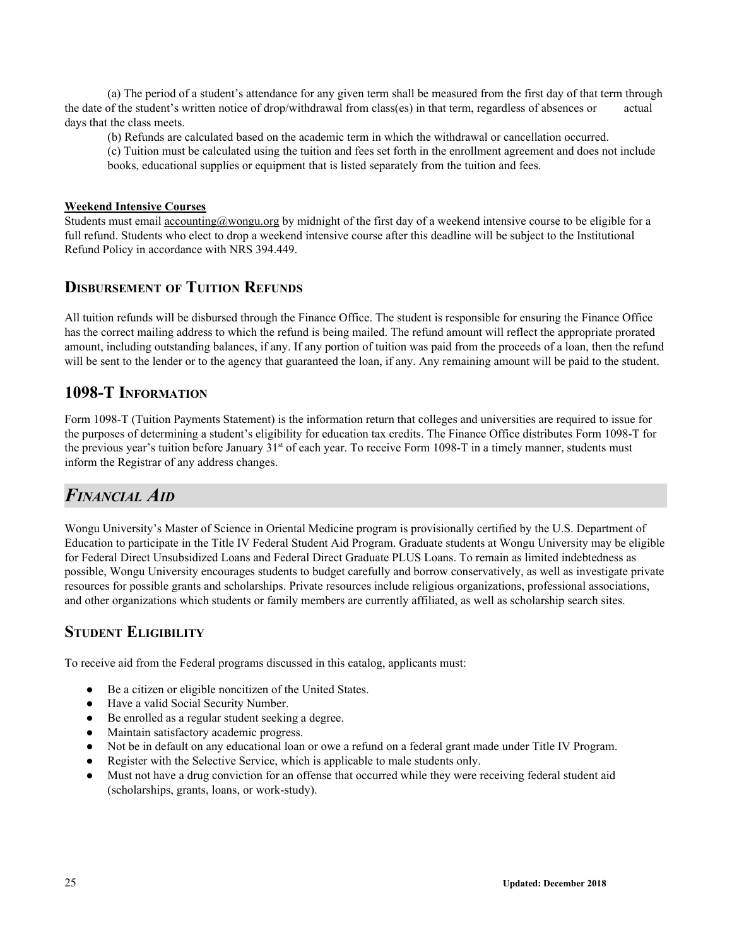(a) The period of a student's attendance for any given term shall be measured from the first day of that term through the date of the student's written notice of drop/withdrawal from class(es) in that term, regardless of absences or actual days that the class meets.

(b) Refunds are calculated based on the academic term in which the withdrawal or cancellation occurred.

(c) Tuition must be calculated using the tuition and fees set forth in the enrollment agreement and does not include books, educational supplies or equipment that is listed separately from the tuition and fees.

#### **Weekend Intensive Courses**

Students must email accounting@wongu.org by midnight of the first day of a weekend intensive course to be eligible for a full refund. Students who elect to drop a weekend intensive course after this deadline will be subject to the Institutional Refund Policy in accordance with NRS 394.449.

### **DISBURSEMENT OF TUITION REFUNDS**

All tuition refunds will be disbursed through the Finance Office. The student is responsible for ensuring the Finance Office has the correct mailing address to which the refund is being mailed. The refund amount will reflect the appropriate prorated amount, including outstanding balances, if any. If any portion of tuition was paid from the proceeds of a loan, then the refund will be sent to the lender or to the agency that guaranteed the loan, if any. Any remaining amount will be paid to the student.

## <span id="page-24-0"></span>**1098-T INFORMATION**

Form 1098-T (Tuition Payments Statement) is the information return that colleges and universities are required to issue for the purposes of determining a student's eligibility for education tax credits. The Finance Office distributes Form 1098-T for the previous year's tuition before January 31<sup>st</sup> of each year. To receive Form 1098-T in a timely manner, students must inform the Registrar of any address changes.

# <span id="page-24-1"></span>*FINANCIAL AID*

Wongu University's Master of Science in Oriental Medicine program is provisionally certified by the U.S. Department of Education to participate in the Title IV Federal Student Aid Program. Graduate students at Wongu University may be eligible for Federal Direct Unsubsidized Loans and Federal Direct Graduate PLUS Loans. To remain as limited indebtedness as possible, Wongu University encourages students to budget carefully and borrow conservatively, as well as investigate private resources for possible grants and scholarships. Private resources include religious organizations, professional associations, and other organizations which students or family members are currently affiliated, as well as scholarship search sites.

### **STUDENT ELIGIBILITY**

To receive aid from the Federal programs discussed in this catalog, applicants must:

- Be a citizen or eligible noncitizen of the United States.
- Have a valid Social Security Number.
- Be enrolled as a regular student seeking a degree.
- Maintain satisfactory academic progress.
- Not be in default on any educational loan or owe a refund on a federal grant made under Title IV Program.
- Register with the Selective Service, which is applicable to male students only.
- Must not have a drug conviction for an offense that occurred while they were receiving federal student aid (scholarships, grants, loans, or work-study).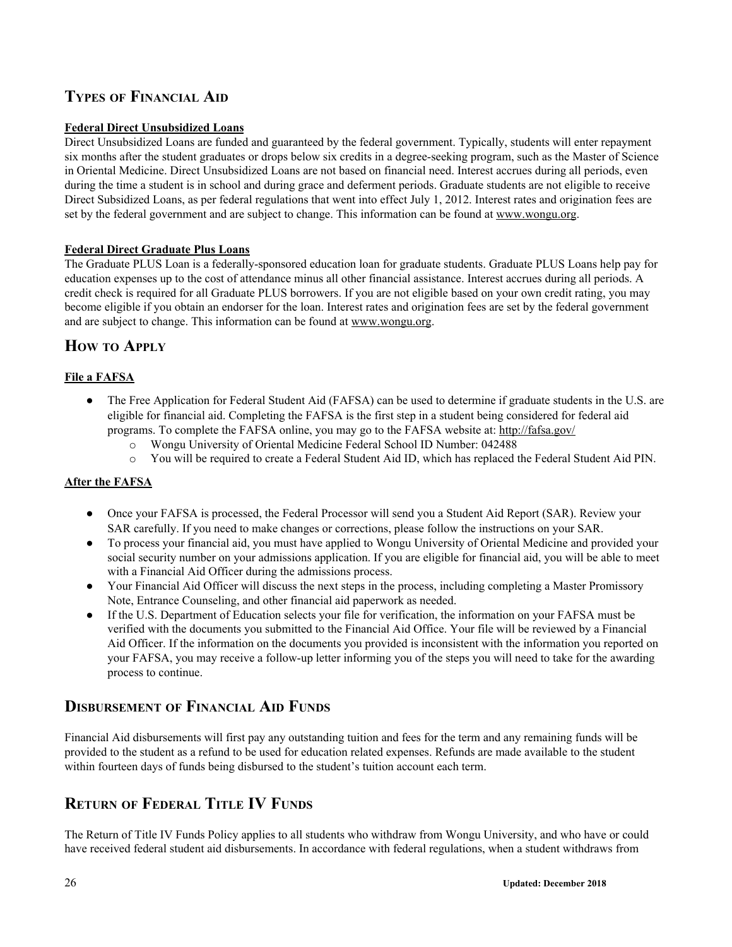# **TYPES OF FINANCIAL AID**

#### **Federal Direct Unsubsidized Loans**

Direct Unsubsidized Loans are funded and guaranteed by the federal government. Typically, students will enter repayment six months after the student graduates or drops below six credits in a degree-seeking program, such as the Master of Science in Oriental Medicine. Direct Unsubsidized Loans are not based on financial need. Interest accrues during all periods, even during the time a student is in school and during grace and deferment periods. Graduate students are not eligible to receive Direct Subsidized Loans, as per federal regulations that went into effect July 1, 2012. Interest rates and origination fees are set by the federal government and are subject to change. This information can be found at www.wongu.org.

#### **Federal Direct Graduate Plus Loans**

The Graduate PLUS Loan is a federally-sponsored education loan for graduate students. Graduate PLUS Loans help pay for education expenses up to the cost of attendance minus all other financial assistance. Interest accrues during all periods. A credit check is required for all Graduate PLUS borrowers. If you are not eligible based on your own credit rating, you may become eligible if you obtain an endorser for the loan. Interest rates and origination fees are set by the federal government and are subject to change. This information can be found at www.wongu.org.

## **HOW TO APPLY**

#### **File a FAFSA**

- The Free Application for Federal Student Aid (FAFSA) can be used to determine if graduate students in the U.S. are eligible for financial aid. Completing the FAFSA is the first step in a student being considered for federal aid programs. To complete the FAFSA online, you may go to the FAFSA website at: http://fafsa.gov/
	- o Wongu University of Oriental Medicine Federal School ID Number: 042488
	- o You will be required to create a Federal Student Aid ID, which has replaced the Federal Student Aid PIN.

#### **After the FAFSA**

- Once your FAFSA is processed, the Federal Processor will send you a Student Aid Report (SAR). Review your SAR carefully. If you need to make changes or corrections, please follow the instructions on your SAR.
- To process your financial aid, you must have applied to Wongu University of Oriental Medicine and provided your social security number on your admissions application. If you are eligible for financial aid, you will be able to meet with a Financial Aid Officer during the admissions process.
- Your Financial Aid Officer will discuss the next steps in the process, including completing a Master Promissory Note, Entrance Counseling, and other financial aid paperwork as needed.
- If the U.S. Department of Education selects your file for verification, the information on your FAFSA must be verified with the documents you submitted to the Financial Aid Office. Your file will be reviewed by a Financial Aid Officer. If the information on the documents you provided is inconsistent with the information you reported on your FAFSA, you may receive a follow-up letter informing you of the steps you will need to take for the awarding process to continue.

## **DISBURSEMENT OF FINANCIAL AID FUNDS**

Financial Aid disbursements will first pay any outstanding tuition and fees for the term and any remaining funds will be provided to the student as a refund to be used for education related expenses. Refunds are made available to the student within fourteen days of funds being disbursed to the student's tuition account each term.

# **RETURN OF FEDERAL TITLE IV FUNDS**

The Return of Title IV Funds Policy applies to all students who withdraw from Wongu University, and who have or could have received federal student aid disbursements. In accordance with federal regulations, when a student withdraws from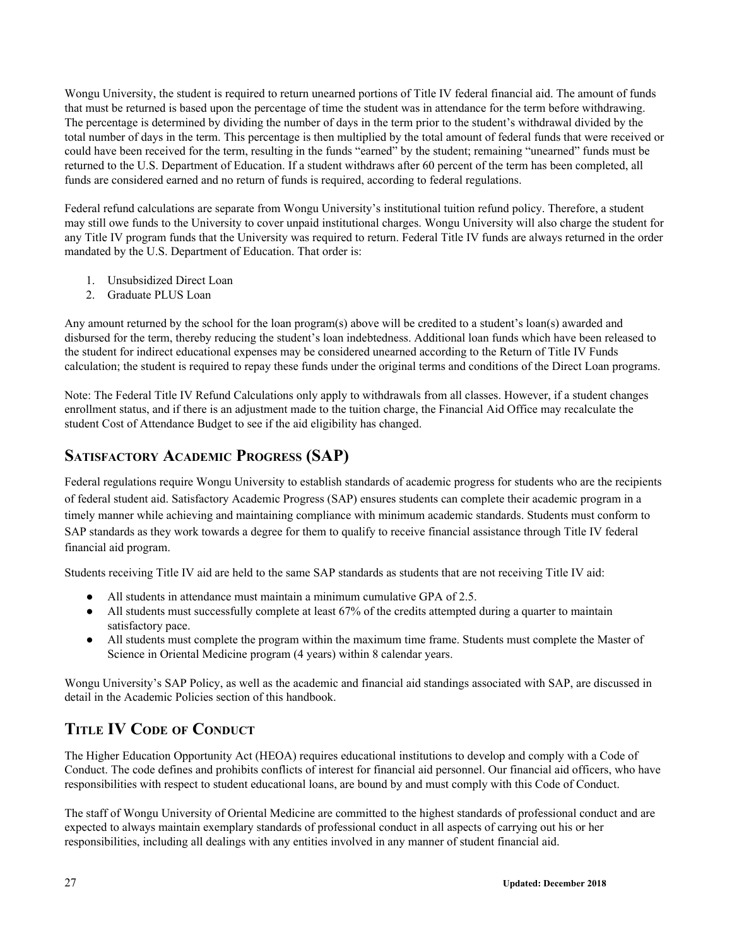Wongu University, the student is required to return unearned portions of Title IV federal financial aid. The amount of funds that must be returned is based upon the percentage of time the student was in attendance for the term before withdrawing. The percentage is determined by dividing the number of days in the term prior to the student's withdrawal divided by the total number of days in the term. This percentage is then multiplied by the total amount of federal funds that were received or could have been received for the term, resulting in the funds "earned" by the student; remaining "unearned" funds must be returned to the U.S. Department of Education. If a student withdraws after 60 percent of the term has been completed, all funds are considered earned and no return of funds is required, according to federal regulations.

Federal refund calculations are separate from Wongu University's institutional tuition refund policy. Therefore, a student may still owe funds to the University to cover unpaid institutional charges. Wongu University will also charge the student for any Title IV program funds that the University was required to return. Federal Title IV funds are always returned in the order mandated by the U.S. Department of Education. That order is:

- 1. Unsubsidized Direct Loan
- 2. Graduate PLUS Loan

Any amount returned by the school for the loan program(s) above will be credited to a student's loan(s) awarded and disbursed for the term, thereby reducing the student's loan indebtedness. Additional loan funds which have been released to the student for indirect educational expenses may be considered unearned according to the Return of Title IV Funds calculation; the student is required to repay these funds under the original terms and conditions of the Direct Loan programs.

Note: The Federal Title IV Refund Calculations only apply to withdrawals from all classes. However, if a student changes enrollment status, and if there is an adjustment made to the tuition charge, the Financial Aid Office may recalculate the student Cost of Attendance Budget to see if the aid eligibility has changed.

# <span id="page-26-0"></span>**SATISFACTORY ACADEMIC PROGRESS (SAP)**

Federal regulations require Wongu University to establish standards of academic progress for students who are the recipients of federal student aid. Satisfactory Academic Progress (SAP) ensures students can complete their academic program in a timely manner while achieving and maintaining compliance with minimum academic standards. Students must conform to SAP standards as they work towards a degree for them to qualify to receive financial assistance through Title IV federal financial aid program.

Students receiving Title IV aid are held to the same SAP standards as students that are not receiving Title IV aid:

- All students in attendance must maintain a minimum cumulative GPA of 2.5.
- All students must successfully complete at least 67% of the credits attempted during a quarter to maintain satisfactory pace.
- All students must complete the program within the maximum time frame. Students must complete the Master of Science in Oriental Medicine program (4 years) within 8 calendar years.

Wongu University's SAP Policy, as well as the academic and financial aid standings associated with SAP, are discussed in detail in the Academic Policies section of this handbook.

# <span id="page-26-1"></span>**TITLE IV CODE OF CONDUCT**

The Higher Education Opportunity Act (HEOA) requires educational institutions to develop and comply with a Code of Conduct. The code defines and prohibits conflicts of interest for financial aid personnel. Our financial aid officers, who have responsibilities with respect to student educational loans, are bound by and must comply with this Code of Conduct.

The staff of Wongu University of Oriental Medicine are committed to the highest standards of professional conduct and are expected to always maintain exemplary standards of professional conduct in all aspects of carrying out his or her responsibilities, including all dealings with any entities involved in any manner of student financial aid.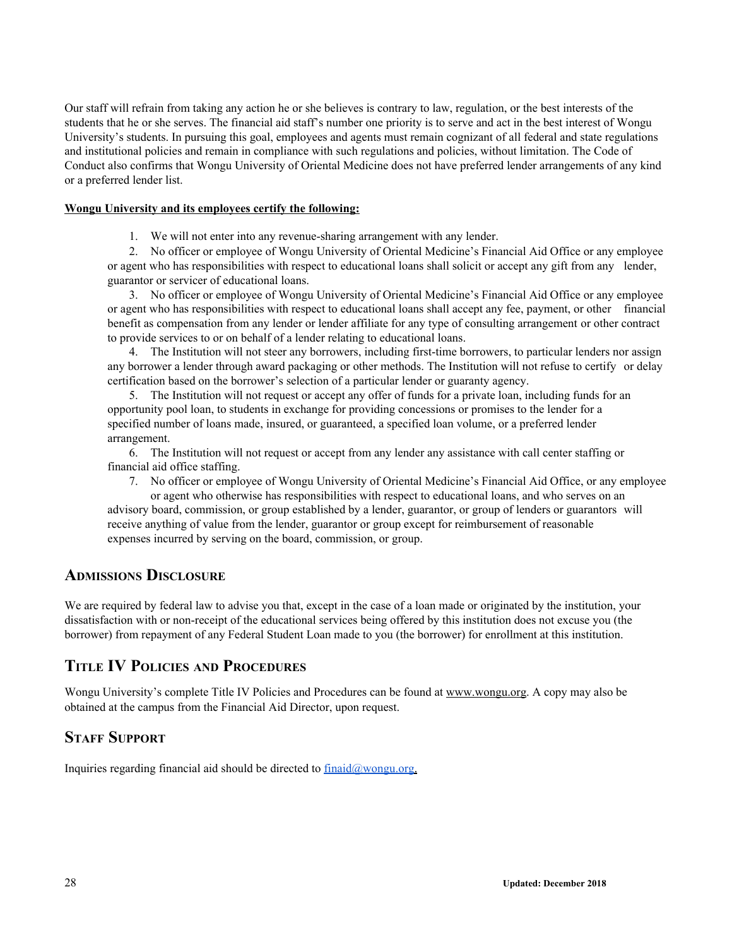Our staff will refrain from taking any action he or she believes is contrary to law, regulation, or the best interests of the students that he or she serves. The financial aid staff's number one priority is to serve and act in the best interest of Wongu University's students. In pursuing this goal, employees and agents must remain cognizant of all federal and state regulations and institutional policies and remain in compliance with such regulations and policies, without limitation. The Code of Conduct also confirms that Wongu University of Oriental Medicine does not have preferred lender arrangements of any kind or a preferred lender list.

#### **Wongu University and its employees certify the following:**

1. We will not enter into any revenue-sharing arrangement with any lender.

2. No officer or employee of Wongu University of Oriental Medicine's Financial Aid Office or any employee or agent who has responsibilities with respect to educational loans shall solicit or accept any gift from any lender, guarantor or servicer of educational loans.

3. No officer or employee of Wongu University of Oriental Medicine's Financial Aid Office or any employee or agent who has responsibilities with respect to educational loans shall accept any fee, payment, or other financial benefit as compensation from any lender or lender affiliate for any type of consulting arrangement or other contract to provide services to or on behalf of a lender relating to educational loans.

4. The Institution will not steer any borrowers, including first-time borrowers, to particular lenders nor assign any borrower a lender through award packaging or other methods. The Institution will not refuse to certify or delay certification based on the borrower's selection of a particular lender or guaranty agency.

5. The Institution will not request or accept any offer of funds for a private loan, including funds for an opportunity pool loan, to students in exchange for providing concessions or promises to the lender for a specified number of loans made, insured, or guaranteed, a specified loan volume, or a preferred lender arrangement.

6. The Institution will not request or accept from any lender any assistance with call center staffing or financial aid office staffing.

7. No officer or employee of Wongu University of Oriental Medicine's Financial Aid Office, or any employee or agent who otherwise has responsibilities with respect to educational loans, and who serves on an advisory board, commission, or group established by a lender, guarantor, or group of lenders or guarantors will receive anything of value from the lender, guarantor or group except for reimbursement of reasonable expenses incurred by serving on the board, commission, or group.

### **ADMISSIONS DISCLOSURE**

We are required by federal law to advise you that, except in the case of a loan made or originated by the institution, your dissatisfaction with or non-receipt of the educational services being offered by this institution does not excuse you (the borrower) from repayment of any Federal Student Loan made to you (the borrower) for enrollment at this institution.

# **TITLE IV POLICIES AND PROCEDURES**

Wongu University's complete Title IV Policies and Procedures can be found at www.wongu.org. A copy may also be obtained at the campus from the Financial Aid Director, upon request.

## **STAFF SUPPORT**

Inquiries regarding financial aid should be directed to  $\frac{\text{final}(a) \text{wongu.org}}{\text{final}(a) \text{wongu.org}}$ .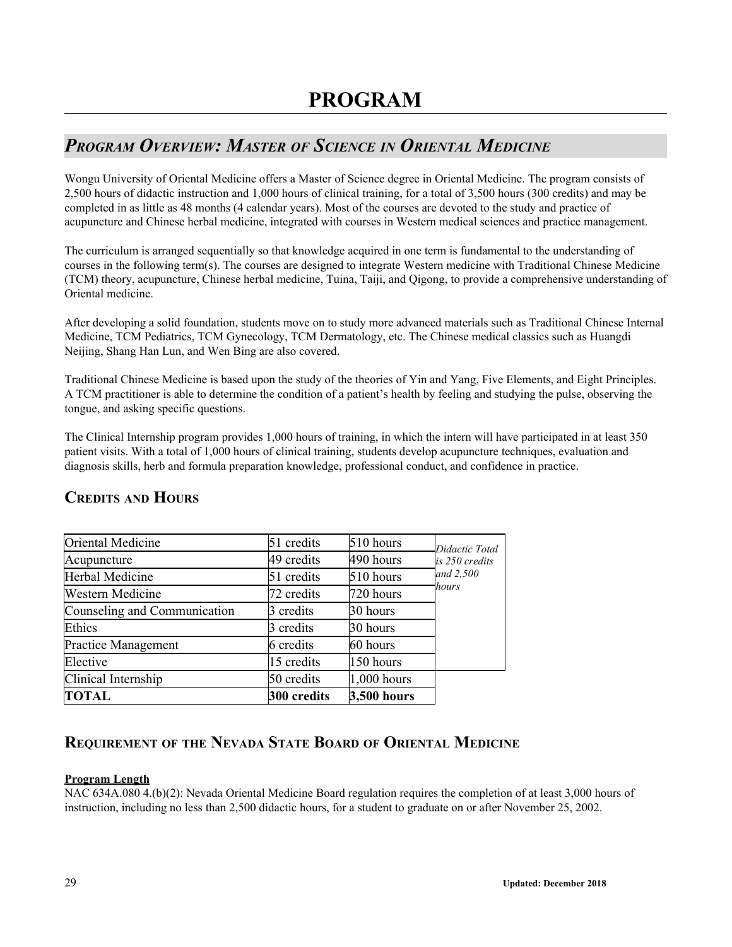# <span id="page-28-1"></span><span id="page-28-0"></span>*PROGRAM OVERVIEW: MASTER OF SCIENCE IN ORIENTAL MEDICINE*

Wongu University of Oriental Medicine offers a Master of Science degree in Oriental Medicine. The program consists of 2,500 hours of didactic instruction and 1,000 hours of clinical training, for a total of 3,500 hours (300 credits) and may be completed in as little as 48 months (4 calendar years). Most of the courses are devoted to the study and practice of acupuncture and Chinese herbal medicine, integrated with courses in Western medical sciences and practice management.

The curriculum is arranged sequentially so that knowledge acquired in one term is fundamental to the understanding of courses in the following term(s). The courses are designed to integrate Western medicine with Traditional Chinese Medicine (TCM) theory, acupuncture, Chinese herbal medicine, Tuina, Taiji, and Qigong, to provide a comprehensive understanding of Oriental medicine.

After developing a solid foundation, students move on to study more advanced materials such as Traditional Chinese Internal Medicine, TCM Pediatrics, TCM Gynecology, TCM Dermatology, etc. The Chinese medical classics such as Huangdi Neijing, Shang Han Lun, and Wen Bing are also covered.

Traditional Chinese Medicine is based upon the study of the theories of Yin and Yang, Five Elements, and Eight Principles. A TCM practitioner is able to determine the condition of a patient's health by feeling and studying the pulse, observing the tongue, and asking specific questions.

The Clinical Internship program provides 1,000 hours of training, in which the intern will have participated in at least 350 patient visits. With a total of 1,000 hours of clinical training, students develop acupuncture techniques, evaluation and diagnosis skills, herb and formula preparation knowledge, professional conduct, and confidence in practice.

| Oriental Medicine            | 51 credits  | 510 hours     | Didactic Total |
|------------------------------|-------------|---------------|----------------|
| Acupuncture                  | 49 credits  | 490 hours     | is 250 credits |
| Herbal Medicine              | 51 credits  | 510 hours     | and 2,500      |
| <b>Western Medicine</b>      | 72 credits  | 720 hours     | hours          |
| Counseling and Communication | 3 credits   | 30 hours      |                |
| Ethics                       | 3 credits   | 30 hours      |                |
| <b>Practice Management</b>   | 6 credits   | 60 hours      |                |
| Elective                     | 15 credits  | 150 hours     |                |
| Clinical Internship          | 50 credits  | $1,000$ hours |                |
| <b>TOTAL</b>                 | 300 credits | 3,500 hours   |                |

# **CREDITS AND HOURS**

# **REQUIREMENT OF THE NEVADA STATE BOARD OF ORIENTAL MEDICINE**

#### **Program Length**

NAC 634A.080 4.(b)(2): Nevada Oriental Medicine Board regulation requires the completion of at least 3,000 hours of instruction, including no less than 2,500 didactic hours, for a student to graduate on or after November 25, 2002.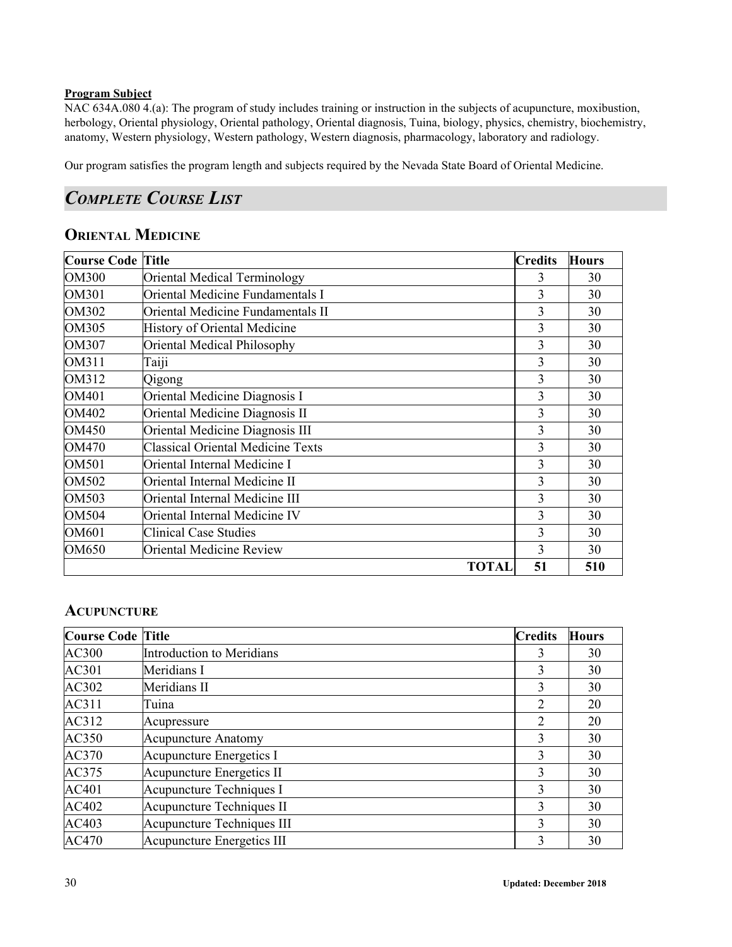#### **Program Subject**

NAC 634A.080 4.(a): The program of study includes training or instruction in the subjects of acupuncture, moxibustion, herbology, Oriental physiology, Oriental pathology, Oriental diagnosis, Tuina, biology, physics, chemistry, biochemistry, anatomy, Western physiology, Western pathology, Western diagnosis, pharmacology, laboratory and radiology.

Our program satisfies the program length and subjects required by the Nevada State Board of Oriental Medicine.

# <span id="page-29-0"></span>*COMPLETE COURSE LIST*

# **ORIENTAL MEDICINE**

| Course Code   Title |                                          | <b>Credits</b> | <b>Hours</b> |
|---------------------|------------------------------------------|----------------|--------------|
| <b>OM300</b>        | <b>Oriental Medical Terminology</b>      | 3              | 30           |
| <b>OM301</b>        | Oriental Medicine Fundamentals I         | 3              | 30           |
| OM302               | Oriental Medicine Fundamentals II        | 3              | 30           |
| <b>OM305</b>        | <b>History of Oriental Medicine</b>      | 3              | 30           |
| <b>OM307</b>        | Oriental Medical Philosophy              | 3              | 30           |
| OM311               | Taiji                                    | 3              | 30           |
| OM312               | Qigong                                   | 3              | 30           |
| OM401               | Oriental Medicine Diagnosis I            | 3              | 30           |
| OM402               | Oriental Medicine Diagnosis II           | 3              | 30           |
| OM450               | Oriental Medicine Diagnosis III          | 3              | 30           |
| OM470               | <b>Classical Oriental Medicine Texts</b> | 3              | 30           |
| <b>OM501</b>        | Oriental Internal Medicine I             | 3              | 30           |
| OM502               | Oriental Internal Medicine II            | 3              | 30           |
| OM503               | Oriental Internal Medicine III           | 3              | 30           |
| <b>OM504</b>        | Oriental Internal Medicine IV            | 3              | 30           |
| OM601               | <b>Clinical Case Studies</b>             | 3              | 30           |
| OM650               | <b>Oriental Medicine Review</b>          | 3              | 30           |
|                     | <b>TOTAL</b>                             | 51             | 510          |

## **ACUPUNCTURE**

| <b>Course Code Title</b> |                                   | <b>Credits</b> | <b>Hours</b> |
|--------------------------|-----------------------------------|----------------|--------------|
| AC300                    | Introduction to Meridians         | 3              | 30           |
| AC301                    | Meridians I                       | 3              | 30           |
| AC302                    | Meridians II                      | 3              | 30           |
| AC311                    | Tuina                             | 2              | 20           |
| AC312                    | Acupressure                       | $\overline{2}$ | 20           |
| AC350                    | <b>Acupuncture Anatomy</b>        | 3              | 30           |
| AC370                    | Acupuncture Energetics I          | 3              | 30           |
| AC375                    | Acupuncture Energetics II         | 3              | 30           |
| AC401                    | Acupuncture Techniques I          | 3              | 30           |
| AC402                    | Acupuncture Techniques II         | 3              | 30           |
| AC403                    | Acupuncture Techniques III        | 3              | 30           |
| AC470                    | <b>Acupuncture Energetics III</b> | 3              | 30           |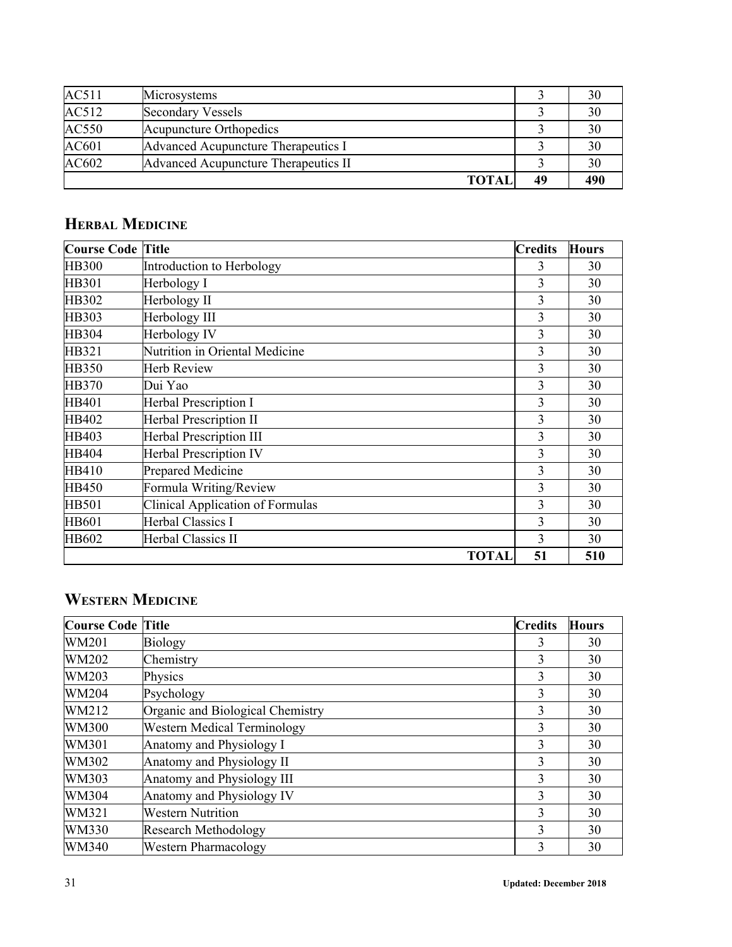| AC511 | Microsystems                         |    | 30  |
|-------|--------------------------------------|----|-----|
| AC512 | Secondary Vessels                    |    | 30  |
| AC550 | Acupuncture Orthopedics              |    | 30  |
| AC601 | Advanced Acupuncture Therapeutics I  |    | 30  |
| AC602 | Advanced Acupuncture Therapeutics II |    | 30  |
|       | <b>TOTAI</b>                         | 49 | 490 |

# **HERBAL MEDICINE**

| <b>Course Code</b> | <b>Title</b>                            | <b>Credits</b> | <b>Hours</b> |
|--------------------|-----------------------------------------|----------------|--------------|
| <b>HB300</b>       | Introduction to Herbology               | 3              | 30           |
| <b>HB301</b>       | Herbology I                             | 3              | 30           |
| HB302              | Herbology II                            | 3              | 30           |
| HB303              | Herbology III                           | 3              | 30           |
| HB304              | Herbology IV                            | 3              | 30           |
| HB321              | Nutrition in Oriental Medicine          | 3              | 30           |
| <b>HB350</b>       | <b>Herb Review</b>                      | 3              | 30           |
| HB370              | Dui Yao                                 | 3              | 30           |
| HB401              | <b>Herbal Prescription I</b>            | 3              | 30           |
| HB402              | <b>Herbal Prescription II</b>           | 3              | 30           |
| HB403              | <b>Herbal Prescription III</b>          | 3              | 30           |
| HB404              | <b>Herbal Prescription IV</b>           | 3              | 30           |
| HB410              | Prepared Medicine                       | 3              | 30           |
| HB450              | Formula Writing/Review                  | 3              | 30           |
| <b>HB501</b>       | <b>Clinical Application of Formulas</b> | 3              | 30           |
| <b>HB601</b>       | Herbal Classics I                       | 3              | 30           |
| HB602              | <b>Herbal Classics II</b>               | 3              | 30           |
|                    | <b>TOTAL</b>                            | 51             | 510          |

# **WESTERN MEDICINE**

| <b>Course Code</b> | <b>Title</b>                       | <b>Credits</b> | <b>Hours</b> |
|--------------------|------------------------------------|----------------|--------------|
| WM201              | <b>Biology</b>                     | 3              | 30           |
| WM202              | Chemistry                          | 3              | 30           |
| WM203              | Physics                            | $\overline{3}$ | 30           |
| WM204              | Psychology                         | 3              | 30           |
| WM212              | Organic and Biological Chemistry   | 3              | 30           |
| <b>WM300</b>       | <b>Western Medical Terminology</b> | 3              | 30           |
| WM301              | Anatomy and Physiology I           | 3              | 30           |
| WM302              | Anatomy and Physiology II          | 3              | 30           |
| WM303              | Anatomy and Physiology III         | 3              | 30           |
| WM304              | Anatomy and Physiology IV          | 3              | 30           |
| WM321              | <b>Western Nutrition</b>           | 3              | 30           |
| WM330              | <b>Research Methodology</b>        | 3              | 30           |
| <b>WM340</b>       | <b>Western Pharmacology</b>        | 3              | 30           |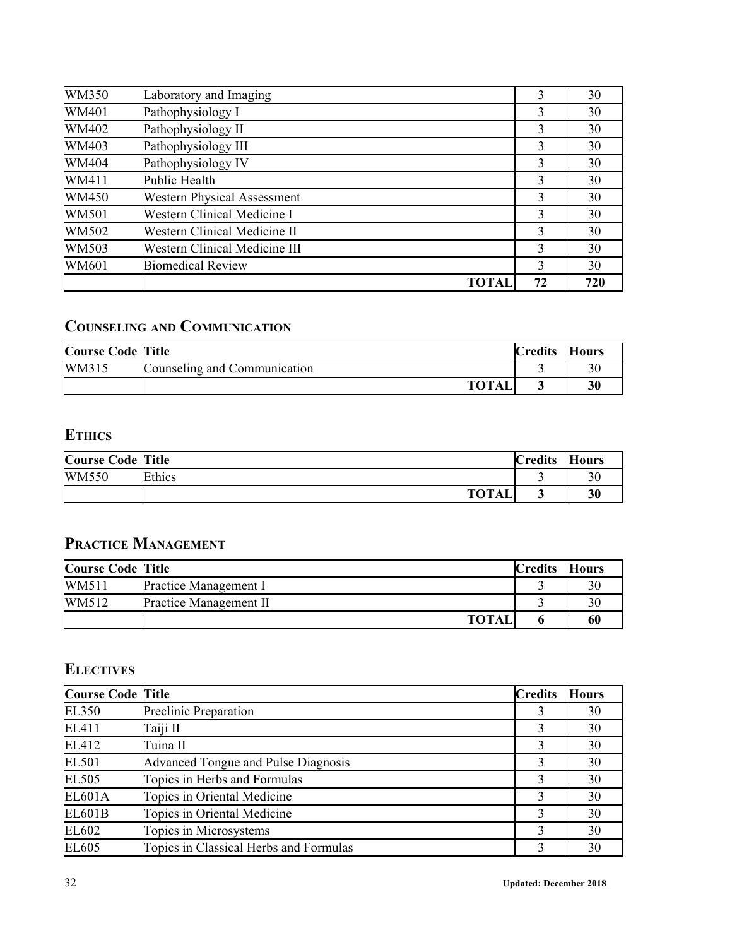| WM350 | Laboratory and Imaging               | 3  | 30  |
|-------|--------------------------------------|----|-----|
| WM401 | Pathophysiology I                    | 3  | 30  |
| WM402 | Pathophysiology II                   | 3  | 30  |
| WM403 | Pathophysiology III                  | 3  | 30  |
| WM404 | Pathophysiology IV                   | 3  | 30  |
| WM411 | Public Health                        | 3  | 30  |
| WM450 | <b>Western Physical Assessment</b>   | 3  | 30  |
| WM501 | Western Clinical Medicine I          | 3  | 30  |
| WM502 | Western Clinical Medicine II         | 3  | 30  |
| WM503 | <b>Western Clinical Medicine III</b> | 3  | 30  |
| WM601 | <b>Biomedical Review</b>             | 3  | 30  |
|       | TOTAI                                | 72 | 720 |

# **COUNSELING AND COMMUNICATION**

| <b>Course Code Title</b> |                              | <b>Credits</b> | <b>Hours</b> |
|--------------------------|------------------------------|----------------|--------------|
| WM315                    | Counseling and Communication |                |              |
|                          | <b>TOTAL</b>                 |                |              |

# **ETHICS**

| <b>Course Code Title</b> |              | <b>Credits</b> | <b>Hours</b> |
|--------------------------|--------------|----------------|--------------|
| <b>WM550</b>             | Ethics       |                |              |
|                          | <b>TOTAL</b> |                | 30           |

# **PRACTICE MANAGEMENT**

| <b>Course Code Title</b> |                        | <b>Credits</b> | Hours |
|--------------------------|------------------------|----------------|-------|
| WM511                    | Practice Management I  |                |       |
| WM512                    | Practice Management II |                |       |
|                          | <b>TOTAI</b>           |                | 60    |

# **ELECTIVES**

| <b>Course Code Title</b> |                                        | <b>Credits</b> | <b>Hours</b> |
|--------------------------|----------------------------------------|----------------|--------------|
| <b>EL350</b>             | Preclinic Preparation                  | 3              | 30           |
| EL411                    | Taiji II                               | 3              | 30           |
| EL412                    | Tuina II                               | 3              | 30           |
| <b>EL501</b>             | Advanced Tongue and Pulse Diagnosis    | 3              | 30           |
| <b>EL505</b>             | Topics in Herbs and Formulas           | 3              | 30           |
| <b>EL601A</b>            | Topics in Oriental Medicine            | 3              | 30           |
| <b>EL601B</b>            | Topics in Oriental Medicine            | 3              | 30           |
| EL602                    | Topics in Microsystems                 | 3              | 30           |
| EL605                    | Topics in Classical Herbs and Formulas | 3              | 30           |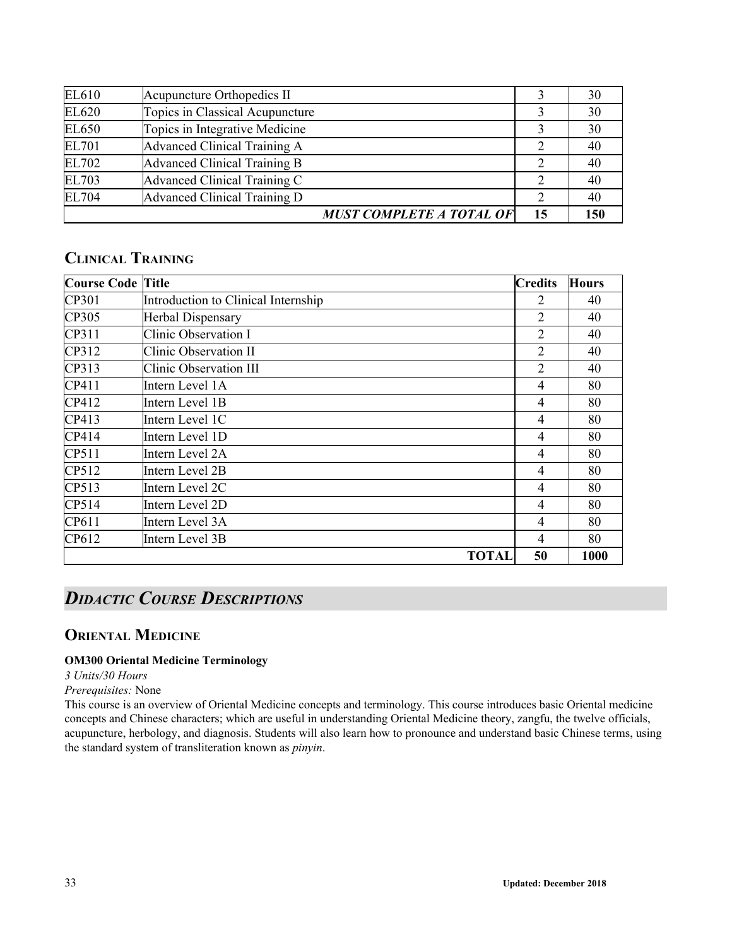| EL610        | Acupuncture Orthopedics II      |    | 30  |
|--------------|---------------------------------|----|-----|
| EL620        | Topics in Classical Acupuncture |    | 30  |
| EL650        | Topics in Integrative Medicine  |    | 30  |
| <b>EL701</b> | Advanced Clinical Training A    |    | 40  |
| EL702        | Advanced Clinical Training B    |    | 40  |
| EL703        | Advanced Clinical Training C    | 2  | 40  |
| EL704        | Advanced Clinical Training D    |    | 40  |
|              | <b>MUST COMPLETE A TOTAL OF</b> | 15 | 150 |

# **CLINICAL TRAINING**

| <b>Course Code Title</b> |                                     | <b>Credits</b> | <b>Hours</b> |
|--------------------------|-------------------------------------|----------------|--------------|
| CP301                    | Introduction to Clinical Internship | 2              | 40           |
| CP305                    | <b>Herbal Dispensary</b>            | 2              | 40           |
| CP311                    | Clinic Observation I                | $\overline{2}$ | 40           |
| CP312                    | Clinic Observation II               | $\overline{2}$ | 40           |
| CP313                    | Clinic Observation III              | 2              | 40           |
| CP411                    | Intern Level 1A                     | 4              | 80           |
| CP412                    | Intern Level 1B                     | 4              | 80           |
| CP413                    | Intern Level 1C                     | 4              | 80           |
| CP414                    | Intern Level 1D                     | $\overline{4}$ | 80           |
| CP511                    | Intern Level 2A                     | 4              | 80           |
| CP512                    | Intern Level 2B                     | 4              | 80           |
| CP513                    | Intern Level 2C                     | 4              | 80           |
| CP514                    | Intern Level 2D                     | 4              | 80           |
| CP611                    | Intern Level 3A                     | 4              | 80           |
| CP612                    | Intern Level 3B                     | 4              | 80           |
|                          | <b>TOTAL</b>                        | 50             | 1000         |

# <span id="page-32-0"></span>*DIDACTIC COURSE DESCRIPTIONS*

## <span id="page-32-1"></span>**ORIENTAL MEDICINE**

### **OM300 Oriental Medicine Terminology**

*3 Units/30 Hours*

#### *Prerequisites:* None

This course is an overview of Oriental Medicine concepts and terminology. This course introduces basic Oriental medicine concepts and Chinese characters; which are useful in understanding Oriental Medicine theory, zangfu, the twelve officials, acupuncture, herbology, and diagnosis. Students will also learn how to pronounce and understand basic Chinese terms, using the standard system of transliteration known as *pinyin*.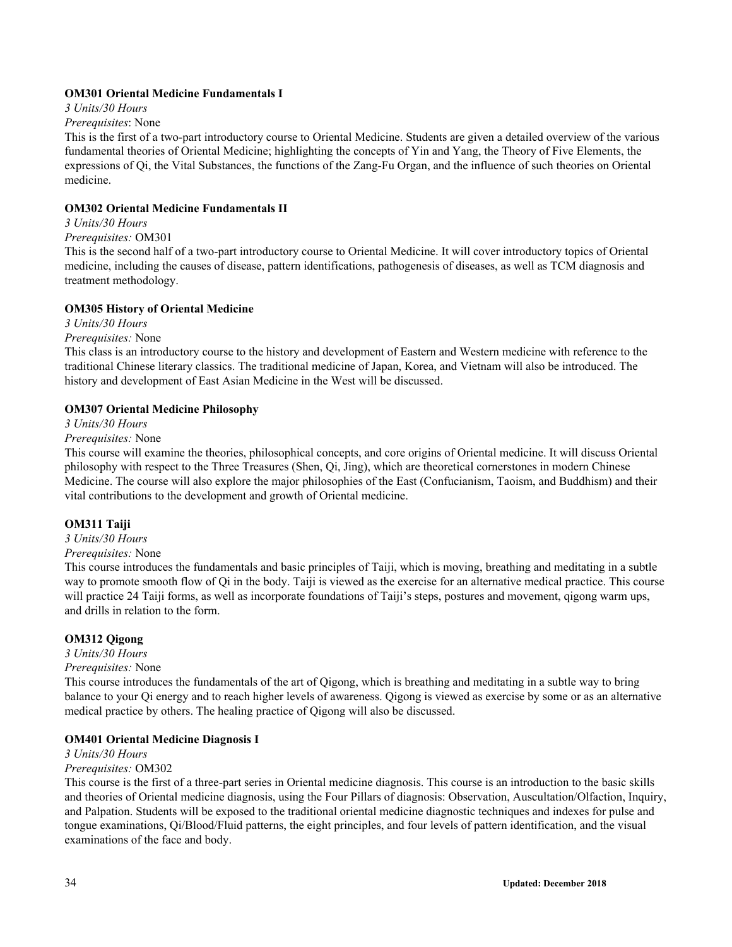#### **OM301 Oriental Medicine Fundamentals I**

*3 Units/30 Hours*

#### *Prerequisites*: None

This is the first of a two-part introductory course to Oriental Medicine. Students are given a detailed overview of the various fundamental theories of Oriental Medicine; highlighting the concepts of Yin and Yang, the Theory of Five Elements, the expressions of Qi, the Vital Substances, the functions of the Zang-Fu Organ, and the influence of such theories on Oriental medicine.

#### **OM302 Oriental Medicine Fundamentals II**

### *3 Units/30 Hours*

#### *Prerequisites:* OM301

This is the second half of a two-part introductory course to Oriental Medicine. It will cover introductory topics of Oriental medicine, including the causes of disease, pattern identifications, pathogenesis of diseases, as well as TCM diagnosis and treatment methodology.

#### **OM305 History of Oriental Medicine**

*3 Units/30 Hours*

#### *Prerequisites:* None

This class is an introductory course to the history and development of Eastern and Western medicine with reference to the traditional Chinese literary classics. The traditional medicine of Japan, Korea, and Vietnam will also be introduced. The history and development of East Asian Medicine in the West will be discussed.

#### **OM307 Oriental Medicine Philosophy**

*3 Units/30 Hours*

#### *Prerequisites:* None

This course will examine the theories, philosophical concepts, and core origins of Oriental medicine. It will discuss Oriental philosophy with respect to the Three Treasures (Shen, Qi, Jing), which are theoretical cornerstones in modern Chinese Medicine. The course will also explore the major philosophies of the East (Confucianism, Taoism, and Buddhism) and their vital contributions to the development and growth of Oriental medicine.

#### **OM311 Taiji**

*3 Units/30 Hours*

#### *Prerequisites:* None

This course introduces the fundamentals and basic principles of Taiji, which is moving, breathing and meditating in a subtle way to promote smooth flow of Qi in the body. Taiji is viewed as the exercise for an alternative medical practice. This course will practice 24 Taiji forms, as well as incorporate foundations of Taiji's steps, postures and movement, qigong warm ups, and drills in relation to the form.

#### **OM312 Qigong**

*3 Units/30 Hours*

#### *Prerequisites:* None

This course introduces the fundamentals of the art of Qigong, which is breathing and meditating in a subtle way to bring balance to your Qi energy and to reach higher levels of awareness. Qigong is viewed as exercise by some or as an alternative medical practice by others. The healing practice of Qigong will also be discussed.

#### **OM401 Oriental Medicine Diagnosis I**

#### *3 Units/30 Hours*

#### *Prerequisites:* OM302

This course is the first of a three-part series in Oriental medicine diagnosis. This course is an introduction to the basic skills and theories of Oriental medicine diagnosis, using the Four Pillars of diagnosis: Observation, Auscultation/Olfaction, Inquiry, and Palpation. Students will be exposed to the traditional oriental medicine diagnostic techniques and indexes for pulse and tongue examinations, Qi/Blood/Fluid patterns, the eight principles, and four levels of pattern identification, and the visual examinations of the face and body.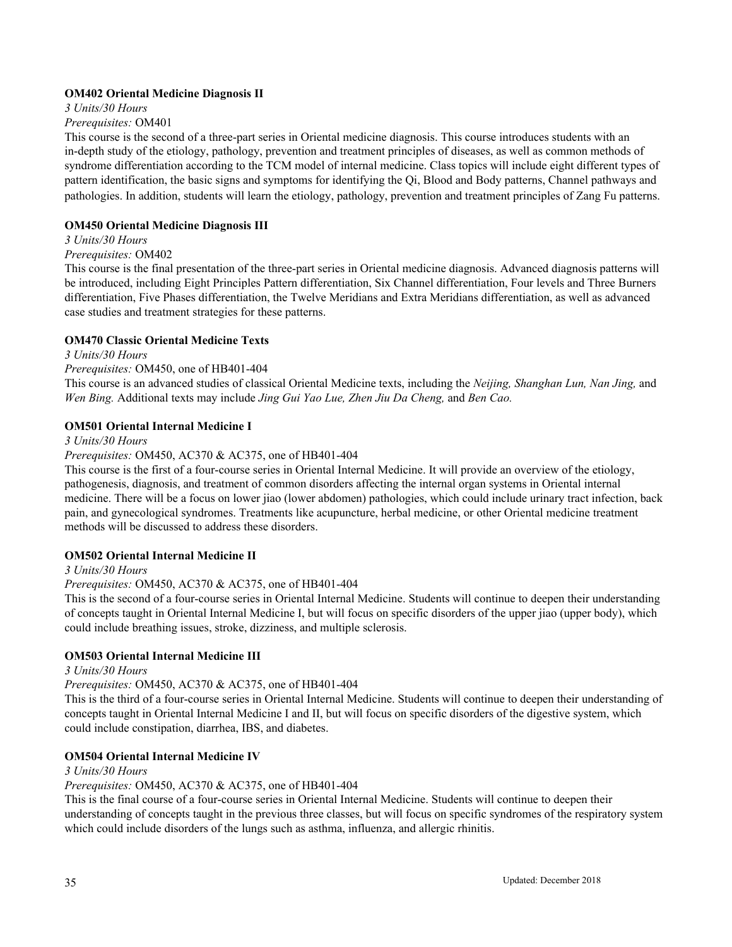#### **OM402 Oriental Medicine Diagnosis II**

*3 Units/30 Hours*

#### *Prerequisites:* OM401

This course is the second of a three-part series in Oriental medicine diagnosis. This course introduces students with an in-depth study of the etiology, pathology, prevention and treatment principles of diseases, as well as common methods of syndrome differentiation according to the TCM model of internal medicine. Class topics will include eight different types of pattern identification, the basic signs and symptoms for identifying the Qi, Blood and Body patterns, Channel pathways and pathologies. In addition, students will learn the etiology, pathology, prevention and treatment principles of Zang Fu patterns.

#### **OM450 Oriental Medicine Diagnosis III**

#### *3 Units/30 Hours*

#### *Prerequisites:* OM402

This course is the final presentation of the three-part series in Oriental medicine diagnosis. Advanced diagnosis patterns will be introduced, including Eight Principles Pattern differentiation, Six Channel differentiation, Four levels and Three Burners differentiation, Five Phases differentiation, the Twelve Meridians and Extra Meridians differentiation, as well as advanced case studies and treatment strategies for these patterns.

#### **OM470 Classic Oriental Medicine Texts**

#### *3 Units/30 Hours*

#### *Prerequisites:* OM450, one of HB401-404

This course is an advanced studies of classical Oriental Medicine texts, including the *Neijing, Shanghan Lun, Nan Jing,* and *Wen Bing.* Additional texts may include *Jing Gui Yao Lue, Zhen Jiu Da Cheng,* and *Ben Cao.*

#### **OM501 Oriental Internal Medicine I**

#### *3 Units/30 Hours*

#### *Prerequisites:* OM450, AC370 & AC375, one of HB401-404

This course is the first of a four-course series in Oriental Internal Medicine. It will provide an overview of the etiology, pathogenesis, diagnosis, and treatment of common disorders affecting the internal organ systems in Oriental internal medicine. There will be a focus on lower jiao (lower abdomen) pathologies, which could include urinary tract infection, back pain, and gynecological syndromes. Treatments like acupuncture, herbal medicine, or other Oriental medicine treatment methods will be discussed to address these disorders.

#### **OM502 Oriental Internal Medicine II**

#### *3 Units/30 Hours*

#### *Prerequisites:* OM450, AC370 & AC375, one of HB401-404

This is the second of a four-course series in Oriental Internal Medicine. Students will continue to deepen their understanding of concepts taught in Oriental Internal Medicine I, but will focus on specific disorders of the upper jiao (upper body), which could include breathing issues, stroke, dizziness, and multiple sclerosis.

#### **OM503 Oriental Internal Medicine III**

#### *3 Units/30 Hours*

#### *Prerequisites:* OM450, AC370 & AC375, one of HB401-404

This is the third of a four-course series in Oriental Internal Medicine. Students will continue to deepen their understanding of concepts taught in Oriental Internal Medicine I and II, but will focus on specific disorders of the digestive system, which could include constipation, diarrhea, IBS, and diabetes.

#### **OM504 Oriental Internal Medicine IV**

#### *3 Units/30 Hours*

#### *Prerequisites:* OM450, AC370 & AC375, one of HB401-404

This is the final course of a four-course series in Oriental Internal Medicine. Students will continue to deepen their understanding of concepts taught in the previous three classes, but will focus on specific syndromes of the respiratory system which could include disorders of the lungs such as asthma, influenza, and allergic rhinitis.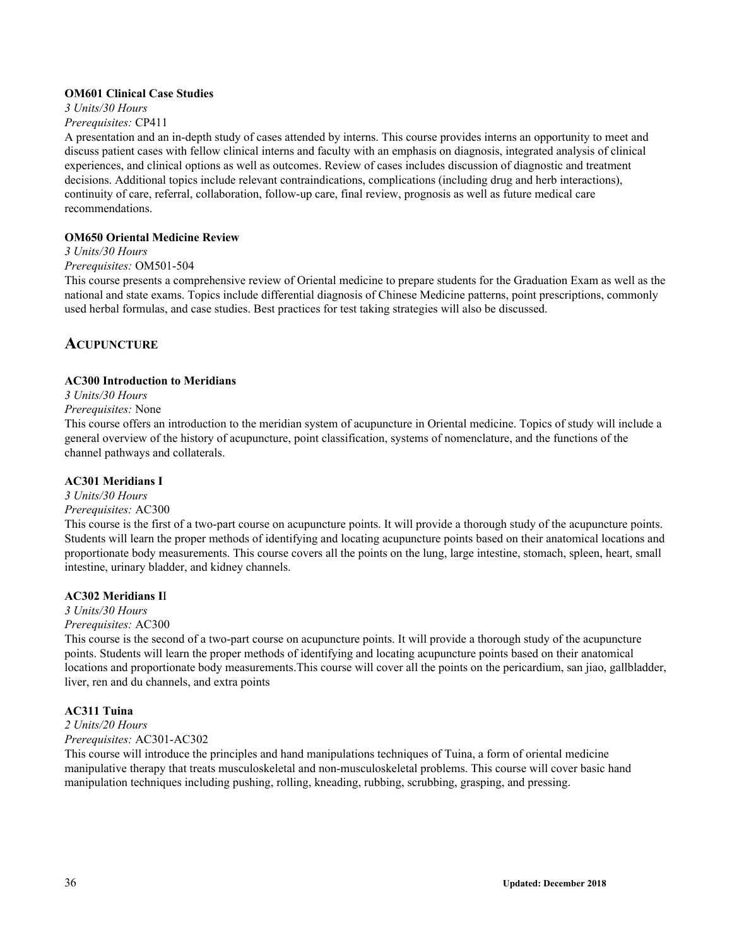#### **OM601 Clinical Case Studies**

#### *3 Units/30 Hours*

#### *Prerequisites:* CP411

A presentation and an in-depth study of cases attended by interns. This course provides interns an opportunity to meet and discuss patient cases with fellow clinical interns and faculty with an emphasis on diagnosis, integrated analysis of clinical experiences, and clinical options as well as outcomes. Review of cases includes discussion of diagnostic and treatment decisions. Additional topics include relevant contraindications, complications (including drug and herb interactions), continuity of care, referral, collaboration, follow-up care, final review, prognosis as well as future medical care recommendations.

#### **OM650 Oriental Medicine Review**

#### *3 Units/30 Hours*

#### *Prerequisites:* OM501-504

This course presents a comprehensive review of Oriental medicine to prepare students for the Graduation Exam as well as the national and state exams. Topics include differential diagnosis of Chinese Medicine patterns, point prescriptions, commonly used herbal formulas, and case studies. Best practices for test taking strategies will also be discussed.

### <span id="page-35-0"></span>**ACUPUNCTURE**

#### **AC300 Introduction to Meridians**

### *3 Units/30 Hours*

#### *Prerequisites:* None

This course offers an introduction to the meridian system of acupuncture in Oriental medicine. Topics of study will include a general overview of the history of acupuncture, point classification, systems of nomenclature, and the functions of the channel pathways and collaterals.

#### **AC301 Meridians I**

## *3 Units/30 Hours*

#### *Prerequisites:* AC300

This course is the first of a two-part course on acupuncture points. It will provide a thorough study of the acupuncture points. Students will learn the proper methods of identifying and locating acupuncture points based on their anatomical locations and proportionate body measurements. This course covers all the points on the lung, large intestine, stomach, spleen, heart, small intestine, urinary bladder, and kidney channels.

#### **AC302 Meridians I**I

#### *3 Units/30 Hours*

#### *Prerequisites:* AC300

This course is the second of a two-part course on acupuncture points. It will provide a thorough study of the acupuncture points. Students will learn the proper methods of identifying and locating acupuncture points based on their anatomical locations and proportionate body measurements.This course will cover all the points on the pericardium, san jiao, gallbladder, liver, ren and du channels, and extra points

#### **AC311 Tuina**

# *2 Units/20 Hours*

# *Prerequisites:* AC301-AC302

This course will introduce the principles and hand manipulations techniques of Tuina, a form of oriental medicine manipulative therapy that treats musculoskeletal and non-musculoskeletal problems. This course will cover basic hand manipulation techniques including pushing, rolling, kneading, rubbing, scrubbing, grasping, and pressing.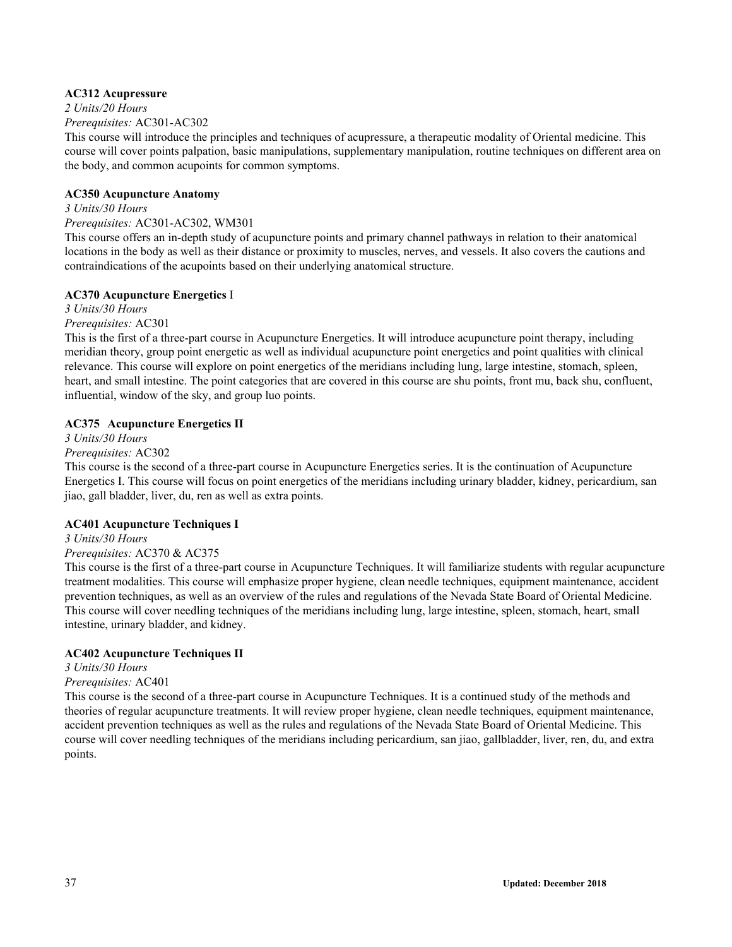## **AC312 Acupressure**

*2 Units/20 Hours*

*Prerequisites:* AC301-AC302

This course will introduce the principles and techniques of acupressure, a therapeutic modality of Oriental medicine. This course will cover points palpation, basic manipulations, supplementary manipulation, routine techniques on different area on the body, and common acupoints for common symptoms.

## **AC350 Acupuncture Anatomy**

## *3 Units/30 Hours*

## *Prerequisites:* AC301-AC302, WM301

This course offers an in-depth study of acupuncture points and primary channel pathways in relation to their anatomical locations in the body as well as their distance or proximity to muscles, nerves, and vessels. It also covers the cautions and contraindications of the acupoints based on their underlying anatomical structure.

## **AC370 Acupuncture Energetics** I

#### *3 Units/30 Hours*

*Prerequisites:* AC301

This is the first of a three-part course in Acupuncture Energetics. It will introduce acupuncture point therapy, including meridian theory, group point energetic as well as individual acupuncture point energetics and point qualities with clinical relevance. This course will explore on point energetics of the meridians including lung, large intestine, stomach, spleen, heart, and small intestine. The point categories that are covered in this course are shu points, front mu, back shu, confluent, influential, window of the sky, and group luo points.

## **AC375 Acupuncture Energetics II**

## *3 Units/30 Hours*

## *Prerequisites:* AC302

This course is the second of a three-part course in Acupuncture Energetics series. It is the continuation of Acupuncture Energetics I. This course will focus on point energetics of the meridians including urinary bladder, kidney, pericardium, san jiao, gall bladder, liver, du, ren as well as extra points.

## **AC401 Acupuncture Techniques I**

*3 Units/30 Hours Prerequisites:* AC370 & AC375

This course is the first of a three-part course in Acupuncture Techniques. It will familiarize students with regular acupuncture treatment modalities. This course will emphasize proper hygiene, clean needle techniques, equipment maintenance, accident prevention techniques, as well as an overview of the rules and regulations of the Nevada State Board of Oriental Medicine. This course will cover needling techniques of the meridians including lung, large intestine, spleen, stomach, heart, small intestine, urinary bladder, and kidney.

## **AC402 Acupuncture Techniques II**

## *3 Units/30 Hours*

## *Prerequisites:* AC401

This course is the second of a three-part course in Acupuncture Techniques. It is a continued study of the methods and theories of regular acupuncture treatments. It will review proper hygiene, clean needle techniques, equipment maintenance, accident prevention techniques as well as the rules and regulations of the Nevada State Board of Oriental Medicine. This course will cover needling techniques of the meridians including pericardium, san jiao, gallbladder, liver, ren, du, and extra points.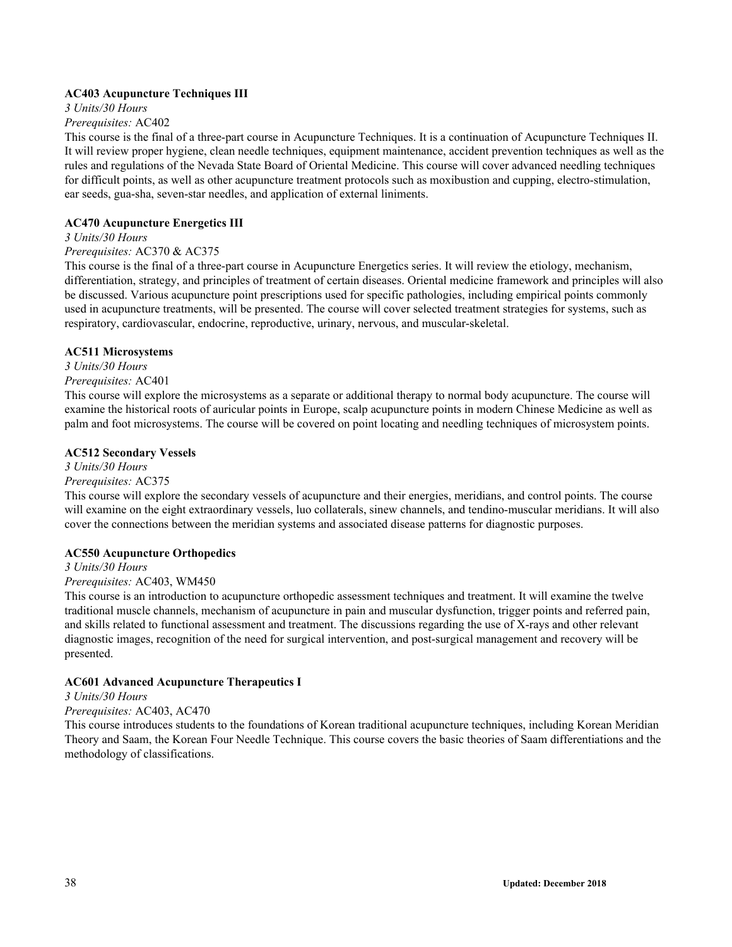## **AC403 Acupuncture Techniques III**

*3 Units/30 Hours*

#### *Prerequisites:* AC402

This course is the final of a three-part course in Acupuncture Techniques. It is a continuation of Acupuncture Techniques II. It will review proper hygiene, clean needle techniques, equipment maintenance, accident prevention techniques as well as the rules and regulations of the Nevada State Board of Oriental Medicine. This course will cover advanced needling techniques for difficult points, as well as other acupuncture treatment protocols such as moxibustion and cupping, electro-stimulation, ear seeds, gua-sha, seven-star needles, and application of external liniments.

#### **AC470 Acupuncture Energetics III**

#### *3 Units/30 Hours*

#### *Prerequisites:* AC370 & AC375

This course is the final of a three-part course in Acupuncture Energetics series. It will review the etiology, mechanism, differentiation, strategy, and principles of treatment of certain diseases. Oriental medicine framework and principles will also be discussed. Various acupuncture point prescriptions used for specific pathologies, including empirical points commonly used in acupuncture treatments, will be presented. The course will cover selected treatment strategies for systems, such as respiratory, cardiovascular, endocrine, reproductive, urinary, nervous, and muscular-skeletal.

#### **AC511 Microsystems**

*3 Units/30 Hours*

## *Prerequisites:* AC401

This course will explore the microsystems as a separate or additional therapy to normal body acupuncture. The course will examine the historical roots of auricular points in Europe, scalp acupuncture points in modern Chinese Medicine as well as palm and foot microsystems. The course will be covered on point locating and needling techniques of microsystem points.

#### **AC512 Secondary Vessels**

## *3 Units/30 Hours*

## *Prerequisites:* AC375

This course will explore the secondary vessels of acupuncture and their energies, meridians, and control points. The course will examine on the eight extraordinary vessels, luo collaterals, sinew channels, and tendino-muscular meridians. It will also cover the connections between the meridian systems and associated disease patterns for diagnostic purposes.

#### **AC550 Acupuncture Orthopedics**

*3 Units/30 Hours*

## *Prerequisites:* AC403, WM450

This course is an introduction to acupuncture orthopedic assessment techniques and treatment. It will examine the twelve traditional muscle channels, mechanism of acupuncture in pain and muscular dysfunction, trigger points and referred pain, and skills related to functional assessment and treatment. The discussions regarding the use of X-rays and other relevant diagnostic images, recognition of the need for surgical intervention, and post-surgical management and recovery will be presented.

## **AC601 Advanced Acupuncture Therapeutics I**

#### *3 Units/30 Hours*

#### *Prerequisites:* AC403, AC470

This course introduces students to the foundations of Korean traditional acupuncture techniques, including Korean Meridian Theory and Saam, the Korean Four Needle Technique. This course covers the basic theories of Saam differentiations and the methodology of classifications.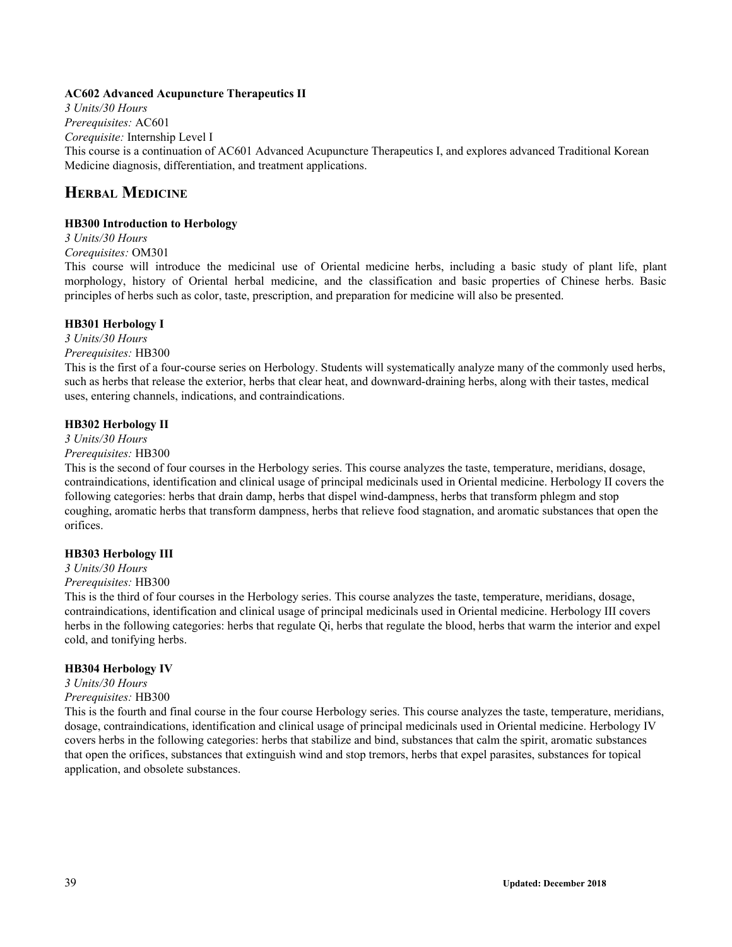#### **AC602 Advanced Acupuncture Therapeutics II**

*3 Units/30 Hours Prerequisites:* AC601 *Corequisite:* Internship Level I This course is a continuation of AC601 Advanced Acupuncture Therapeutics I, and explores advanced Traditional Korean Medicine diagnosis, differentiation, and treatment applications.

## **HERBAL MEDICINE**

## **HB300 Introduction to Herbology**

*3 Units/30 Hours*

*Corequisites:* OM301

This course will introduce the medicinal use of Oriental medicine herbs, including a basic study of plant life, plant morphology, history of Oriental herbal medicine, and the classification and basic properties of Chinese herbs. Basic principles of herbs such as color, taste, prescription, and preparation for medicine will also be presented.

#### **HB301 Herbology I**

*3 Units/30 Hours*

*Prerequisites:* HB300

This is the first of a four-course series on Herbology. Students will systematically analyze many of the commonly used herbs, such as herbs that release the exterior, herbs that clear heat, and downward-draining herbs, along with their tastes, medical uses, entering channels, indications, and contraindications.

#### **HB302 Herbology II**

*3 Units/30 Hours*

*Prerequisites:* HB300

This is the second of four courses in the Herbology series. This course analyzes the taste, temperature, meridians, dosage, contraindications, identification and clinical usage of principal medicinals used in Oriental medicine. Herbology II covers the following categories: herbs that drain damp, herbs that dispel wind-dampness, herbs that transform phlegm and stop coughing, aromatic herbs that transform dampness, herbs that relieve food stagnation, and aromatic substances that open the orifices.

## **HB303 Herbology III**

## *3 Units/30 Hours*

## *Prerequisites:* HB300

This is the third of four courses in the Herbology series. This course analyzes the taste, temperature, meridians, dosage, contraindications, identification and clinical usage of principal medicinals used in Oriental medicine. Herbology III covers herbs in the following categories: herbs that regulate Qi, herbs that regulate the blood, herbs that warm the interior and expel cold, and tonifying herbs.

## **HB304 Herbology IV**

*3 Units/30 Hours*

## *Prerequisites:* HB300

This is the fourth and final course in the four course Herbology series. This course analyzes the taste, temperature, meridians, dosage, contraindications, identification and clinical usage of principal medicinals used in Oriental medicine. Herbology IV covers herbs in the following categories: herbs that stabilize and bind, substances that calm the spirit, aromatic substances that open the orifices, substances that extinguish wind and stop tremors, herbs that expel parasites, substances for topical application, and obsolete substances.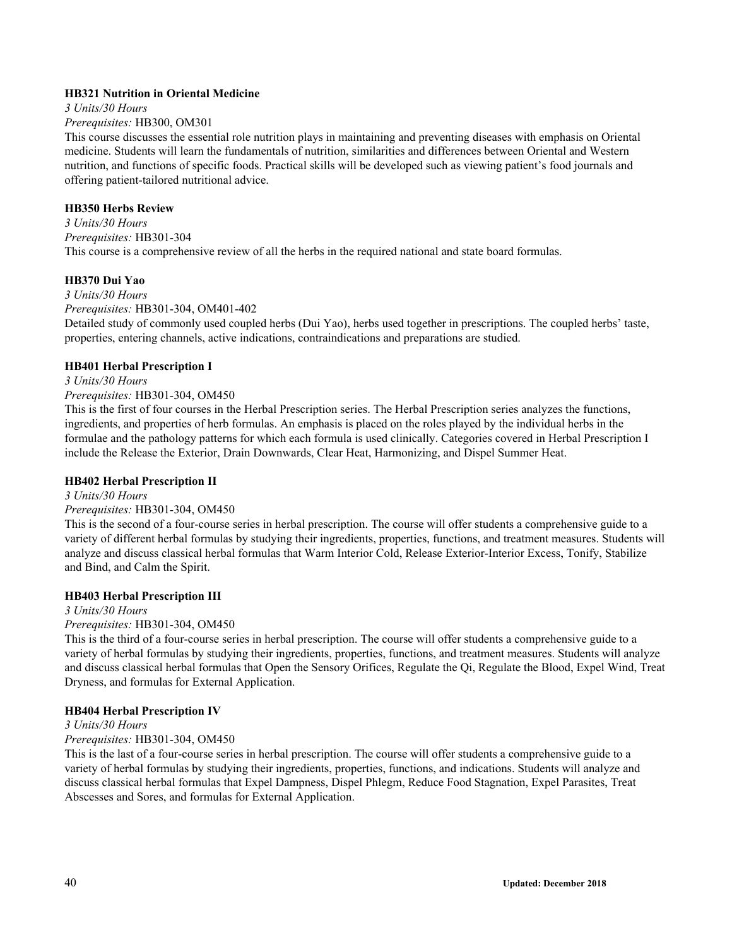## **HB321 Nutrition in Oriental Medicine**

*3 Units/30 Hours*

## *Prerequisites:* HB300, OM301

This course discusses the essential role nutrition plays in maintaining and preventing diseases with emphasis on Oriental medicine. Students will learn the fundamentals of nutrition, similarities and differences between Oriental and Western nutrition, and functions of specific foods. Practical skills will be developed such as viewing patient's food journals and offering patient-tailored nutritional advice.

## **HB350 Herbs Review**

*3 Units/30 Hours Prerequisites:* HB301-304 This course is a comprehensive review of all the herbs in the required national and state board formulas.

## **HB370 Dui Yao**

*3 Units/30 Hours Prerequisites:* HB301-304, OM401-402

Detailed study of commonly used coupled herbs (Dui Yao), herbs used together in prescriptions. The coupled herbs' taste, properties, entering channels, active indications, contraindications and preparations are studied.

## **HB401 Herbal Prescription I**

## *3 Units/30 Hours Prerequisites:* HB301-304, OM450

This is the first of four courses in the Herbal Prescription series. The Herbal Prescription series analyzes the functions, ingredients, and properties of herb formulas. An emphasis is placed on the roles played by the individual herbs in the formulae and the pathology patterns for which each formula is used clinically. Categories covered in Herbal Prescription I include the Release the Exterior, Drain Downwards, Clear Heat, Harmonizing, and Dispel Summer Heat.

## **HB402 Herbal Prescription II**

## *3 Units/30 Hours*

## *Prerequisites:* HB301-304, OM450

This is the second of a four-course series in herbal prescription. The course will offer students a comprehensive guide to a variety of different herbal formulas by studying their ingredients, properties, functions, and treatment measures. Students will analyze and discuss classical herbal formulas that Warm Interior Cold, Release Exterior-Interior Excess, Tonify, Stabilize and Bind, and Calm the Spirit.

## **HB403 Herbal Prescription III**

## *3 Units/30 Hours*

## *Prerequisites:* HB301-304, OM450

This is the third of a four-course series in herbal prescription. The course will offer students a comprehensive guide to a variety of herbal formulas by studying their ingredients, properties, functions, and treatment measures. Students will analyze and discuss classical herbal formulas that Open the Sensory Orifices, Regulate the Qi, Regulate the Blood, Expel Wind, Treat Dryness, and formulas for External Application.

## **HB404 Herbal Prescription IV**

## *3 Units/30 Hours*

## *Prerequisites:* HB301-304, OM450

This is the last of a four-course series in herbal prescription. The course will offer students a comprehensive guide to a variety of herbal formulas by studying their ingredients, properties, functions, and indications. Students will analyze and discuss classical herbal formulas that Expel Dampness, Dispel Phlegm, Reduce Food Stagnation, Expel Parasites, Treat Abscesses and Sores, and formulas for External Application.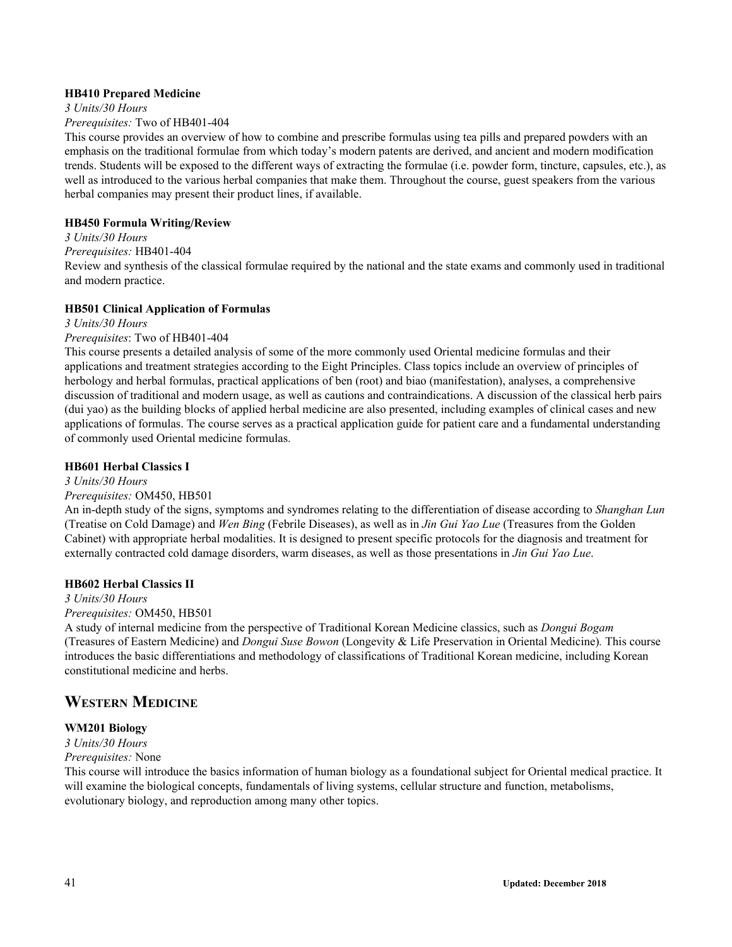#### **HB410 Prepared Medicine**

*3 Units/30 Hours Prerequisites:* Two of HB401-404

This course provides an overview of how to combine and prescribe formulas using tea pills and prepared powders with an emphasis on the traditional formulae from which today's modern patents are derived, and ancient and modern modification trends. Students will be exposed to the different ways of extracting the formulae (i.e. powder form, tincture, capsules, etc.), as well as introduced to the various herbal companies that make them. Throughout the course, guest speakers from the various herbal companies may present their product lines, if available.

## **HB450 Formula Writing/Review**

#### *3 Units/30 Hours*

*Prerequisites:* HB401-404

Review and synthesis of the classical formulae required by the national and the state exams and commonly used in traditional and modern practice.

#### **HB501 Clinical Application of Formulas**

*3 Units/30 Hours*

#### *Prerequisites*: Two of HB401-404

This course presents a detailed analysis of some of the more commonly used Oriental medicine formulas and their applications and treatment strategies according to the Eight Principles. Class topics include an overview of principles of herbology and herbal formulas, practical applications of ben (root) and biao (manifestation), analyses, a comprehensive discussion of traditional and modern usage, as well as cautions and contraindications. A discussion of the classical herb pairs (dui yao) as the building blocks of applied herbal medicine are also presented, including examples of clinical cases and new applications of formulas. The course serves as a practical application guide for patient care and a fundamental understanding of commonly used Oriental medicine formulas.

## **HB601 Herbal Classics I**

*3 Units/30 Hours*

#### *Prerequisites:* OM450, HB501

An in-depth study of the signs, symptoms and syndromes relating to the differentiation of disease according to *Shanghan Lun* (Treatise on Cold Damage) and *Wen Bing* (Febrile Diseases), as well as in *Jin Gui Yao Lue* (Treasures from the Golden Cabinet) with appropriate herbal modalities. It is designed to present specific protocols for the diagnosis and treatment for externally contracted cold damage disorders, warm diseases, as well as those presentations in *Jin Gui Yao Lue*.

#### **HB602 Herbal Classics II**

*3 Units/30 Hours*

## *Prerequisites:* OM450, HB501

A study of internal medicine from the perspective of Traditional Korean Medicine classics, such as *Dongui Bogam* (Treasures of Eastern Medicine) and *Dongui Suse Bowon* (Longevity & Life Preservation in Oriental Medicine)*.* This course introduces the basic differentiations and methodology of classifications of Traditional Korean medicine, including Korean constitutional medicine and herbs.

## **WESTERN MEDICINE**

## **WM201 Biology**

*3 Units/30 Hours*

#### *Prerequisites:* None

This course will introduce the basics information of human biology as a foundational subject for Oriental medical practice. It will examine the biological concepts, fundamentals of living systems, cellular structure and function, metabolisms, evolutionary biology, and reproduction among many other topics.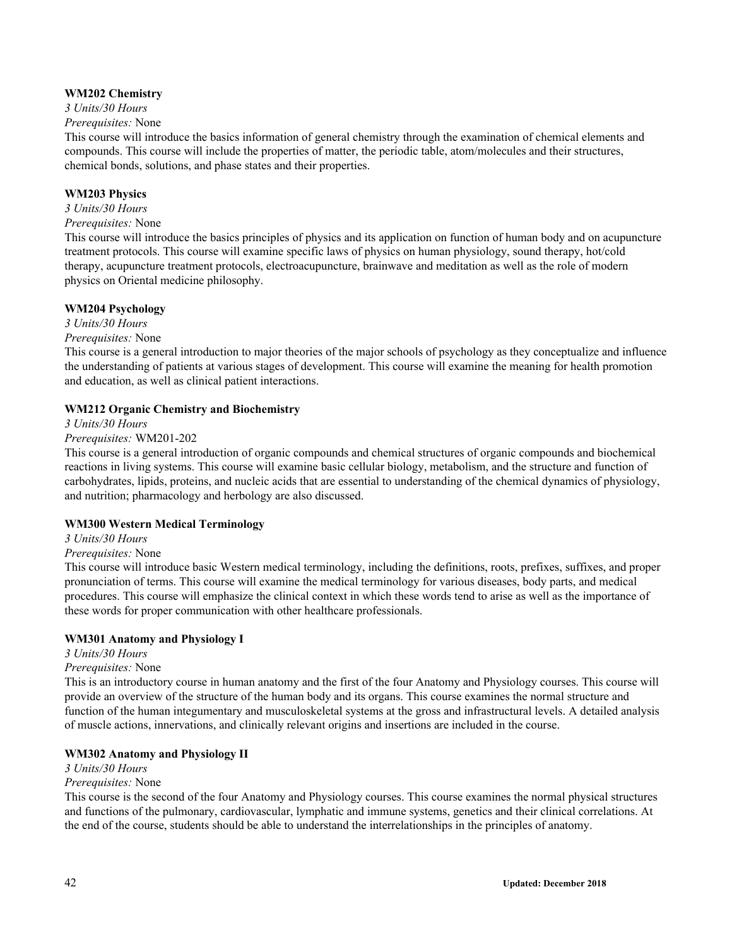## **WM202 Chemistry**

*3 Units/30 Hours Prerequisites:* None

This course will introduce the basics information of general chemistry through the examination of chemical elements and compounds. This course will include the properties of matter, the periodic table, atom/molecules and their structures, chemical bonds, solutions, and phase states and their properties.

## **WM203 Physics**

## *3 Units/30 Hours*

## *Prerequisites:* None

This course will introduce the basics principles of physics and its application on function of human body and on acupuncture treatment protocols. This course will examine specific laws of physics on human physiology, sound therapy, hot/cold therapy, acupuncture treatment protocols, electroacupuncture, brainwave and meditation as well as the role of modern physics on Oriental medicine philosophy.

## **WM204 Psychology**

*3 Units/30 Hours*

#### *Prerequisites:* None

This course is a general introduction to major theories of the major schools of psychology as they conceptualize and influence the understanding of patients at various stages of development. This course will examine the meaning for health promotion and education, as well as clinical patient interactions.

## **WM212 Organic Chemistry and Biochemistry**

*3 Units/30 Hours*

## *Prerequisites:* WM201-202

This course is a general introduction of organic compounds and chemical structures of organic compounds and biochemical reactions in living systems. This course will examine basic cellular biology, metabolism, and the structure and function of carbohydrates, lipids, proteins, and nucleic acids that are essential to understanding of the chemical dynamics of physiology, and nutrition; pharmacology and herbology are also discussed.

## **WM300 Western Medical Terminology**

*3 Units/30 Hours*

## *Prerequisites:* None

This course will introduce basic Western medical terminology, including the definitions, roots, prefixes, suffixes, and proper pronunciation of terms. This course will examine the medical terminology for various diseases, body parts, and medical procedures. This course will emphasize the clinical context in which these words tend to arise as well as the importance of these words for proper communication with other healthcare professionals.

## **WM301 Anatomy and Physiology I**

*3 Units/30 Hours*

## *Prerequisites:* None

This is an introductory course in human anatomy and the first of the four Anatomy and Physiology courses. This course will provide an overview of the structure of the human body and its organs. This course examines the normal structure and function of the human integumentary and musculoskeletal systems at the gross and infrastructural levels. A detailed analysis of muscle actions, innervations, and clinically relevant origins and insertions are included in the course.

## **WM302 Anatomy and Physiology II**

## *3 Units/30 Hours*

## *Prerequisites:* None

This course is the second of the four Anatomy and Physiology courses. This course examines the normal physical structures and functions of the pulmonary, cardiovascular, lymphatic and immune systems, genetics and their clinical correlations. At the end of the course, students should be able to understand the interrelationships in the principles of anatomy.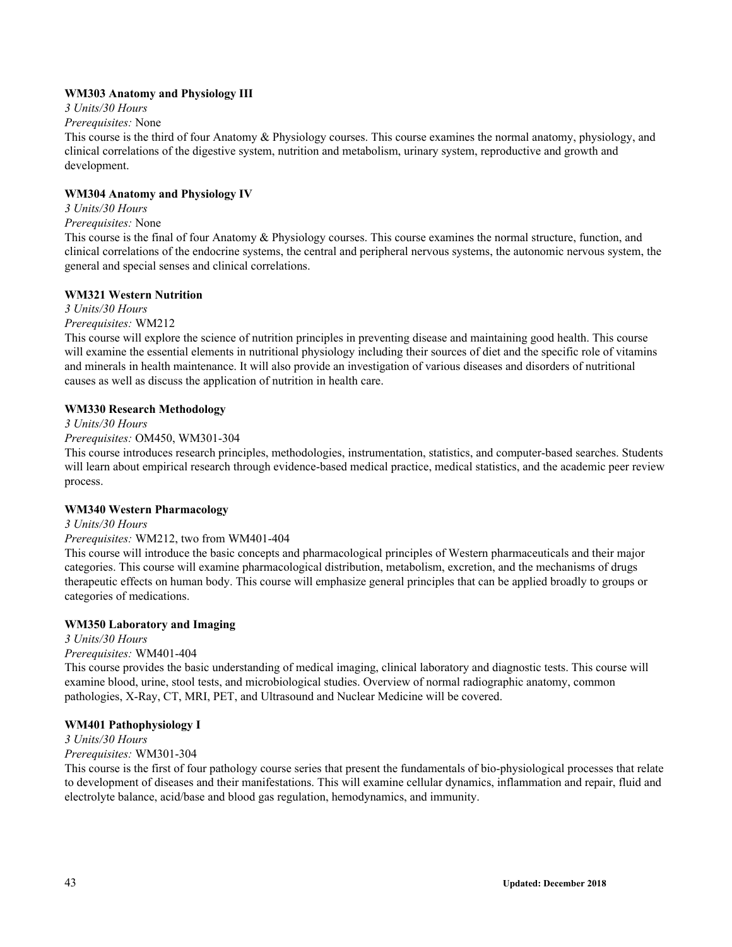## **WM303 Anatomy and Physiology III**

*3 Units/30 Hours*

*Prerequisites:* None

This course is the third of four Anatomy & Physiology courses. This course examines the normal anatomy, physiology, and clinical correlations of the digestive system, nutrition and metabolism, urinary system, reproductive and growth and development.

## **WM304 Anatomy and Physiology IV**

## *3 Units/30 Hours*

## *Prerequisites:* None

This course is the final of four Anatomy & Physiology courses. This course examines the normal structure, function, and clinical correlations of the endocrine systems, the central and peripheral nervous systems, the autonomic nervous system, the general and special senses and clinical correlations.

## **WM321 Western Nutrition**

## *3 Units/30 Hours*

*Prerequisites:* WM212

This course will explore the science of nutrition principles in preventing disease and maintaining good health. This course will examine the essential elements in nutritional physiology including their sources of diet and the specific role of vitamins and minerals in health maintenance. It will also provide an investigation of various diseases and disorders of nutritional causes as well as discuss the application of nutrition in health care.

## **WM330 Research Methodology**

*3 Units/30 Hours*

## *Prerequisites:* OM450, WM301-304

This course introduces research principles, methodologies, instrumentation, statistics, and computer-based searches. Students will learn about empirical research through evidence-based medical practice, medical statistics, and the academic peer review process.

## **WM340 Western Pharmacology**

## *3 Units/30 Hours*

## *Prerequisites:* WM212, two from WM401-404

This course will introduce the basic concepts and pharmacological principles of Western pharmaceuticals and their major categories. This course will examine pharmacological distribution, metabolism, excretion, and the mechanisms of drugs therapeutic effects on human body. This course will emphasize general principles that can be applied broadly to groups or categories of medications.

## **WM350 Laboratory and Imaging**

*3 Units/30 Hours*

## *Prerequisites:* WM401-404

This course provides the basic understanding of medical imaging, clinical laboratory and diagnostic tests. This course will examine blood, urine, stool tests, and microbiological studies. Overview of normal radiographic anatomy, common pathologies, X-Ray, CT, MRI, PET, and Ultrasound and Nuclear Medicine will be covered.

## **WM401 Pathophysiology I**

*3 Units/30 Hours*

## *Prerequisites:* WM301-304

This course is the first of four pathology course series that present the fundamentals of bio-physiological processes that relate to development of diseases and their manifestations. This will examine cellular dynamics, inflammation and repair, fluid and electrolyte balance, acid/base and blood gas regulation, hemodynamics, and immunity.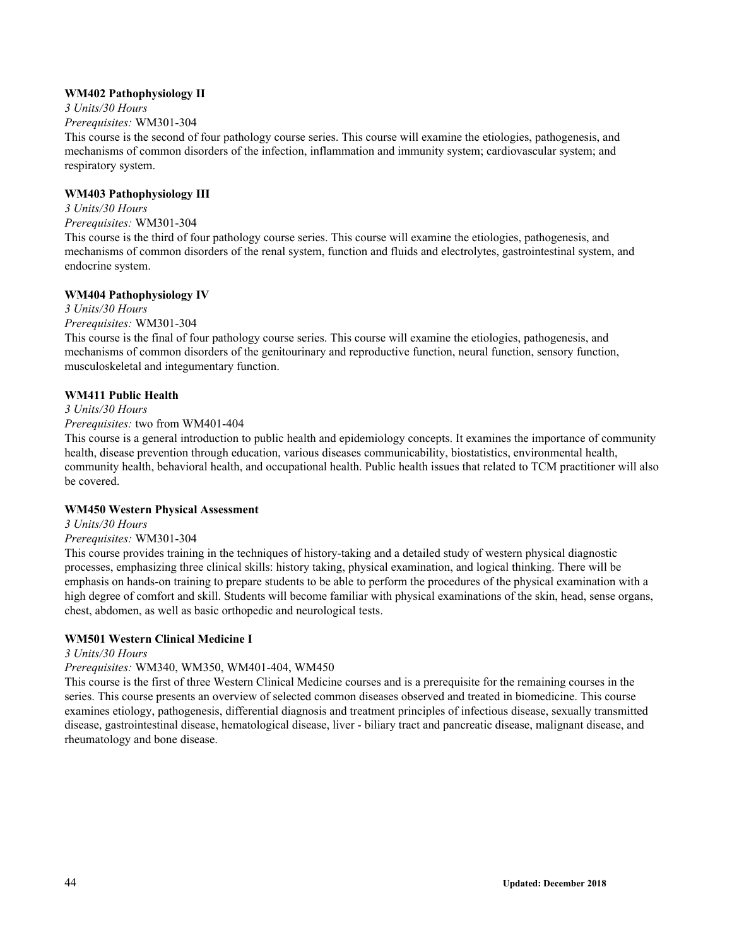## **WM402 Pathophysiology II**

*3 Units/30 Hours Prerequisites:* WM301-304

This course is the second of four pathology course series. This course will examine the etiologies, pathogenesis, and mechanisms of common disorders of the infection, inflammation and immunity system; cardiovascular system; and respiratory system.

## **WM403 Pathophysiology III**

*3 Units/30 Hours Prerequisites:* WM301-304

This course is the third of four pathology course series. This course will examine the etiologies, pathogenesis, and mechanisms of common disorders of the renal system, function and fluids and electrolytes, gastrointestinal system, and endocrine system.

## **WM404 Pathophysiology IV**

*3 Units/30 Hours*

*Prerequisites:* WM301-304

This course is the final of four pathology course series. This course will examine the etiologies, pathogenesis, and mechanisms of common disorders of the genitourinary and reproductive function, neural function, sensory function, musculoskeletal and integumentary function.

## **WM411 Public Health**

*3 Units/30 Hours*

## *Prerequisites:* two from WM401-404

This course is a general introduction to public health and epidemiology concepts. It examines the importance of community health, disease prevention through education, various diseases communicability, biostatistics, environmental health, community health, behavioral health, and occupational health. Public health issues that related to TCM practitioner will also be covered.

## **WM450 Western Physical Assessment**

*3 Units/30 Hours*

## *Prerequisites:* WM301-304

This course provides training in the techniques of history-taking and a detailed study of western physical diagnostic processes, emphasizing three clinical skills: history taking, physical examination, and logical thinking. There will be emphasis on hands-on training to prepare students to be able to perform the procedures of the physical examination with a high degree of comfort and skill. Students will become familiar with physical examinations of the skin, head, sense organs, chest, abdomen, as well as basic orthopedic and neurological tests.

## **WM501 Western Clinical Medicine I**

#### *3 Units/30 Hours*

*Prerequisites:* WM340, WM350, WM401-404, WM450

This course is the first of three Western Clinical Medicine courses and is a prerequisite for the remaining courses in the series. This course presents an overview of selected common diseases observed and treated in biomedicine. This course examines etiology, pathogenesis, differential diagnosis and treatment principles of infectious disease, sexually transmitted disease, gastrointestinal disease, hematological disease, liver - biliary tract and pancreatic disease, malignant disease, and rheumatology and bone disease.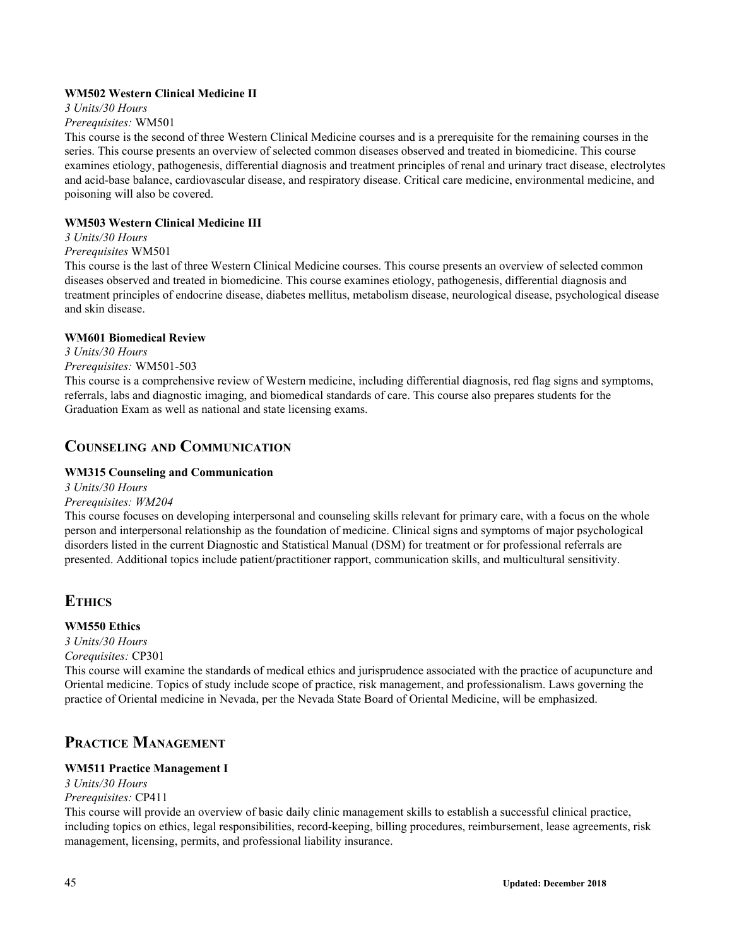## **WM502 Western Clinical Medicine II**

*3 Units/30 Hours*

#### *Prerequisites:* WM501

This course is the second of three Western Clinical Medicine courses and is a prerequisite for the remaining courses in the series. This course presents an overview of selected common diseases observed and treated in biomedicine. This course examines etiology, pathogenesis, differential diagnosis and treatment principles of renal and urinary tract disease, electrolytes and acid-base balance, cardiovascular disease, and respiratory disease. Critical care medicine, environmental medicine, and poisoning will also be covered.

## **WM503 Western Clinical Medicine III**

## *3 Units/30 Hours*

#### *Prerequisites* WM501

This course is the last of three Western Clinical Medicine courses. This course presents an overview of selected common diseases observed and treated in biomedicine. This course examines etiology, pathogenesis, differential diagnosis and treatment principles of endocrine disease, diabetes mellitus, metabolism disease, neurological disease, psychological disease and skin disease.

#### **WM601 Biomedical Review**

*3 Units/30 Hours*

#### *Prerequisites:* WM501-503

This course is a comprehensive review of Western medicine, including differential diagnosis, red flag signs and symptoms, referrals, labs and diagnostic imaging, and biomedical standards of care. This course also prepares students for the Graduation Exam as well as national and state licensing exams.

## **COUNSELING AND COMMUNICATION**

## **WM315 Counseling and Communication**

*3 Units/30 Hours*

## *Prerequisites: WM204*

This course focuses on developing interpersonal and counseling skills relevant for primary care, with a focus on the whole person and interpersonal relationship as the foundation of medicine. Clinical signs and symptoms of major psychological disorders listed in the current Diagnostic and Statistical Manual (DSM) for treatment or for professional referrals are presented. Additional topics include patient/practitioner rapport, communication skills, and multicultural sensitivity.

## **ETHICS**

## **WM550 Ethics**

*3 Units/30 Hours Corequisites:* CP301

This course will examine the standards of medical ethics and jurisprudence associated with the practice of acupuncture and Oriental medicine. Topics of study include scope of practice, risk management, and professionalism. Laws governing the practice of Oriental medicine in Nevada, per the Nevada State Board of Oriental Medicine, will be emphasized.

## **PRACTICE MANAGEMENT**

## **WM511 Practice Management I**

#### *3 Units/30 Hours Prerequisites:* CP411

This course will provide an overview of basic daily clinic management skills to establish a successful clinical practice, including topics on ethics, legal responsibilities, record-keeping, billing procedures, reimbursement, lease agreements, risk management, licensing, permits, and professional liability insurance.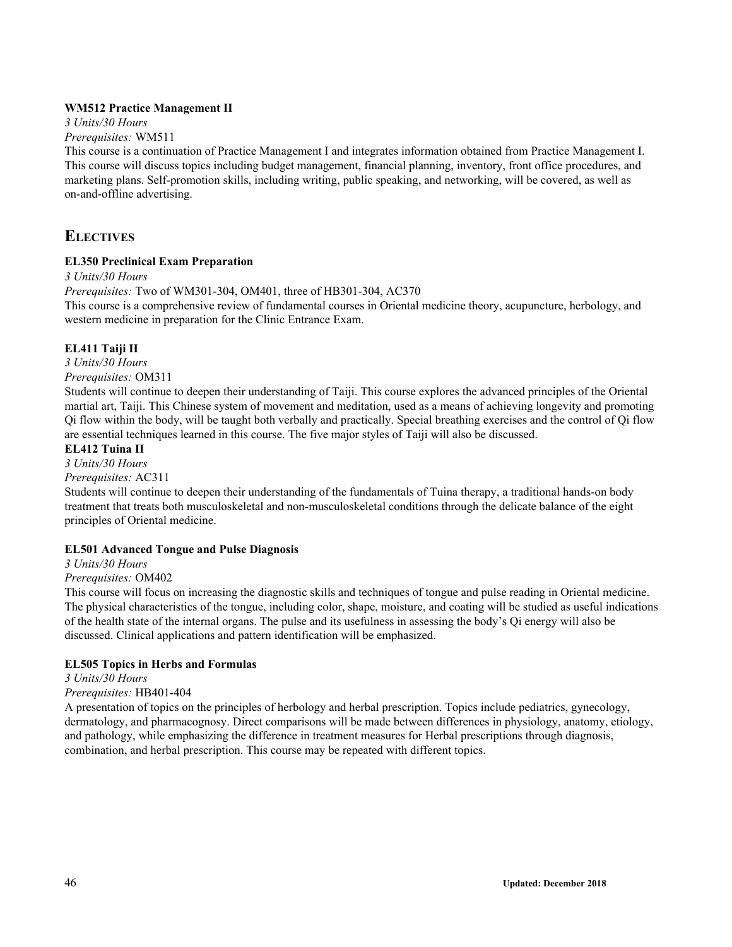## **WM512 Practice Management II**

*3 Units/30 Hours*

## *Prerequisites:* WM511

This course is a continuation of Practice Management I and integrates information obtained from Practice Management I. This course will discuss topics including budget management, financial planning, inventory, front office procedures, and marketing plans. Self-promotion skills, including writing, public speaking, and networking, will be covered, as well as on-and-offline advertising.

## **ELECTIVES**

## **EL350 Preclinical Exam Preparation**

*3 Units/30 Hours*

*Prerequisites:* Two of WM301-304, OM401, three of HB301-304, AC370

This course is a comprehensive review of fundamental courses in Oriental medicine theory, acupuncture, herbology, and western medicine in preparation for the Clinic Entrance Exam.

## **EL411 Taiji II**

*3 Units/30 Hours*

*Prerequisites:* OM311

Students will continue to deepen their understanding of Taiji. This course explores the advanced principles of the Oriental martial art, Taiji. This Chinese system of movement and meditation, used as a means of achieving longevity and promoting Qi flow within the body, will be taught both verbally and practically. Special breathing exercises and the control of Qi flow are essential techniques learned in this course. The five major styles of Taiji will also be discussed.

## **EL412 Tuina II**

*3 Units/30 Hours*

## *Prerequisites:* AC311

Students will continue to deepen their understanding of the fundamentals of Tuina therapy, a traditional hands-on body treatment that treats both musculoskeletal and non-musculoskeletal conditions through the delicate balance of the eight principles of Oriental medicine.

## **EL501 Advanced Tongue and Pulse Diagnosis**

*3 Units/30 Hours*

## *Prerequisites:* OM402

This course will focus on increasing the diagnostic skills and techniques of tongue and pulse reading in Oriental medicine. The physical characteristics of the tongue, including color, shape, moisture, and coating will be studied as useful indications of the health state of the internal organs. The pulse and its usefulness in assessing the body's Qi energy will also be discussed. Clinical applications and pattern identification will be emphasized.

## **EL505 Topics in Herbs and Formulas**

*3 Units/30 Hours*

## *Prerequisites:* HB401-404

A presentation of topics on the principles of herbology and herbal prescription. Topics include pediatrics, gynecology, dermatology, and pharmacognosy. Direct comparisons will be made between differences in physiology, anatomy, etiology, and pathology, while emphasizing the difference in treatment measures for Herbal prescriptions through diagnosis, combination, and herbal prescription. This course may be repeated with different topics.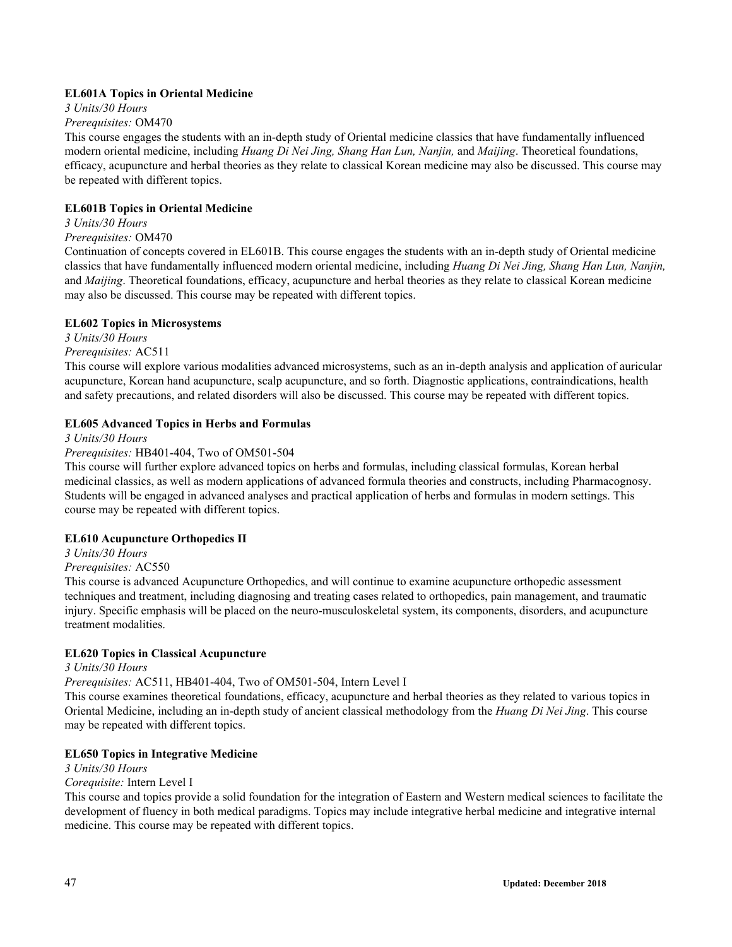## **EL601A Topics in Oriental Medicine**

*3 Units/30 Hours*

#### *Prerequisites:* OM470

This course engages the students with an in-depth study of Oriental medicine classics that have fundamentally influenced modern oriental medicine, including *Huang Di Nei Jing, Shang Han Lun, Nanjin,* and *Maijing*. Theoretical foundations, efficacy, acupuncture and herbal theories as they relate to classical Korean medicine may also be discussed. This course may be repeated with different topics.

## **EL601B Topics in Oriental Medicine**

## *3 Units/30 Hours*

## *Prerequisites:* OM470

Continuation of concepts covered in EL601B. This course engages the students with an in-depth study of Oriental medicine classics that have fundamentally influenced modern oriental medicine, including *Huang Di Nei Jing, Shang Han Lun, Nanjin,* and *Maijing*. Theoretical foundations, efficacy, acupuncture and herbal theories as they relate to classical Korean medicine may also be discussed. This course may be repeated with different topics.

#### **EL602 Topics in Microsystems**

*3 Units/30 Hours*

*Prerequisites:* AC511

This course will explore various modalities advanced microsystems, such as an in-depth analysis and application of auricular acupuncture, Korean hand acupuncture, scalp acupuncture, and so forth. Diagnostic applications, contraindications, health and safety precautions, and related disorders will also be discussed. This course may be repeated with different topics.

#### **EL605 Advanced Topics in Herbs and Formulas**

*3 Units/30 Hours*

## *Prerequisites:* HB401-404, Two of OM501-504

This course will further explore advanced topics on herbs and formulas, including classical formulas, Korean herbal medicinal classics, as well as modern applications of advanced formula theories and constructs, including Pharmacognosy. Students will be engaged in advanced analyses and practical application of herbs and formulas in modern settings. This course may be repeated with different topics.

## **EL610 Acupuncture Orthopedics II**

## *3 Units/30 Hours*

## *Prerequisites:* AC550

This course is advanced Acupuncture Orthopedics, and will continue to examine acupuncture orthopedic assessment techniques and treatment, including diagnosing and treating cases related to orthopedics, pain management, and traumatic injury. Specific emphasis will be placed on the neuro-musculoskeletal system, its components, disorders, and acupuncture treatment modalities.

## **EL620 Topics in Classical Acupuncture**

## *3 Units/30 Hours*

*Prerequisites:* AC511, HB401-404, Two of OM501-504, Intern Level I

This course examines theoretical foundations, efficacy, acupuncture and herbal theories as they related to various topics in Oriental Medicine, including an in-depth study of ancient classical methodology from the *Huang Di Nei Jing*. This course may be repeated with different topics.

## **EL650 Topics in Integrative Medicine**

*3 Units/30 Hours*

## *Corequisite:* Intern Level I

This course and topics provide a solid foundation for the integration of Eastern and Western medical sciences to facilitate the development of fluency in both medical paradigms. Topics may include integrative herbal medicine and integrative internal medicine. This course may be repeated with different topics.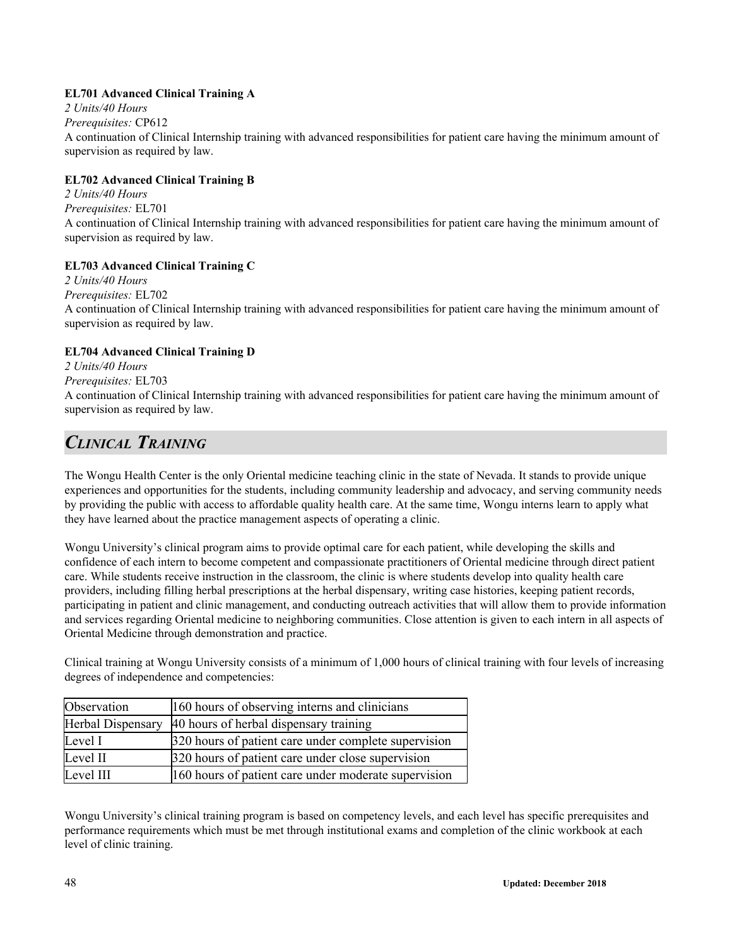## **EL701 Advanced Clinical Training A**

*2 Units/40 Hours*

*Prerequisites:* CP612

A continuation of Clinical Internship training with advanced responsibilities for patient care having the minimum amount of supervision as required by law.

## **EL702 Advanced Clinical Training B**

*2 Units/40 Hours Prerequisites:* EL701 A continuation of Clinical Internship training with advanced responsibilities for patient care having the minimum amount of supervision as required by law.

## **EL703 Advanced Clinical Training C**

*2 Units/40 Hours Prerequisites:* EL702 A continuation of Clinical Internship training with advanced responsibilities for patient care having the minimum amount of supervision as required by law.

## **EL704 Advanced Clinical Training D**

*2 Units/40 Hours Prerequisites:* EL703

A continuation of Clinical Internship training with advanced responsibilities for patient care having the minimum amount of supervision as required by law.

## *CLINICAL TRAINING*

The Wongu Health Center is the only Oriental medicine teaching clinic in the state of Nevada. It stands to provide unique experiences and opportunities for the students, including community leadership and advocacy, and serving community needs by providing the public with access to affordable quality health care. At the same time, Wongu interns learn to apply what they have learned about the practice management aspects of operating a clinic.

Wongu University's clinical program aims to provide optimal care for each patient, while developing the skills and confidence of each intern to become competent and compassionate practitioners of Oriental medicine through direct patient care. While students receive instruction in the classroom, the clinic is where students develop into quality health care providers, including filling herbal prescriptions at the herbal dispensary, writing case histories, keeping patient records, participating in patient and clinic management, and conducting outreach activities that will allow them to provide information and services regarding Oriental medicine to neighboring communities. Close attention is given to each intern in all aspects of Oriental Medicine through demonstration and practice.

Clinical training at Wongu University consists of a minimum of 1,000 hours of clinical training with four levels of increasing degrees of independence and competencies:

| Observation              | 160 hours of observing interns and clinicians        |
|--------------------------|------------------------------------------------------|
| <b>Herbal Dispensary</b> | 40 hours of herbal dispensary training               |
| Level I                  | 320 hours of patient care under complete supervision |
| Level II                 | 320 hours of patient care under close supervision    |
| Level III                | 160 hours of patient care under moderate supervision |

Wongu University's clinical training program is based on competency levels, and each level has specific prerequisites and performance requirements which must be met through institutional exams and completion of the clinic workbook at each level of clinic training.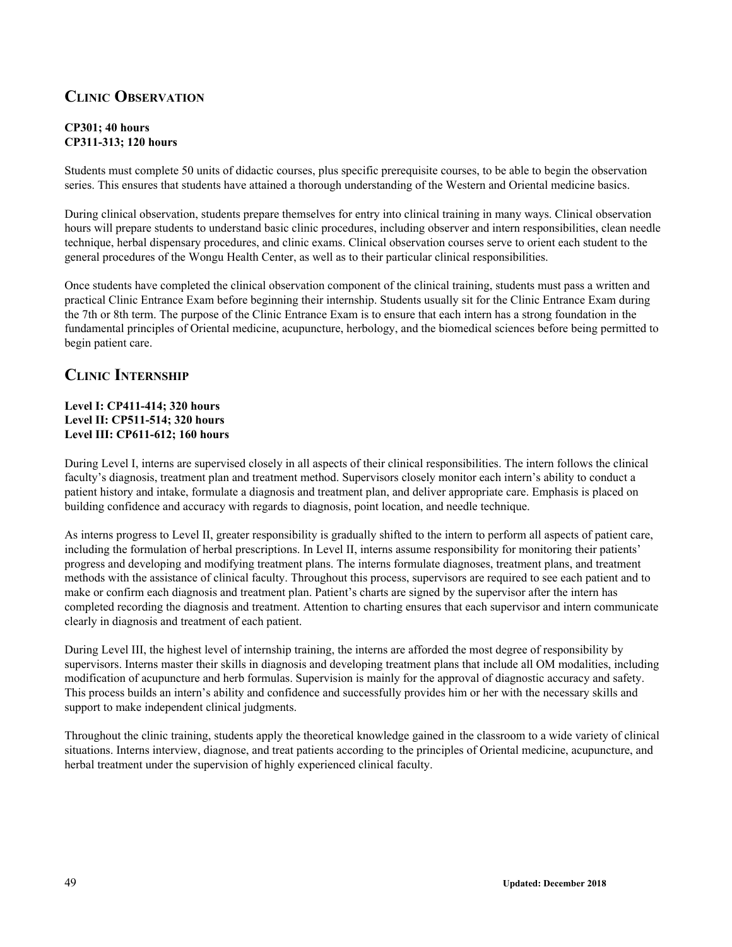## **CLINIC OBSERVATION**

## **CP301; 40 hours CP311-313; 120 hours**

Students must complete 50 units of didactic courses, plus specific prerequisite courses, to be able to begin the observation series. This ensures that students have attained a thorough understanding of the Western and Oriental medicine basics.

During clinical observation, students prepare themselves for entry into clinical training in many ways. Clinical observation hours will prepare students to understand basic clinic procedures, including observer and intern responsibilities, clean needle technique, herbal dispensary procedures, and clinic exams. Clinical observation courses serve to orient each student to the general procedures of the Wongu Health Center, as well as to their particular clinical responsibilities.

Once students have completed the clinical observation component of the clinical training, students must pass a written and practical Clinic Entrance Exam before beginning their internship. Students usually sit for the Clinic Entrance Exam during the 7th or 8th term. The purpose of the Clinic Entrance Exam is to ensure that each intern has a strong foundation in the fundamental principles of Oriental medicine, acupuncture, herbology, and the biomedical sciences before being permitted to begin patient care.

## **CLINIC INTERNSHIP**

## **Level I: CP411-414; 320 hours Level II: CP511-514; 320 hours Level III: CP611-612; 160 hours**

During Level I, interns are supervised closely in all aspects of their clinical responsibilities. The intern follows the clinical faculty's diagnosis, treatment plan and treatment method. Supervisors closely monitor each intern's ability to conduct a patient history and intake, formulate a diagnosis and treatment plan, and deliver appropriate care. Emphasis is placed on building confidence and accuracy with regards to diagnosis, point location, and needle technique.

As interns progress to Level II, greater responsibility is gradually shifted to the intern to perform all aspects of patient care, including the formulation of herbal prescriptions. In Level II, interns assume responsibility for monitoring their patients' progress and developing and modifying treatment plans. The interns formulate diagnoses, treatment plans, and treatment methods with the assistance of clinical faculty. Throughout this process, supervisors are required to see each patient and to make or confirm each diagnosis and treatment plan. Patient's charts are signed by the supervisor after the intern has completed recording the diagnosis and treatment. Attention to charting ensures that each supervisor and intern communicate clearly in diagnosis and treatment of each patient.

During Level III, the highest level of internship training, the interns are afforded the most degree of responsibility by supervisors. Interns master their skills in diagnosis and developing treatment plans that include all OM modalities, including modification of acupuncture and herb formulas. Supervision is mainly for the approval of diagnostic accuracy and safety. This process builds an intern's ability and confidence and successfully provides him or her with the necessary skills and support to make independent clinical judgments.

Throughout the clinic training, students apply the theoretical knowledge gained in the classroom to a wide variety of clinical situations. Interns interview, diagnose, and treat patients according to the principles of Oriental medicine, acupuncture, and herbal treatment under the supervision of highly experienced clinical faculty.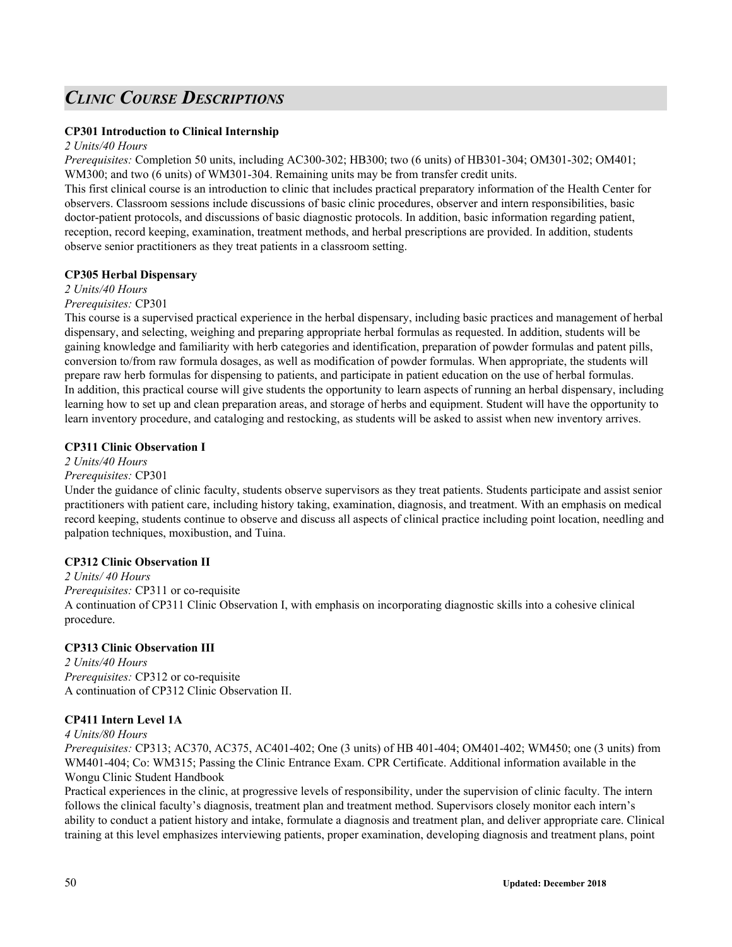## *CLINIC COURSE DESCRIPTIONS*

## **CP301 Introduction to Clinical Internship**

#### *2 Units/40 Hours*

*Prerequisites:* Completion 50 units, including AC300-302; HB300; two (6 units) of HB301-304; OM301-302; OM401; WM300; and two (6 units) of WM301-304. Remaining units may be from transfer credit units.

This first clinical course is an introduction to clinic that includes practical preparatory information of the Health Center for observers. Classroom sessions include discussions of basic clinic procedures, observer and intern responsibilities, basic doctor-patient protocols, and discussions of basic diagnostic protocols. In addition, basic information regarding patient, reception, record keeping, examination, treatment methods, and herbal prescriptions are provided. In addition, students observe senior practitioners as they treat patients in a classroom setting.

#### **CP305 Herbal Dispensary**

#### *2 Units/40 Hours*

## *Prerequisites:* CP301

This course is a supervised practical experience in the herbal dispensary, including basic practices and management of herbal dispensary, and selecting, weighing and preparing appropriate herbal formulas as requested. In addition, students will be gaining knowledge and familiarity with herb categories and identification, preparation of powder formulas and patent pills, conversion to/from raw formula dosages, as well as modification of powder formulas. When appropriate, the students will prepare raw herb formulas for dispensing to patients, and participate in patient education on the use of herbal formulas. In addition, this practical course will give students the opportunity to learn aspects of running an herbal dispensary, including learning how to set up and clean preparation areas, and storage of herbs and equipment. Student will have the opportunity to learn inventory procedure, and cataloging and restocking, as students will be asked to assist when new inventory arrives.

## **CP311 Clinic Observation I**

*2 Units/40 Hours Prerequisites:* CP301

Under the guidance of clinic faculty, students observe supervisors as they treat patients. Students participate and assist senior practitioners with patient care, including history taking, examination, diagnosis, and treatment. With an emphasis on medical record keeping, students continue to observe and discuss all aspects of clinical practice including point location, needling and palpation techniques, moxibustion, and Tuina.

## **CP312 Clinic Observation II**

*2 Units/ 40 Hours Prerequisites:* CP311 or co-requisite A continuation of CP311 Clinic Observation I, with emphasis on incorporating diagnostic skills into a cohesive clinical procedure.

## **CP313 Clinic Observation III**

*2 Units/40 Hours Prerequisites:* CP312 or co-requisite A continuation of CP312 Clinic Observation II.

## **CP411 Intern Level 1A**

#### *4 Units/80 Hours*

*Prerequisites:* CP313; AC370, AC375, AC401-402; One (3 units) of HB 401-404; OM401-402; WM450; one (3 units) from WM401-404; Co: WM315; Passing the Clinic Entrance Exam. CPR Certificate. Additional information available in the Wongu Clinic Student Handbook

Practical experiences in the clinic, at progressive levels of responsibility, under the supervision of clinic faculty. The intern follows the clinical faculty's diagnosis, treatment plan and treatment method. Supervisors closely monitor each intern's ability to conduct a patient history and intake, formulate a diagnosis and treatment plan, and deliver appropriate care. Clinical training at this level emphasizes interviewing patients, proper examination, developing diagnosis and treatment plans, point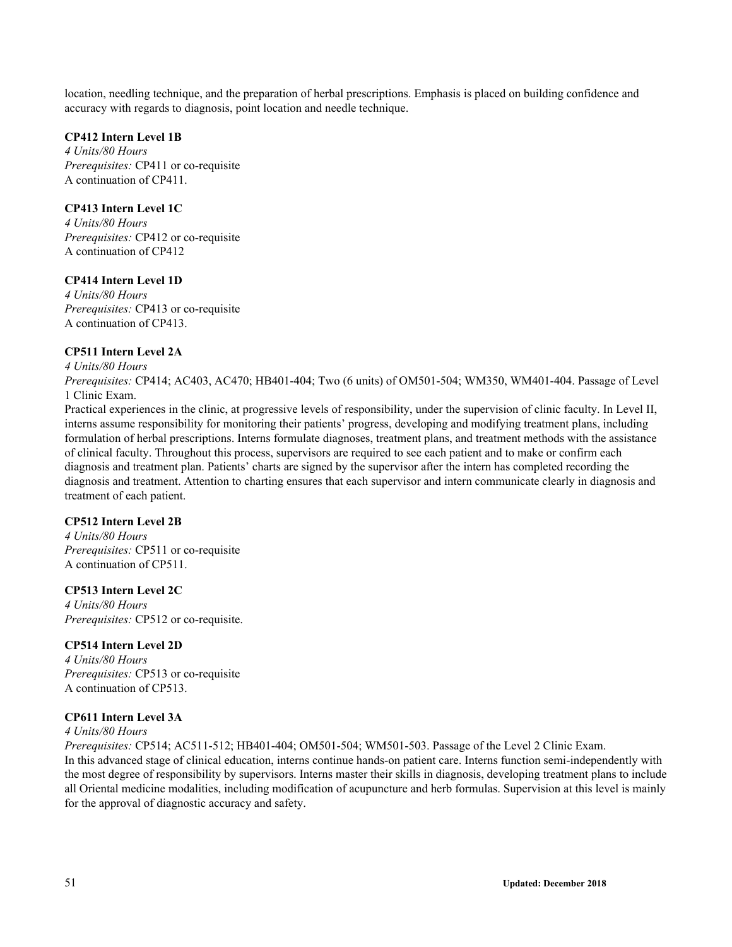location, needling technique, and the preparation of herbal prescriptions. Emphasis is placed on building confidence and accuracy with regards to diagnosis, point location and needle technique.

## **CP412 Intern Level 1B**

*4 Units/80 Hours Prerequisites:* CP411 or co-requisite A continuation of CP411.

## **CP413 Intern Level 1C**

*4 Units/80 Hours Prerequisites:* CP412 or co-requisite A continuation of CP412

## **CP414 Intern Level 1D**

*4 Units/80 Hours Prerequisites:* CP413 or co-requisite A continuation of CP413.

## **CP511 Intern Level 2A**

*4 Units/80 Hours*

*Prerequisites:* CP414; AC403, AC470; HB401-404; Two (6 units) of OM501-504; WM350, WM401-404. Passage of Level 1 Clinic Exam.

Practical experiences in the clinic, at progressive levels of responsibility, under the supervision of clinic faculty. In Level II, interns assume responsibility for monitoring their patients' progress, developing and modifying treatment plans, including formulation of herbal prescriptions. Interns formulate diagnoses, treatment plans, and treatment methods with the assistance of clinical faculty. Throughout this process, supervisors are required to see each patient and to make or confirm each diagnosis and treatment plan. Patients' charts are signed by the supervisor after the intern has completed recording the diagnosis and treatment. Attention to charting ensures that each supervisor and intern communicate clearly in diagnosis and treatment of each patient.

## **CP512 Intern Level 2B**

*4 Units/80 Hours Prerequisites:* CP511 or co-requisite A continuation of CP511.

## **CP513 Intern Level 2C**

*4 Units/80 Hours Prerequisites:* CP512 or co-requisite.

## **CP514 Intern Level 2D**

*4 Units/80 Hours Prerequisites:* CP513 or co-requisite A continuation of CP513.

## **CP611 Intern Level 3A**

## *4 Units/80 Hours*

*Prerequisites:* CP514; AC511-512; HB401-404; OM501-504; WM501-503. Passage of the Level 2 Clinic Exam. In this advanced stage of clinical education, interns continue hands-on patient care. Interns function semi-independently with the most degree of responsibility by supervisors. Interns master their skills in diagnosis, developing treatment plans to include all Oriental medicine modalities, including modification of acupuncture and herb formulas. Supervision at this level is mainly for the approval of diagnostic accuracy and safety.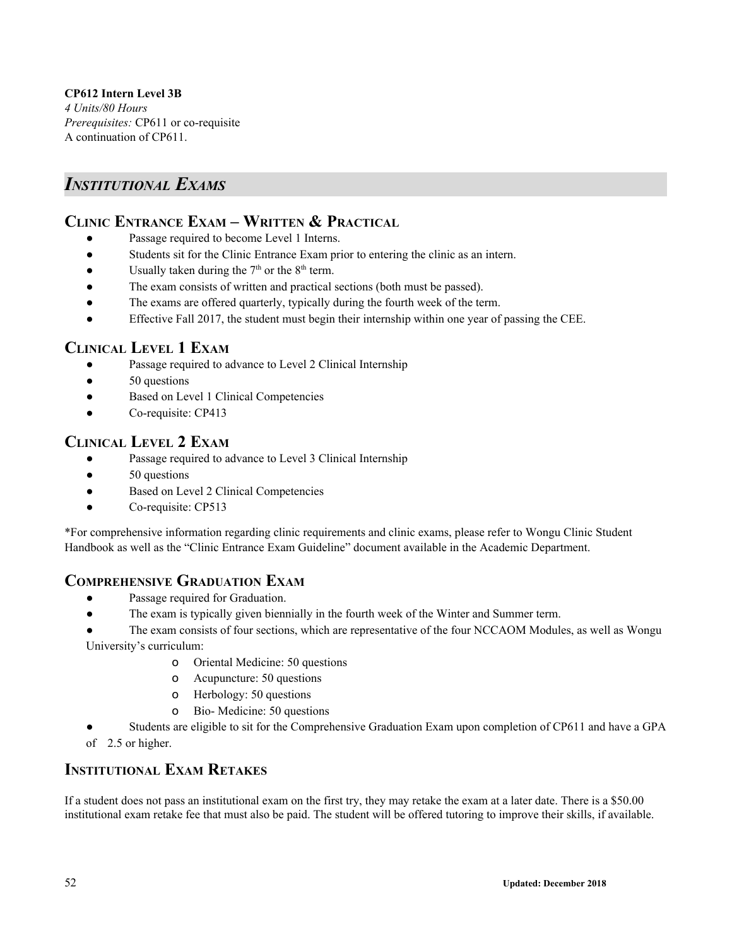**CP612 Intern Level 3B** *4 Units/80 Hours Prerequisites:* CP611 or co-requisite A continuation of CP611.

## *INSTITUTIONAL EXAMS*

## **CLINIC ENTRANCE EXAM – WRITTEN & PRACTICAL**

- Passage required to become Level 1 Interns.
- Students sit for the Clinic Entrance Exam prior to entering the clinic as an intern.
- Usually taken during the  $7<sup>th</sup>$  or the  $8<sup>th</sup>$  term.
- The exam consists of written and practical sections (both must be passed).
- The exams are offered quarterly, typically during the fourth week of the term.
- Effective Fall 2017, the student must begin their internship within one year of passing the CEE.

## **CLINICAL LEVEL 1 EXAM**

- Passage required to advance to Level 2 Clinical Internship
- 50 questions
- Based on Level 1 Clinical Competencies
- Co-requisite: CP413

## **CLINICAL LEVEL 2 EXAM**

- Passage required to advance to Level 3 Clinical Internship
- 50 questions
- Based on Level 2 Clinical Competencies
- Co-requisite: CP513

\*For comprehensive information regarding clinic requirements and clinic exams, please refer to Wongu Clinic Student Handbook as well as the "Clinic Entrance Exam Guideline" document available in the Academic Department.

## **COMPREHENSIVE GRADUATION EXAM**

- Passage required for Graduation.
- The exam is typically given biennially in the fourth week of the Winter and Summer term.

The exam consists of four sections, which are representative of the four NCCAOM Modules, as well as Wongu

University's curriculum:

- o Oriental Medicine: 50 questions
- o Acupuncture: 50 questions
- o Herbology: 50 questions
- o Bio- Medicine: 50 questions
- Students are eligible to sit for the Comprehensive Graduation Exam upon completion of CP611 and have a GPA of 2.5 or higher.

## **INSTITUTIONAL EXAM RETAKES**

If a student does not pass an institutional exam on the first try, they may retake the exam at a later date. There is a \$50.00 institutional exam retake fee that must also be paid. The student will be offered tutoring to improve their skills, if available.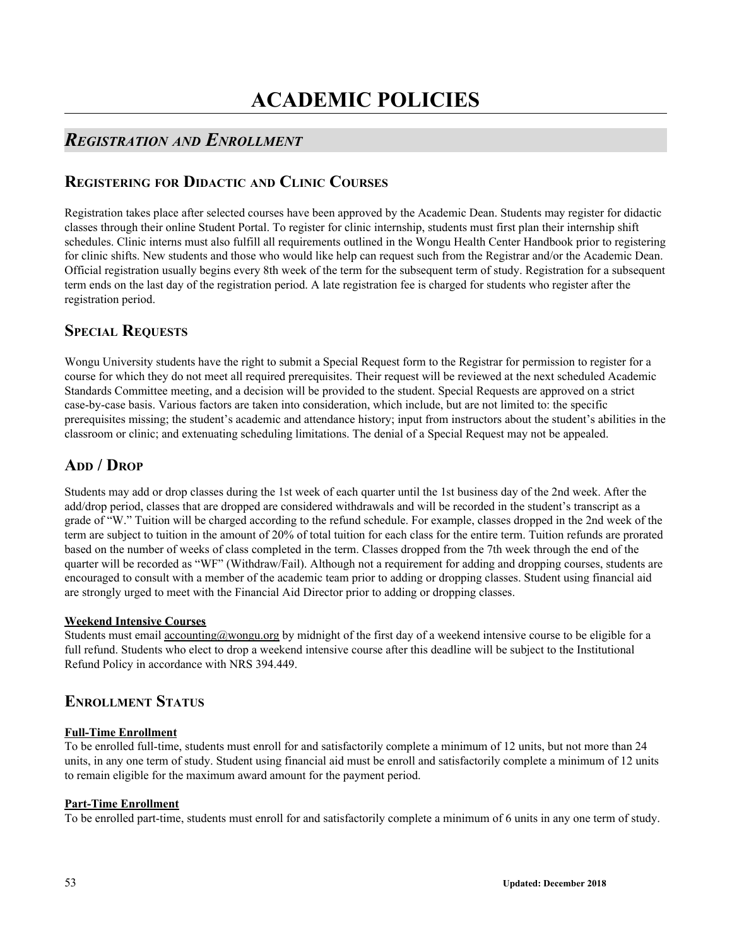# **ACADEMIC POLICIES**

## *REGISTRATION AND ENROLLMENT*

## **REGISTERING FOR DIDACTIC AND CLINIC COURSES**

Registration takes place after selected courses have been approved by the Academic Dean. Students may register for didactic classes through their online Student Portal. To register for clinic internship, students must first plan their internship shift schedules. Clinic interns must also fulfill all requirements outlined in the Wongu Health Center Handbook prior to registering for clinic shifts. New students and those who would like help can request such from the Registrar and/or the Academic Dean. Official registration usually begins every 8th week of the term for the subsequent term of study. Registration for a subsequent term ends on the last day of the registration period. A late registration fee is charged for students who register after the registration period.

## **SPECIAL REQUESTS**

Wongu University students have the right to submit a Special Request form to the Registrar for permission to register for a course for which they do not meet all required prerequisites. Their request will be reviewed at the next scheduled Academic Standards Committee meeting, and a decision will be provided to the student. Special Requests are approved on a strict case-by-case basis. Various factors are taken into consideration, which include, but are not limited to: the specific prerequisites missing; the student's academic and attendance history; input from instructors about the student's abilities in the classroom or clinic; and extenuating scheduling limitations. The denial of a Special Request may not be appealed.

## A<sub>DD</sub> / D<sub>ROP</sub>

Students may add or drop classes during the 1st week of each quarter until the 1st business day of the 2nd week. After the add/drop period, classes that are dropped are considered withdrawals and will be recorded in the student's transcript as a grade of "W." Tuition will be charged according to the refund schedule. For example, classes dropped in the 2nd week of the term are subject to tuition in the amount of 20% of total tuition for each class for the entire term. Tuition refunds are prorated based on the number of weeks of class completed in the term. Classes dropped from the 7th week through the end of the quarter will be recorded as "WF" (Withdraw/Fail). Although not a requirement for adding and dropping courses, students are encouraged to consult with a member of the academic team prior to adding or dropping classes. Student using financial aid are strongly urged to meet with the Financial Aid Director prior to adding or dropping classes.

## **Weekend Intensive Courses**

Students must email accounting@wongu.org by midnight of the first day of a weekend intensive course to be eligible for a full refund. Students who elect to drop a weekend intensive course after this deadline will be subject to the Institutional Refund Policy in accordance with NRS 394.449.

## **ENROLLMENT STATUS**

## **Full-Time Enrollment**

To be enrolled full-time, students must enroll for and satisfactorily complete a minimum of 12 units, but not more than 24 units, in any one term of study. Student using financial aid must be enroll and satisfactorily complete a minimum of 12 units to remain eligible for the maximum award amount for the payment period.

## **Part-Time Enrollment**

To be enrolled part-time, students must enroll for and satisfactorily complete a minimum of 6 units in any one term of study.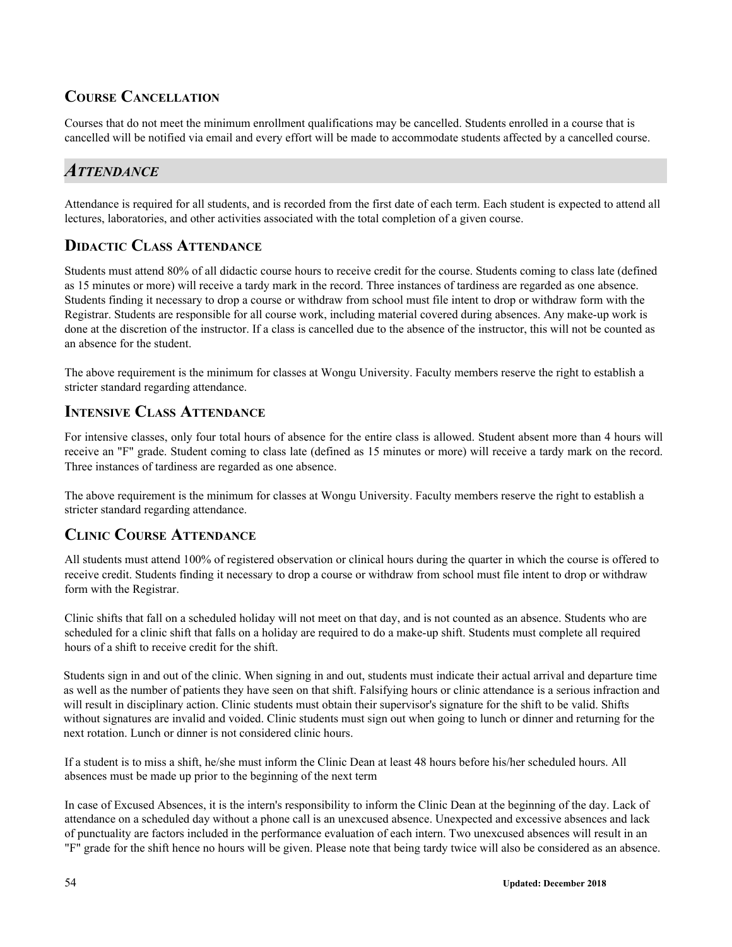## **COURSE CANCELLATION**

Courses that do not meet the minimum enrollment qualifications may be cancelled. Students enrolled in a course that is cancelled will be notified via email and every effort will be made to accommodate students affected by a cancelled course.

## *ATTENDANCE*

Attendance is required for all students, and is recorded from the first date of each term. Each student is expected to attend all lectures, laboratories, and other activities associated with the total completion of a given course.

## **DIDACTIC CLASS ATTENDANCE**

Students must attend 80% of all didactic course hours to receive credit for the course. Students coming to class late (defined as 15 minutes or more) will receive a tardy mark in the record. Three instances of tardiness are regarded as one absence. Students finding it necessary to drop a course or withdraw from school must file intent to drop or withdraw form with the Registrar. Students are responsible for all course work, including material covered during absences. Any make-up work is done at the discretion of the instructor. If a class is cancelled due to the absence of the instructor, this will not be counted as an absence for the student.

The above requirement is the minimum for classes at Wongu University. Faculty members reserve the right to establish a stricter standard regarding attendance.

## **INTENSIVE CLASS ATTENDANCE**

For intensive classes, only four total hours of absence for the entire class is allowed. Student absent more than 4 hours will receive an "F" grade. Student coming to class late (defined as 15 minutes or more) will receive a tardy mark on the record. Three instances of tardiness are regarded as one absence.

The above requirement is the minimum for classes at Wongu University. Faculty members reserve the right to establish a stricter standard regarding attendance.

## **CLINIC COURSE ATTENDANCE**

All students must attend 100% of registered observation or clinical hours during the quarter in which the course is offered to receive credit. Students finding it necessary to drop a course or withdraw from school must file intent to drop or withdraw form with the Registrar.

Clinic shifts that fall on a scheduled holiday will not meet on that day, and is not counted as an absence. Students who are scheduled for a clinic shift that falls on a holiday are required to do a make-up shift. Students must complete all required hours of a shift to receive credit for the shift.

Students sign in and out of the clinic. When signing in and out, students must indicate their actual arrival and departure time as well as the number of patients they have seen on that shift. Falsifying hours or clinic attendance is a serious infraction and will result in disciplinary action. Clinic students must obtain their supervisor's signature for the shift to be valid. Shifts without signatures are invalid and voided. Clinic students must sign out when going to lunch or dinner and returning for the next rotation. Lunch or dinner is not considered clinic hours.

If a student is to miss a shift, he/she must inform the Clinic Dean at least 48 hours before his/her scheduled hours. All absences must be made up prior to the beginning of the next term

In case of Excused Absences, it is the intern's responsibility to inform the Clinic Dean at the beginning of the day. Lack of attendance on a scheduled day without a phone call is an unexcused absence. Unexpected and excessive absences and lack of punctuality are factors included in the performance evaluation of each intern. Two unexcused absences will result in an "F" grade for the shift hence no hours will be given. Please note that being tardy twice will also be considered as an absence.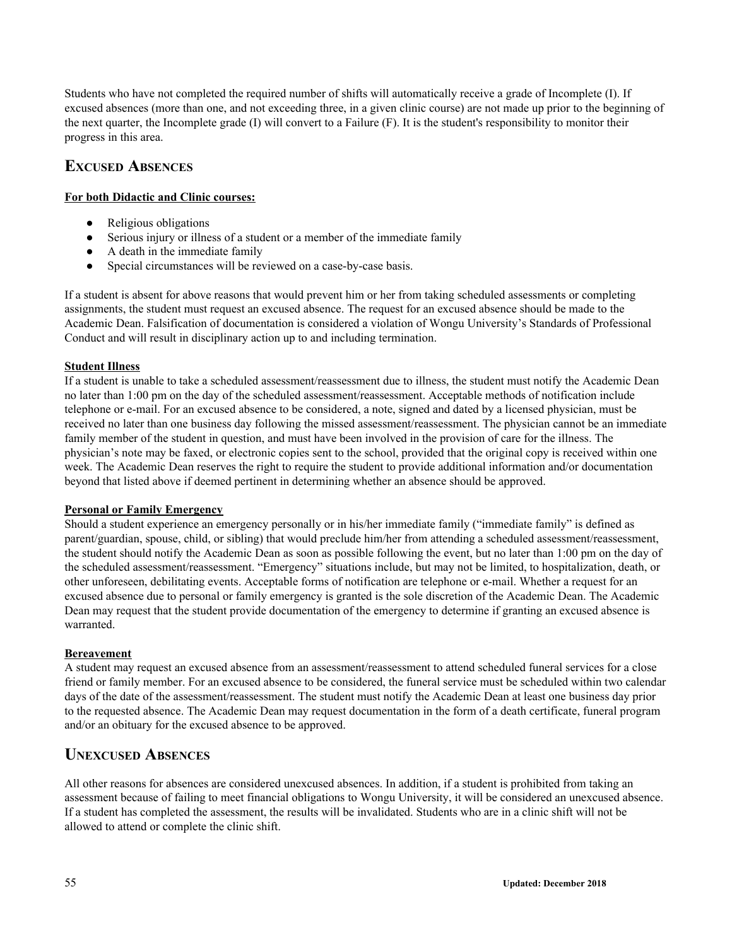Students who have not completed the required number of shifts will automatically receive a grade of Incomplete (I). If excused absences (more than one, and not exceeding three, in a given clinic course) are not made up prior to the beginning of the next quarter, the Incomplete grade (I) will convert to a Failure (F). It is the student's responsibility to monitor their progress in this area.

## **EXCUSED ABSENCES**

## **For both Didactic and Clinic courses:**

- Religious obligations
- Serious injury or illness of a student or a member of the immediate family
- A death in the immediate family
- Special circumstances will be reviewed on a case-by-case basis.

If a student is absent for above reasons that would prevent him or her from taking scheduled assessments or completing assignments, the student must request an excused absence. The request for an excused absence should be made to the Academic Dean. Falsification of documentation is considered a violation of Wongu University's Standards of Professional Conduct and will result in disciplinary action up to and including termination.

## **Student Illness**

If a student is unable to take a scheduled assessment/reassessment due to illness, the student must notify the Academic Dean no later than 1:00 pm on the day of the scheduled assessment/reassessment. Acceptable methods of notification include telephone or e-mail. For an excused absence to be considered, a note, signed and dated by a licensed physician, must be received no later than one business day following the missed assessment/reassessment. The physician cannot be an immediate family member of the student in question, and must have been involved in the provision of care for the illness. The physician's note may be faxed, or electronic copies sent to the school, provided that the original copy is received within one week. The Academic Dean reserves the right to require the student to provide additional information and/or documentation beyond that listed above if deemed pertinent in determining whether an absence should be approved.

## **Personal or Family Emergency**

Should a student experience an emergency personally or in his/her immediate family ("immediate family" is defined as parent/guardian, spouse, child, or sibling) that would preclude him/her from attending a scheduled assessment/reassessment, the student should notify the Academic Dean as soon as possible following the event, but no later than 1:00 pm on the day of the scheduled assessment/reassessment. "Emergency" situations include, but may not be limited, to hospitalization, death, or other unforeseen, debilitating events. Acceptable forms of notification are telephone or e-mail. Whether a request for an excused absence due to personal or family emergency is granted is the sole discretion of the Academic Dean. The Academic Dean may request that the student provide documentation of the emergency to determine if granting an excused absence is warranted.

## **Bereavement**

A student may request an excused absence from an assessment/reassessment to attend scheduled funeral services for a close friend or family member. For an excused absence to be considered, the funeral service must be scheduled within two calendar days of the date of the assessment/reassessment. The student must notify the Academic Dean at least one business day prior to the requested absence. The Academic Dean may request documentation in the form of a death certificate, funeral program and/or an obituary for the excused absence to be approved.

## **UNEXCUSED ABSENCES**

All other reasons for absences are considered unexcused absences. In addition, if a student is prohibited from taking an assessment because of failing to meet financial obligations to Wongu University, it will be considered an unexcused absence. If a student has completed the assessment, the results will be invalidated. Students who are in a clinic shift will not be allowed to attend or complete the clinic shift.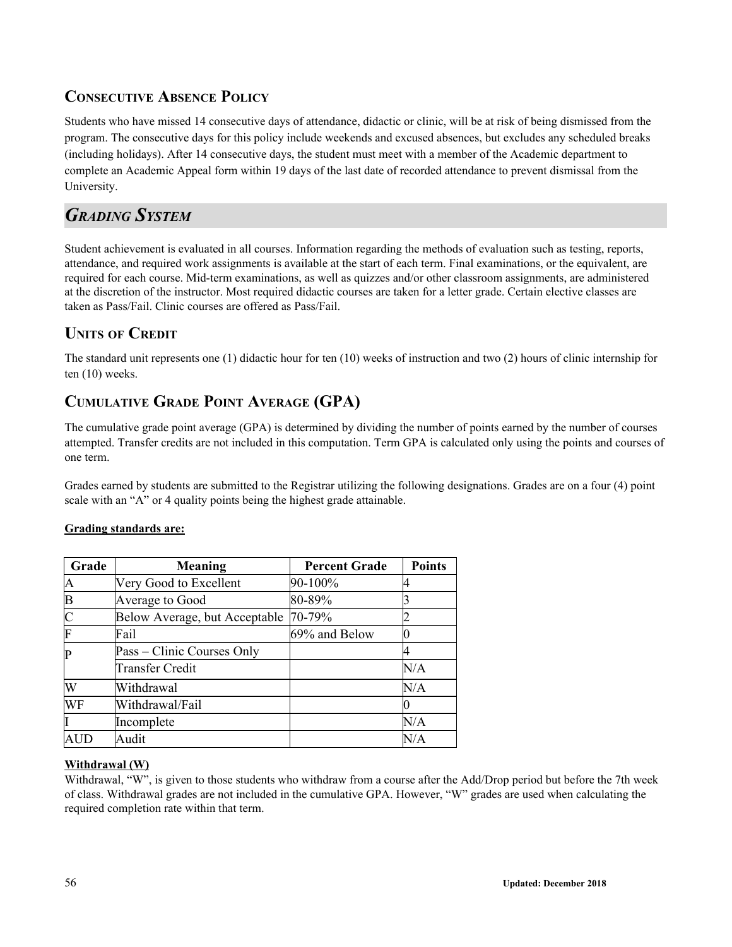## **CONSECUTIVE ABSENCE POLICY**

Students who have missed 14 consecutive days of attendance, didactic or clinic, will be at risk of being dismissed from the program. The consecutive days for this policy include weekends and excused absences, but excludes any scheduled breaks (including holidays). After 14 consecutive days, the student must meet with a member of the Academic department to complete an Academic Appeal form within 19 days of the last date of recorded attendance to prevent dismissal from the University.

## *GRADING SYSTEM*

Student achievement is evaluated in all courses. Information regarding the methods of evaluation such as testing, reports, attendance, and required work assignments is available at the start of each term. Final examinations, or the equivalent, are required for each course. Mid-term examinations, as well as quizzes and/or other classroom assignments, are administered at the discretion of the instructor. Most required didactic courses are taken for a letter grade. Certain elective classes are taken as Pass/Fail. Clinic courses are offered as Pass/Fail.

## **UNITS OF CREDIT**

The standard unit represents one (1) didactic hour for ten (10) weeks of instruction and two (2) hours of clinic internship for ten (10) weeks.

## **CUMULATIVE GRADE POINT AVERAGE (GPA)**

The cumulative grade point average (GPA) is determined by dividing the number of points earned by the number of courses attempted. Transfer credits are not included in this computation. Term GPA is calculated only using the points and courses of one term.

Grades earned by students are submitted to the Registrar utilizing the following designations. Grades are on a four (4) point scale with an "A" or 4 quality points being the highest grade attainable.

## **Grading standards are:**

| Grade        | <b>Meaning</b>                | <b>Percent Grade</b> | <b>Points</b> |
|--------------|-------------------------------|----------------------|---------------|
| A            | Very Good to Excellent        | 90-100%              |               |
| $\mathbf B$  | Average to Good               | 80-89%               |               |
| $\mathsf{C}$ | Below Average, but Acceptable | 70-79%               |               |
| F            | Fail                          | 69% and Below        |               |
| $\mathbf P$  | Pass – Clinic Courses Only    |                      |               |
|              | <b>Transfer Credit</b>        |                      | N/A           |
| W            | Withdrawal                    |                      | N/A           |
| WF           | Withdrawal/Fail               |                      |               |
|              | Incomplete                    |                      | N/A           |
|              | Audit                         |                      | N/A           |

## **Withdrawal (W)**

Withdrawal, "W", is given to those students who withdraw from a course after the Add/Drop period but before the 7th week of class. Withdrawal grades are not included in the cumulative GPA. However, "W" grades are used when calculating the required completion rate within that term.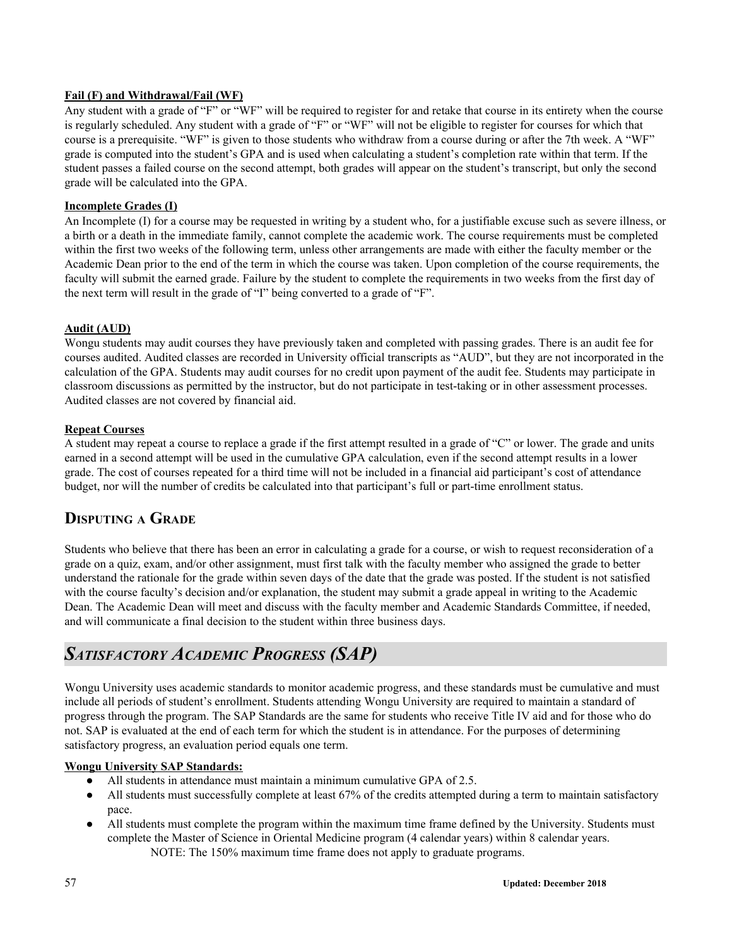## **Fail (F) and Withdrawal/Fail (WF)**

Any student with a grade of "F" or "WF" will be required to register for and retake that course in its entirety when the course is regularly scheduled. Any student with a grade of "F" or "WF" will not be eligible to register for courses for which that course is a prerequisite. "WF" is given to those students who withdraw from a course during or after the 7th week. A "WF" grade is computed into the student's GPA and is used when calculating a student's completion rate within that term. If the student passes a failed course on the second attempt, both grades will appear on the student's transcript, but only the second grade will be calculated into the GPA.

## **Incomplete Grades (I)**

An Incomplete (I) for a course may be requested in writing by a student who, for a justifiable excuse such as severe illness, or a birth or a death in the immediate family, cannot complete the academic work. The course requirements must be completed within the first two weeks of the following term, unless other arrangements are made with either the faculty member or the Academic Dean prior to the end of the term in which the course was taken. Upon completion of the course requirements, the faculty will submit the earned grade. Failure by the student to complete the requirements in two weeks from the first day of the next term will result in the grade of "I" being converted to a grade of "F".

## **Audit (AUD)**

Wongu students may audit courses they have previously taken and completed with passing grades. There is an audit fee for courses audited. Audited classes are recorded in University official transcripts as "AUD", but they are not incorporated in the calculation of the GPA. Students may audit courses for no credit upon payment of the audit fee. Students may participate in classroom discussions as permitted by the instructor, but do not participate in test-taking or in other assessment processes. Audited classes are not covered by financial aid.

## **Repeat Courses**

A student may repeat a course to replace a grade if the first attempt resulted in a grade of "C" or lower. The grade and units earned in a second attempt will be used in the cumulative GPA calculation, even if the second attempt results in a lower grade. The cost of courses repeated for a third time will not be included in a financial aid participant's cost of attendance budget, nor will the number of credits be calculated into that participant's full or part-time enrollment status.

## **DISPUTING <sup>A</sup> GRADE**

Students who believe that there has been an error in calculating a grade for a course, or wish to request reconsideration of a grade on a quiz, exam, and/or other assignment, must first talk with the faculty member who assigned the grade to better understand the rationale for the grade within seven days of the date that the grade was posted. If the student is not satisfied with the course faculty's decision and/or explanation, the student may submit a grade appeal in writing to the Academic Dean. The Academic Dean will meet and discuss with the faculty member and Academic Standards Committee, if needed, and will communicate a final decision to the student within three business days.

## *SATISFACTORY ACADEMIC PROGRESS (SAP)*

Wongu University uses academic standards to monitor academic progress, and these standards must be cumulative and must include all periods of student's enrollment. Students attending Wongu University are required to maintain a standard of progress through the program. The SAP Standards are the same for students who receive Title IV aid and for those who do not. SAP is evaluated at the end of each term for which the student is in attendance. For the purposes of determining satisfactory progress, an evaluation period equals one term.

## **Wongu University SAP Standards:**

- All students in attendance must maintain a minimum cumulative GPA of 2.5.
- All students must successfully complete at least 67% of the credits attempted during a term to maintain satisfactory pace.
- All students must complete the program within the maximum time frame defined by the University. Students must complete the Master of Science in Oriental Medicine program (4 calendar years) within 8 calendar years. NOTE: The 150% maximum time frame does not apply to graduate programs.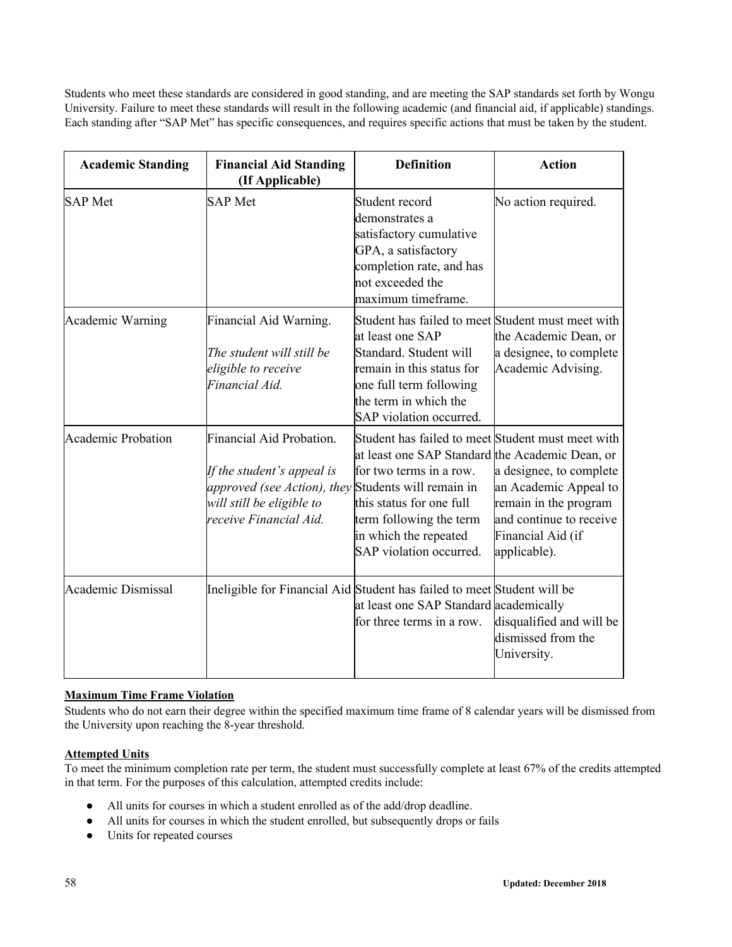Students who meet these standards are considered in good standing, and are meeting the SAP standards set forth by Wongu University. Failure to meet these standards will result in the following academic (and financial aid, if applicable) standings. Each standing after "SAP Met" has specific consequences, and requires specific actions that must be taken by the student.

| <b>Academic Standing</b>  | <b>Financial Aid Standing</b><br>(If Applicable)                                                                                                                                   | <b>Definition</b>                                                                                                                                                                                                                          | <b>Action</b>                                                                                                                             |
|---------------------------|------------------------------------------------------------------------------------------------------------------------------------------------------------------------------------|--------------------------------------------------------------------------------------------------------------------------------------------------------------------------------------------------------------------------------------------|-------------------------------------------------------------------------------------------------------------------------------------------|
| <b>SAP</b> Met            | <b>SAP</b> Met                                                                                                                                                                     | Student record<br>demonstrates a<br>satisfactory cumulative<br>GPA, a satisfactory<br>completion rate, and has<br>not exceeded the<br>maximum timeframe.                                                                                   | No action required.                                                                                                                       |
| Academic Warning          | Financial Aid Warning.<br>The student will still be<br>eligible to receive<br>Financial Aid.                                                                                       | Student has failed to meet Student must meet with<br>at least one SAP<br>Standard. Student will<br>remain in this status for<br>one full term following<br>the term in which the<br>SAP violation occurred.                                | the Academic Dean, or<br>a designee, to complete<br>Academic Advising.                                                                    |
| <b>Academic Probation</b> | <b>Financial Aid Probation.</b><br>If the student's appeal is<br><i>approved (see Action), they</i> Students will remain in<br>will still be eligible to<br>receive Financial Aid. | Student has failed to meet Student must meet with<br>at least one SAP Standard the Academic Dean, or<br>for two terms in a row.<br>this status for one full<br>term following the term<br>in which the repeated<br>SAP violation occurred. | a designee, to complete<br>an Academic Appeal to<br>remain in the program<br>and continue to receive<br>Financial Aid (if<br>applicable). |
| <b>Academic Dismissal</b> | Ineligible for Financial Aid Student has failed to meet Student will be                                                                                                            | at least one SAP Standard academically<br>for three terms in a row.                                                                                                                                                                        | disqualified and will be<br>dismissed from the<br>University.                                                                             |

## **Maximum Time Frame Violation**

Students who do not earn their degree within the specified maximum time frame of 8 calendar years will be dismissed from the University upon reaching the 8-year threshold.

## **Attempted Units**

To meet the minimum completion rate per term, the student must successfully complete at least 67% of the credits attempted in that term. For the purposes of this calculation, attempted credits include:

- All units for courses in which a student enrolled as of the add/drop deadline.
- All units for courses in which the student enrolled, but subsequently drops or fails
- Units for repeated courses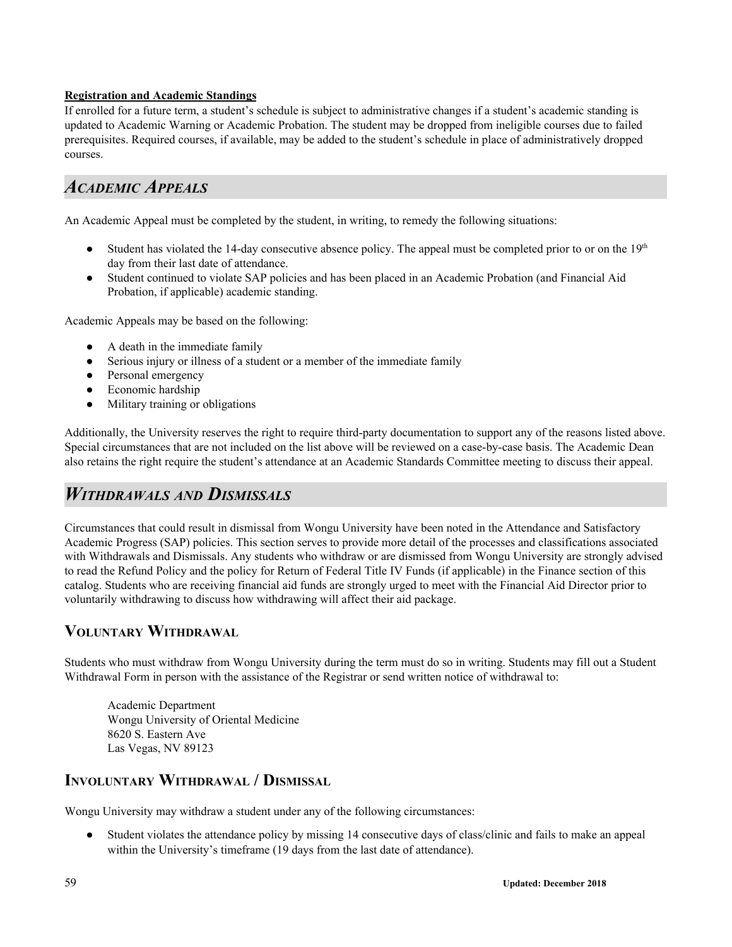## **Registration and Academic Standings**

If enrolled for a future term, a student's schedule is subject to administrative changes if a student's academic standing is updated to Academic Warning or Academic Probation. The student may be dropped from ineligible courses due to failed prerequisites. Required courses, if available, may be added to the student's schedule in place of administratively dropped courses.

## *ACADEMIC APPEALS*

An Academic Appeal must be completed by the student, in writing, to remedy the following situations:

- Student has violated the 14-day consecutive absence policy. The appeal must be completed prior to or on the  $19<sup>th</sup>$ day from their last date of attendance.
- Student continued to violate SAP policies and has been placed in an Academic Probation (and Financial Aid Probation, if applicable) academic standing.

Academic Appeals may be based on the following:

- A death in the immediate family
- Serious injury or illness of a student or a member of the immediate family
- Personal emergency
- Economic hardship
- Military training or obligations

Additionally, the University reserves the right to require third-party documentation to support any of the reasons listed above. Special circumstances that are not included on the list above will be reviewed on a case-by-case basis. The Academic Dean also retains the right require the student's attendance at an Academic Standards Committee meeting to discuss their appeal.

## *WITHDRAWALS AND DISMISSALS*

Circumstances that could result in dismissal from Wongu University have been noted in the Attendance and Satisfactory Academic Progress (SAP) policies. This section serves to provide more detail of the processes and classifications associated with Withdrawals and Dismissals. Any students who withdraw or are dismissed from Wongu University are strongly advised to read the Refund Policy and the policy for Return of Federal Title IV Funds (if applicable) in the Finance section of this catalog. Students who are receiving financial aid funds are strongly urged to meet with the Financial Aid Director prior to voluntarily withdrawing to discuss how withdrawing will affect their aid package.

## **VOLUNTARY WITHDRAWAL**

Students who must withdraw from Wongu University during the term must do so in writing. Students may fill out a Student Withdrawal Form in person with the assistance of the Registrar or send written notice of withdrawal to:

Academic Department Wongu University of Oriental Medicine 8620 S. Eastern Ave Las Vegas, NV 89123

## **INVOLUNTARY WITHDRAWAL / DISMISSAL**

Wongu University may withdraw a student under any of the following circumstances:

● Student violates the attendance policy by missing 14 consecutive days of class/clinic and fails to make an appeal within the University's timeframe (19 days from the last date of attendance).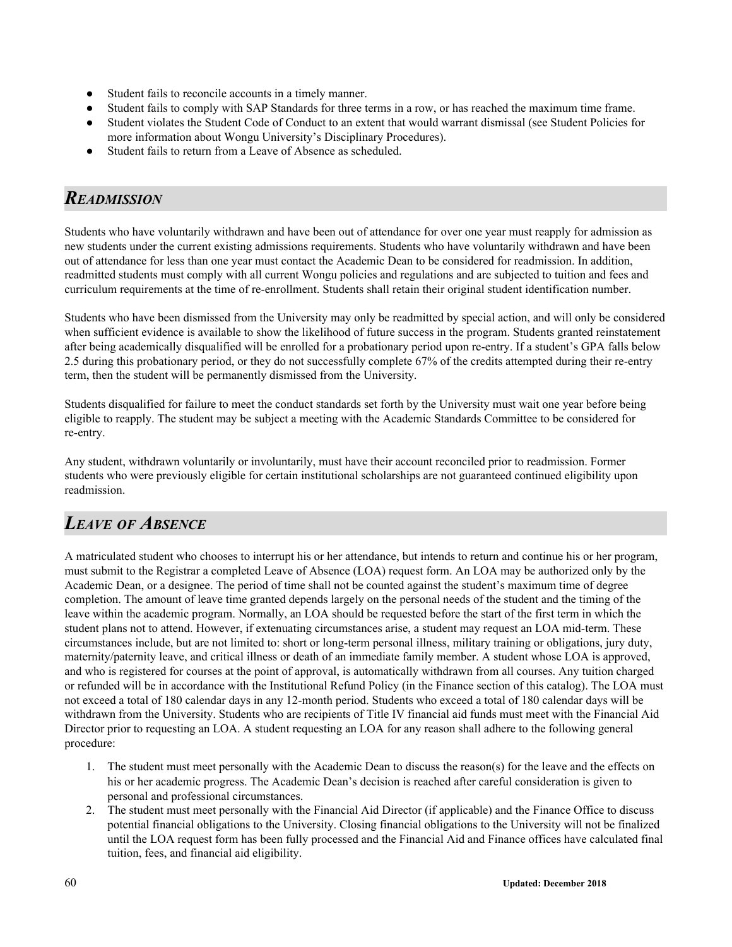- Student fails to reconcile accounts in a timely manner.
- Student fails to comply with SAP Standards for three terms in a row, or has reached the maximum time frame.
- Student violates the Student Code of Conduct to an extent that would warrant dismissal (see Student Policies for more information about Wongu University's Disciplinary Procedures).
- Student fails to return from a Leave of Absence as scheduled.

## *READMISSION*

Students who have voluntarily withdrawn and have been out of attendance for over one year must reapply for admission as new students under the current existing admissions requirements. Students who have voluntarily withdrawn and have been out of attendance for less than one year must contact the Academic Dean to be considered for readmission. In addition, readmitted students must comply with all current Wongu policies and regulations and are subjected to tuition and fees and curriculum requirements at the time of re-enrollment. Students shall retain their original student identification number.

Students who have been dismissed from the University may only be readmitted by special action, and will only be considered when sufficient evidence is available to show the likelihood of future success in the program. Students granted reinstatement after being academically disqualified will be enrolled for a probationary period upon re-entry. If a student's GPA falls below 2.5 during this probationary period, or they do not successfully complete 67% of the credits attempted during their re-entry term, then the student will be permanently dismissed from the University.

Students disqualified for failure to meet the conduct standards set forth by the University must wait one year before being eligible to reapply. The student may be subject a meeting with the Academic Standards Committee to be considered for re-entry.

Any student, withdrawn voluntarily or involuntarily, must have their account reconciled prior to readmission. Former students who were previously eligible for certain institutional scholarships are not guaranteed continued eligibility upon readmission.

## *LEAVE OF ABSENCE*

A matriculated student who chooses to interrupt his or her attendance, but intends to return and continue his or her program, must submit to the Registrar a completed Leave of Absence (LOA) request form. An LOA may be authorized only by the Academic Dean, or a designee. The period of time shall not be counted against the student's maximum time of degree completion. The amount of leave time granted depends largely on the personal needs of the student and the timing of the leave within the academic program. Normally, an LOA should be requested before the start of the first term in which the student plans not to attend. However, if extenuating circumstances arise, a student may request an LOA mid-term. These circumstances include, but are not limited to: short or long-term personal illness, military training or obligations, jury duty, maternity/paternity leave, and critical illness or death of an immediate family member. A student whose LOA is approved, and who is registered for courses at the point of approval, is automatically withdrawn from all courses. Any tuition charged or refunded will be in accordance with the Institutional Refund Policy (in the Finance section of this catalog). The LOA must not exceed a total of 180 calendar days in any 12-month period. Students who exceed a total of 180 calendar days will be withdrawn from the University. Students who are recipients of Title IV financial aid funds must meet with the Financial Aid Director prior to requesting an LOA. A student requesting an LOA for any reason shall adhere to the following general procedure:

- 1. The student must meet personally with the Academic Dean to discuss the reason(s) for the leave and the effects on his or her academic progress. The Academic Dean's decision is reached after careful consideration is given to personal and professional circumstances.
- 2. The student must meet personally with the Financial Aid Director (if applicable) and the Finance Office to discuss potential financial obligations to the University. Closing financial obligations to the University will not be finalized until the LOA request form has been fully processed and the Financial Aid and Finance offices have calculated final tuition, fees, and financial aid eligibility.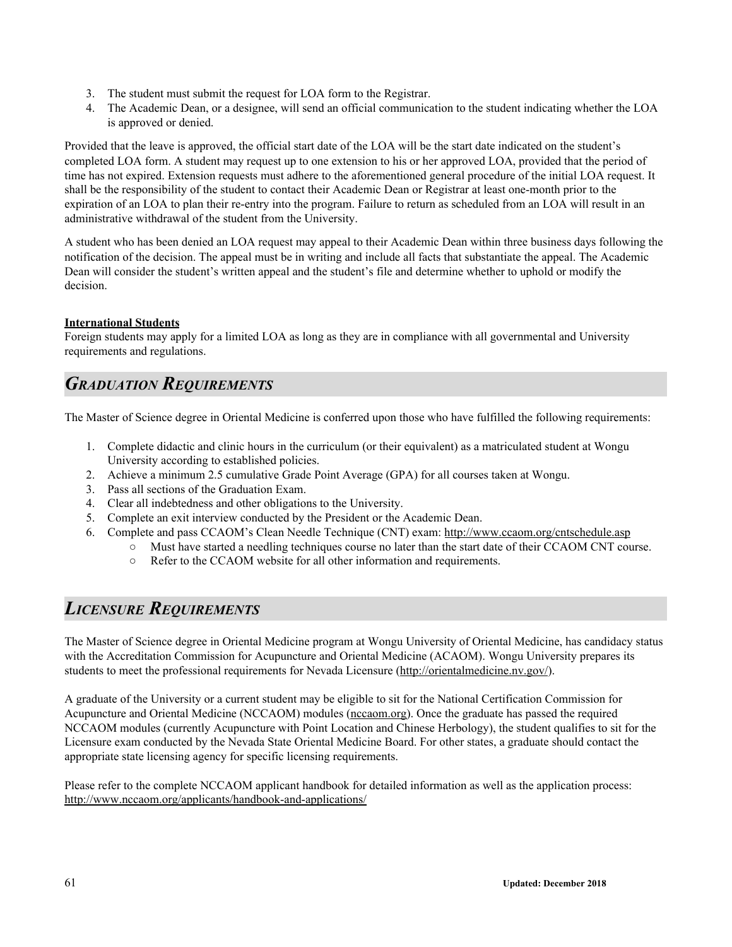- 3. The student must submit the request for LOA form to the Registrar.
- 4. The Academic Dean, or a designee, will send an official communication to the student indicating whether the LOA is approved or denied.

Provided that the leave is approved, the official start date of the LOA will be the start date indicated on the student's completed LOA form. A student may request up to one extension to his or her approved LOA, provided that the period of time has not expired. Extension requests must adhere to the aforementioned general procedure of the initial LOA request. It shall be the responsibility of the student to contact their Academic Dean or Registrar at least one-month prior to the expiration of an LOA to plan their re-entry into the program. Failure to return as scheduled from an LOA will result in an administrative withdrawal of the student from the University.

A student who has been denied an LOA request may appeal to their Academic Dean within three business days following the notification of the decision. The appeal must be in writing and include all facts that substantiate the appeal. The Academic Dean will consider the student's written appeal and the student's file and determine whether to uphold or modify the decision.

## **International Students**

Foreign students may apply for a limited LOA as long as they are in compliance with all governmental and University requirements and regulations.

## *GRADUATION REQUIREMENTS*

The Master of Science degree in Oriental Medicine is conferred upon those who have fulfilled the following requirements:

- 1. Complete didactic and clinic hours in the curriculum (or their equivalent) as a matriculated student at Wongu University according to established policies.
- 2. Achieve a minimum 2.5 cumulative Grade Point Average (GPA) for all courses taken at Wongu.
- 3. Pass all sections of the Graduation Exam.
- 4. Clear all indebtedness and other obligations to the University.
- 5. Complete an exit interview conducted by the President or the Academic Dean.
- 6. Complete and pass CCAOM's Clean Needle Technique (CNT) exam: http://www.ccaom.org/cntschedule.asp
	- Must have started a needling techniques course no later than the start date of their CCAOM CNT course.
		- Refer to the CCAOM website for all other information and requirements.

## *LICENSURE REQUIREMENTS*

The Master of Science degree in Oriental Medicine program at Wongu University of Oriental Medicine, has candidacy status with the Accreditation Commission for Acupuncture and Oriental Medicine (ACAOM). Wongu University prepares its students to meet the professional requirements for Nevada Licensure (http://orientalmedicine.nv.gov/).

A graduate of the University or a current student may be eligible to sit for the National Certification Commission for Acupuncture and Oriental Medicine (NCCAOM) modules [\(nccaom.org](http://www.nccaom.org/)). Once the graduate has passed the required NCCAOM modules (currently Acupuncture with Point Location and Chinese Herbology), the student qualifies to sit for the Licensure exam conducted by the Nevada State Oriental Medicine Board. For other states, a graduate should contact the appropriate state licensing agency for specific licensing requirements.

Please refer to the complete NCCAOM applicant handbook for detailed information as well as the application process: http://www.nccaom.org/applicants/handbook-and-applications/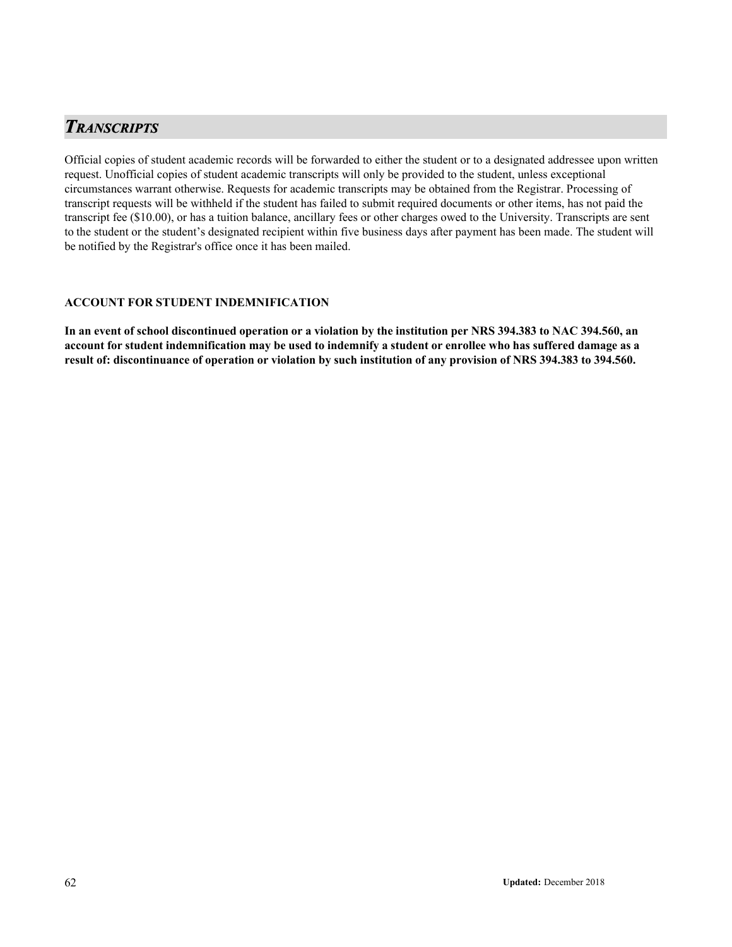## *TRANSCRIPTS*

Official copies of student academic records will be forwarded to either the student or to a designated addressee upon written request. Unofficial copies of student academic transcripts will only be provided to the student, unless exceptional circumstances warrant otherwise. Requests for academic transcripts may be obtained from the Registrar. Processing of transcript requests will be withheld if the student has failed to submit required documents or other items, has not paid the transcript fee (\$10.00), or has a tuition balance, ancillary fees or other charges owed to the University. Transcripts are sent to the student or the student's designated recipient within five business days after payment has been made. The student will be notified by the Registrar's office once it has been mailed.

## **ACCOUNT FOR STUDENT INDEMNIFICATION**

**In an event of school discontinued operation or a violation by the institution per NRS 394.383 to NAC 394.560, an account for student indemnification may be used to indemnify a student or enrollee who has suffered damage as a result of: discontinuance of operation or violation by such institution of any provision of NRS 394.383 to 394.560.**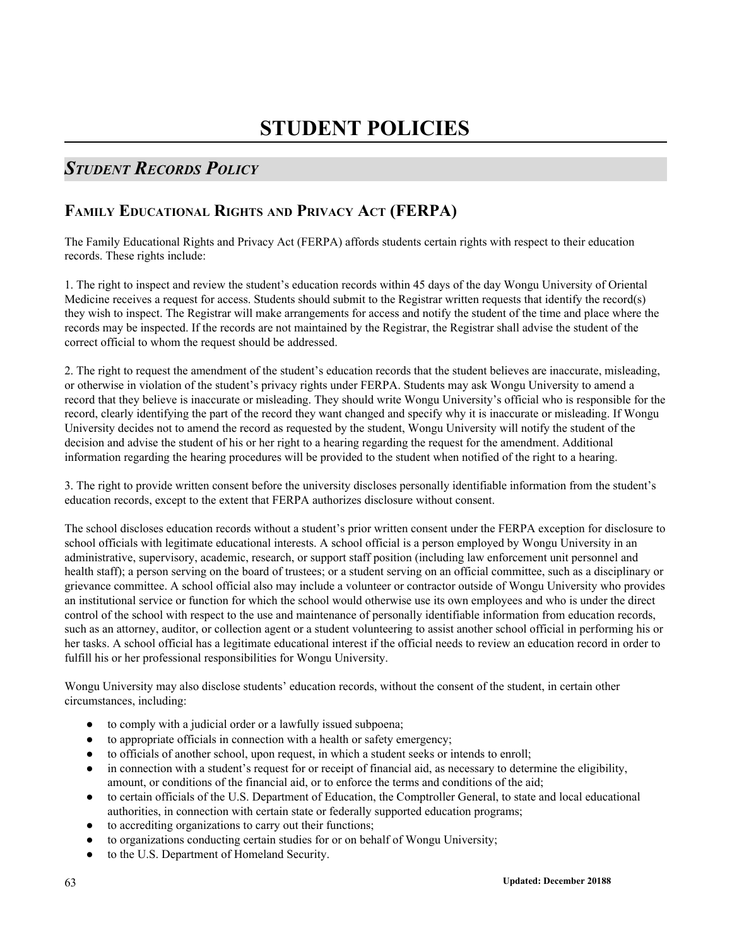# **STUDENT POLICIES**

## *STUDENT RECORDS POLICY*

## **FAMILY EDUCATIONAL RIGHTS AND PRIVACY ACT (FERPA)**

The Family Educational Rights and Privacy Act (FERPA) affords students certain rights with respect to their education records. These rights include:

1. The right to inspect and review the student's education records within 45 days of the day Wongu University of Oriental Medicine receives a request for access. Students should submit to the Registrar written requests that identify the record(s) they wish to inspect. The Registrar will make arrangements for access and notify the student of the time and place where the records may be inspected. If the records are not maintained by the Registrar, the Registrar shall advise the student of the correct official to whom the request should be addressed.

2. The right to request the amendment of the student's education records that the student believes are inaccurate, misleading, or otherwise in violation of the student's privacy rights under FERPA. Students may ask Wongu University to amend a record that they believe is inaccurate or misleading. They should write Wongu University's official who is responsible for the record, clearly identifying the part of the record they want changed and specify why it is inaccurate or misleading. If Wongu University decides not to amend the record as requested by the student, Wongu University will notify the student of the decision and advise the student of his or her right to a hearing regarding the request for the amendment. Additional information regarding the hearing procedures will be provided to the student when notified of the right to a hearing.

3. The right to provide written consent before the university discloses personally identifiable information from the student's education records, except to the extent that FERPA authorizes disclosure without consent.

The school discloses education records without a student's prior written consent under the FERPA exception for disclosure to school officials with legitimate educational interests. A school official is a person employed by Wongu University in an administrative, supervisory, academic, research, or support staff position (including law enforcement unit personnel and health staff); a person serving on the board of trustees; or a student serving on an official committee, such as a disciplinary or grievance committee. A school official also may include a volunteer or contractor outside of Wongu University who provides an institutional service or function for which the school would otherwise use its own employees and who is under the direct control of the school with respect to the use and maintenance of personally identifiable information from education records, such as an attorney, auditor, or collection agent or a student volunteering to assist another school official in performing his or her tasks. A school official has a legitimate educational interest if the official needs to review an education record in order to fulfill his or her professional responsibilities for Wongu University.

Wongu University may also disclose students' education records, without the consent of the student, in certain other circumstances, including:

- to comply with a judicial order or a lawfully issued subpoena;
- to appropriate officials in connection with a health or safety emergency;
- to officials of another school, upon request, in which a student seeks or intends to enroll;
- in connection with a student's request for or receipt of financial aid, as necessary to determine the eligibility, amount, or conditions of the financial aid, or to enforce the terms and conditions of the aid;
- to certain officials of the U.S. Department of Education, the Comptroller General, to state and local educational authorities, in connection with certain state or federally supported education programs;
- to accrediting organizations to carry out their functions;
- to organizations conducting certain studies for or on behalf of Wongu University;
- to the U.S. Department of Homeland Security.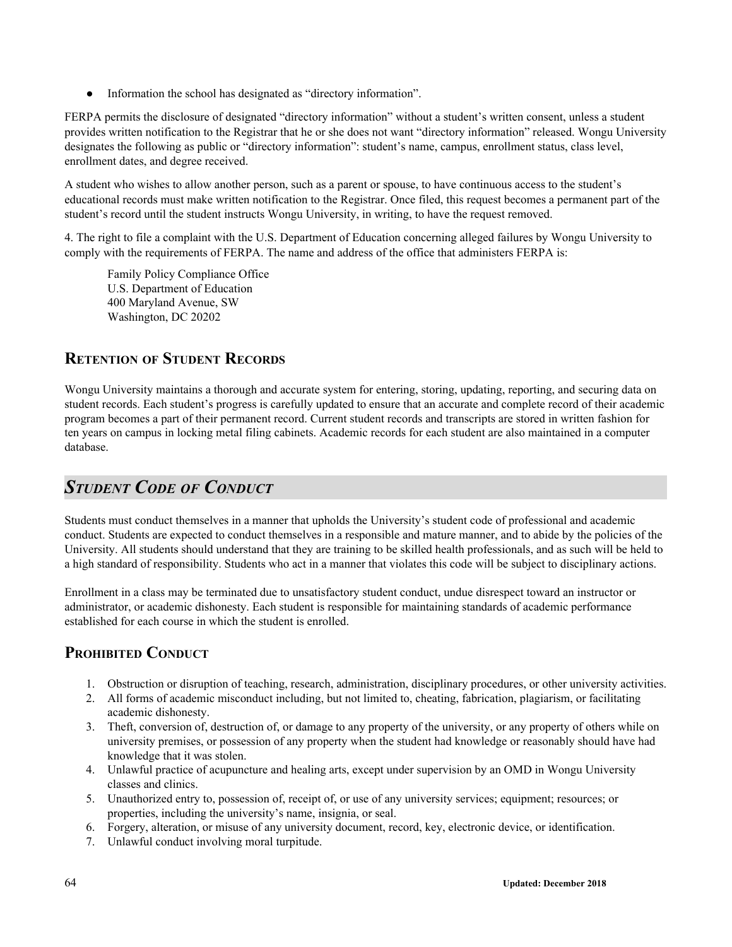• Information the school has designated as "directory information".

FERPA permits the disclosure of designated "directory information" without a student's written consent, unless a student provides written notification to the Registrar that he or she does not want "directory information" released. Wongu University designates the following as public or "directory information": student's name, campus, enrollment status, class level, enrollment dates, and degree received.

A student who wishes to allow another person, such as a parent or spouse, to have continuous access to the student's educational records must make written notification to the Registrar. Once filed, this request becomes a permanent part of the student's record until the student instructs Wongu University, in writing, to have the request removed.

4. The right to file a complaint with the U.S. Department of Education concerning alleged failures by Wongu University to comply with the requirements of FERPA. The name and address of the office that administers FERPA is:

Family Policy Compliance Office U.S. Department of Education 400 Maryland Avenue, SW Washington, DC 20202

## **RETENTION OF STUDENT RECORDS**

Wongu University maintains a thorough and accurate system for entering, storing, updating, reporting, and securing data on student records. Each student's progress is carefully updated to ensure that an accurate and complete record of their academic program becomes a part of their permanent record. Current student records and transcripts are stored in written fashion for ten years on campus in locking metal filing cabinets. Academic records for each student are also maintained in a computer database.

## *STUDENT CODE OF CONDUCT*

Students must conduct themselves in a manner that upholds the University's student code of professional and academic conduct. Students are expected to conduct themselves in a responsible and mature manner, and to abide by the policies of the University. All students should understand that they are training to be skilled health professionals, and as such will be held to a high standard of responsibility. Students who act in a manner that violates this code will be subject to disciplinary actions.

Enrollment in a class may be terminated due to unsatisfactory student conduct, undue disrespect toward an instructor or administrator, or academic dishonesty. Each student is responsible for maintaining standards of academic performance established for each course in which the student is enrolled.

## **PROHIBITED CONDUCT**

- 1. Obstruction or disruption of teaching, research, administration, disciplinary procedures, or other university activities.
- 2. All forms of academic misconduct including, but not limited to, cheating, fabrication, plagiarism, or facilitating academic dishonesty.
- 3. Theft, conversion of, destruction of, or damage to any property of the university, or any property of others while on university premises, or possession of any property when the student had knowledge or reasonably should have had knowledge that it was stolen.
- 4. Unlawful practice of acupuncture and healing arts, except under supervision by an OMD in Wongu University classes and clinics.
- 5. Unauthorized entry to, possession of, receipt of, or use of any university services; equipment; resources; or properties, including the university's name, insignia, or seal.
- 6. Forgery, alteration, or misuse of any university document, record, key, electronic device, or identification.
- 7. Unlawful conduct involving moral turpitude.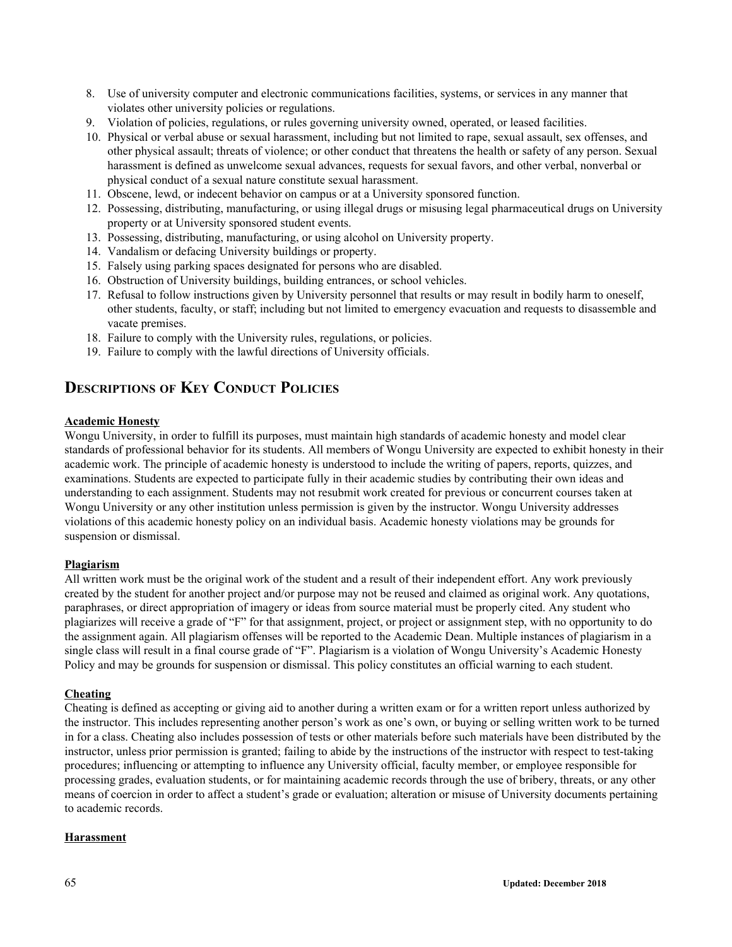- 8. Use of university computer and electronic communications facilities, systems, or services in any manner that violates other university policies or regulations.
- 9. Violation of policies, regulations, or rules governing university owned, operated, or leased facilities.
- 10. Physical or verbal abuse or sexual harassment, including but not limited to rape, sexual assault, sex offenses, and other physical assault; threats of violence; or other conduct that threatens the health or safety of any person. Sexual harassment is defined as unwelcome sexual advances, requests for sexual favors, and other verbal, nonverbal or physical conduct of a sexual nature constitute sexual harassment.
- 11. Obscene, lewd, or indecent behavior on campus or at a University sponsored function.
- 12. Possessing, distributing, manufacturing, or using illegal drugs or misusing legal pharmaceutical drugs on University property or at University sponsored student events.
- 13. Possessing, distributing, manufacturing, or using alcohol on University property.
- 14. Vandalism or defacing University buildings or property.
- 15. Falsely using parking spaces designated for persons who are disabled.
- 16. Obstruction of University buildings, building entrances, or school vehicles.
- 17. Refusal to follow instructions given by University personnel that results or may result in bodily harm to oneself, other students, faculty, or staff; including but not limited to emergency evacuation and requests to disassemble and vacate premises.
- 18. Failure to comply with the University rules, regulations, or policies.
- 19. Failure to comply with the lawful directions of University officials.

## **DESCRIPTIONS OF KEY CONDUCT POLICIES**

## **Academic Honesty**

Wongu University, in order to fulfill its purposes, must maintain high standards of academic honesty and model clear standards of professional behavior for its students. All members of Wongu University are expected to exhibit honesty in their academic work. The principle of academic honesty is understood to include the writing of papers, reports, quizzes, and examinations. Students are expected to participate fully in their academic studies by contributing their own ideas and understanding to each assignment. Students may not resubmit work created for previous or concurrent courses taken at Wongu University or any other institution unless permission is given by the instructor. Wongu University addresses violations of this academic honesty policy on an individual basis. Academic honesty violations may be grounds for suspension or dismissal.

## **Plagiarism**

All written work must be the original work of the student and a result of their independent effort. Any work previously created by the student for another project and/or purpose may not be reused and claimed as original work. Any quotations, paraphrases, or direct appropriation of imagery or ideas from source material must be properly cited. Any student who plagiarizes will receive a grade of "F" for that assignment, project, or project or assignment step, with no opportunity to do the assignment again. All plagiarism offenses will be reported to the Academic Dean. Multiple instances of plagiarism in a single class will result in a final course grade of "F". Plagiarism is a violation of Wongu University's Academic Honesty Policy and may be grounds for suspension or dismissal. This policy constitutes an official warning to each student.

## **Cheating**

Cheating is defined as accepting or giving aid to another during a written exam or for a written report unless authorized by the instructor. This includes representing another person's work as one's own, or buying or selling written work to be turned in for a class. Cheating also includes possession of tests or other materials before such materials have been distributed by the instructor, unless prior permission is granted; failing to abide by the instructions of the instructor with respect to test-taking procedures; influencing or attempting to influence any University official, faculty member, or employee responsible for processing grades, evaluation students, or for maintaining academic records through the use of bribery, threats, or any other means of coercion in order to affect a student's grade or evaluation; alteration or misuse of University documents pertaining to academic records.

## **Harassment**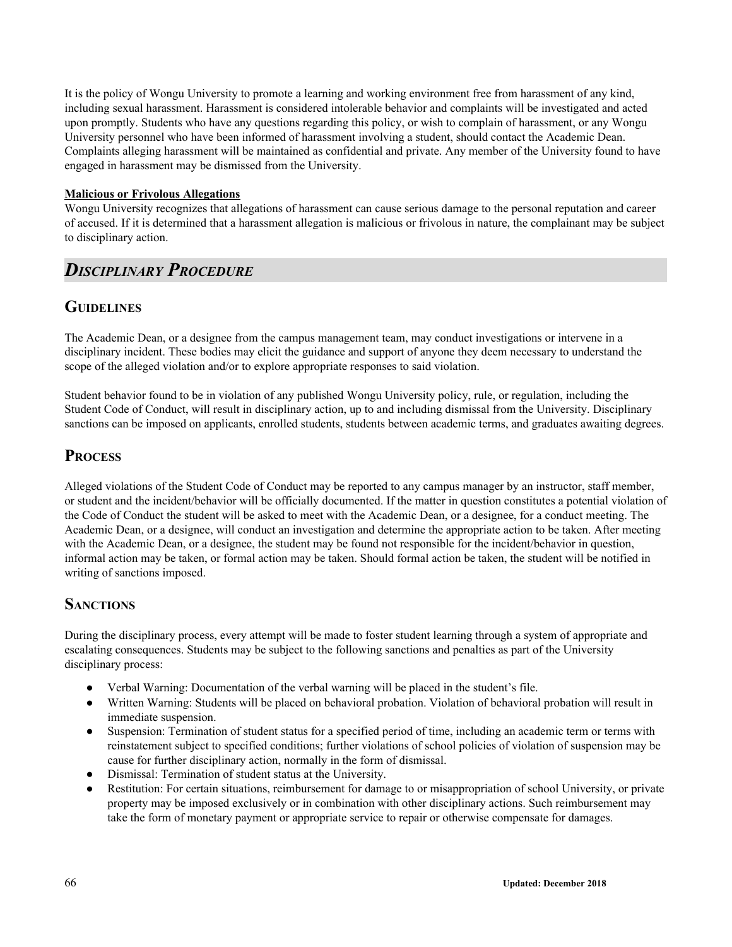It is the policy of Wongu University to promote a learning and working environment free from harassment of any kind, including sexual harassment. Harassment is considered intolerable behavior and complaints will be investigated and acted upon promptly. Students who have any questions regarding this policy, or wish to complain of harassment, or any Wongu University personnel who have been informed of harassment involving a student, should contact the Academic Dean. Complaints alleging harassment will be maintained as confidential and private. Any member of the University found to have engaged in harassment may be dismissed from the University.

## **Malicious or Frivolous Allegations**

Wongu University recognizes that allegations of harassment can cause serious damage to the personal reputation and career of accused. If it is determined that a harassment allegation is malicious or frivolous in nature, the complainant may be subject to disciplinary action.

## *DISCIPLINARY PROCEDURE*

## **GUIDELINES**

The Academic Dean, or a designee from the campus management team, may conduct investigations or intervene in a disciplinary incident. These bodies may elicit the guidance and support of anyone they deem necessary to understand the scope of the alleged violation and/or to explore appropriate responses to said violation.

Student behavior found to be in violation of any published Wongu University policy, rule, or regulation, including the Student Code of Conduct, will result in disciplinary action, up to and including dismissal from the University. Disciplinary sanctions can be imposed on applicants, enrolled students, students between academic terms, and graduates awaiting degrees.

## **PROCESS**

Alleged violations of the Student Code of Conduct may be reported to any campus manager by an instructor, staff member, or student and the incident/behavior will be officially documented. If the matter in question constitutes a potential violation of the Code of Conduct the student will be asked to meet with the Academic Dean, or a designee, for a conduct meeting. The Academic Dean, or a designee, will conduct an investigation and determine the appropriate action to be taken. After meeting with the Academic Dean, or a designee, the student may be found not responsible for the incident/behavior in question, informal action may be taken, or formal action may be taken. Should formal action be taken, the student will be notified in writing of sanctions imposed.

## **SANCTIONS**

During the disciplinary process, every attempt will be made to foster student learning through a system of appropriate and escalating consequences. Students may be subject to the following sanctions and penalties as part of the University disciplinary process:

- Verbal Warning: Documentation of the verbal warning will be placed in the student's file.
- Written Warning: Students will be placed on behavioral probation. Violation of behavioral probation will result in immediate suspension.
- Suspension: Termination of student status for a specified period of time, including an academic term or terms with reinstatement subject to specified conditions; further violations of school policies of violation of suspension may be cause for further disciplinary action, normally in the form of dismissal.
- Dismissal: Termination of student status at the University.
- Restitution: For certain situations, reimbursement for damage to or misappropriation of school University, or private property may be imposed exclusively or in combination with other disciplinary actions. Such reimbursement may take the form of monetary payment or appropriate service to repair or otherwise compensate for damages.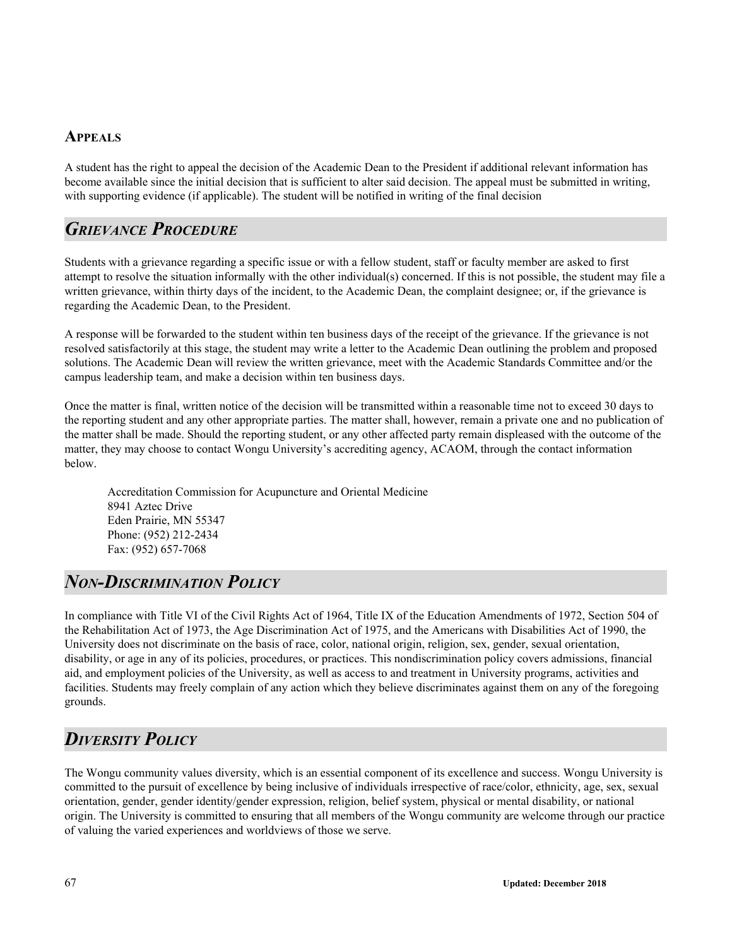## **APPEALS**

A student has the right to appeal the decision of the Academic Dean to the President if additional relevant information has become available since the initial decision that is sufficient to alter said decision. The appeal must be submitted in writing, with supporting evidence (if applicable). The student will be notified in writing of the final decision

## *GRIEVANCE PROCEDURE*

Students with a grievance regarding a specific issue or with a fellow student, staff or faculty member are asked to first attempt to resolve the situation informally with the other individual(s) concerned. If this is not possible, the student may file a written grievance, within thirty days of the incident, to the Academic Dean, the complaint designee; or, if the grievance is regarding the Academic Dean, to the President.

A response will be forwarded to the student within ten business days of the receipt of the grievance. If the grievance is not resolved satisfactorily at this stage, the student may write a letter to the Academic Dean outlining the problem and proposed solutions. The Academic Dean will review the written grievance, meet with the Academic Standards Committee and/or the campus leadership team, and make a decision within ten business days.

Once the matter is final, written notice of the decision will be transmitted within a reasonable time not to exceed 30 days to the reporting student and any other appropriate parties. The matter shall, however, remain a private one and no publication of the matter shall be made. Should the reporting student, or any other affected party remain displeased with the outcome of the matter, they may choose to contact Wongu University's accrediting agency, ACAOM, through the contact information below.

Accreditation Commission for Acupuncture and Oriental Medicine 8941 Aztec Drive Eden Prairie, MN 55347 Phone: (952) 212-2434 Fax: (952) 657-7068

## *NON-DISCRIMINATION POLICY*

In compliance with Title VI of the Civil Rights Act of 1964, Title IX of the Education Amendments of 1972, Section 504 of the Rehabilitation Act of 1973, the Age Discrimination Act of 1975, and the Americans with Disabilities Act of 1990, the University does not discriminate on the basis of race, color, national origin, religion, sex, gender, sexual orientation, disability, or age in any of its policies, procedures, or practices. This nondiscrimination policy covers admissions, financial aid, and employment policies of the University, as well as access to and treatment in University programs, activities and facilities. Students may freely complain of any action which they believe discriminates against them on any of the foregoing grounds.

## *DIVERSITY POLICY*

The Wongu community values diversity, which is an essential component of its excellence and success. Wongu University is committed to the pursuit of excellence by being inclusive of individuals irrespective of race/color, ethnicity, age, sex, sexual orientation, gender, gender identity/gender expression, religion, belief system, physical or mental disability, or national origin. The University is committed to ensuring that all members of the Wongu community are welcome through our practice of valuing the varied experiences and worldviews of those we serve.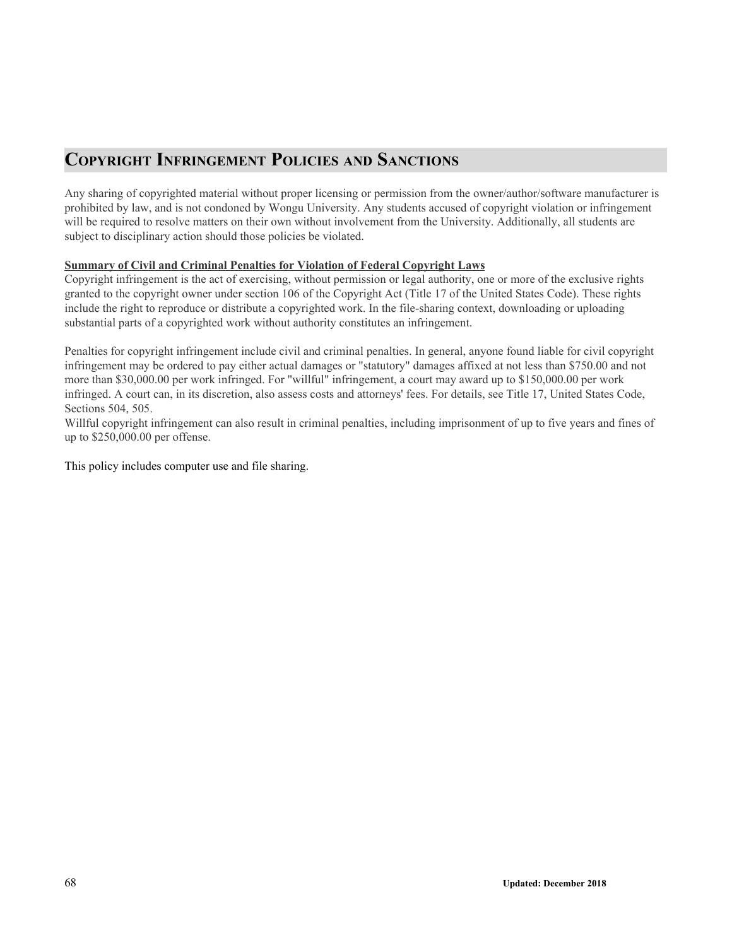## **COPYRIGHT INFRINGEMENT POLICIES AND SANCTIONS**

Any sharing of copyrighted material without proper licensing or permission from the owner/author/software manufacturer is prohibited by law, and is not condoned by Wongu University. Any students accused of copyright violation or infringement will be required to resolve matters on their own without involvement from the University. Additionally, all students are subject to disciplinary action should those policies be violated.

## **Summary of Civil and Criminal Penalties for Violation of Federal Copyright Laws**

Copyright infringement is the act of exercising, without permission or legal authority, one or more of the exclusive rights granted to the copyright owner under section 106 of the Copyright Act (Title 17 of the United States Code). These rights include the right to reproduce or distribute a copyrighted work. In the file-sharing context, downloading or uploading substantial parts of a copyrighted work without authority constitutes an infringement.

Penalties for copyright infringement include civil and criminal penalties. In general, anyone found liable for civil copyright infringement may be ordered to pay either actual damages or "statutory" damages affixed at not less than \$750.00 and not more than \$30,000.00 per work infringed. For "willful" infringement, a court may award up to \$150,000.00 per work infringed. A court can, in its discretion, also assess costs and attorneys' fees. For details, see Title 17, United States Code, Sections 504, 505.

Willful copyright infringement can also result in criminal penalties, including imprisonment of up to five years and fines of up to \$250,000.00 per offense.

This policy includes computer use and file sharing.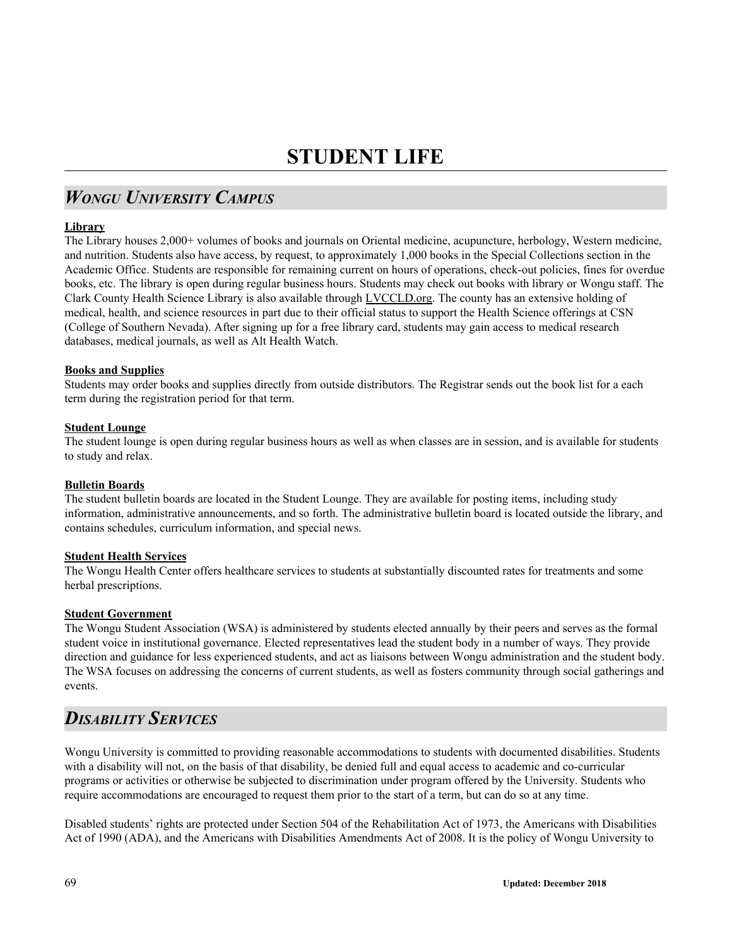# **STUDENT LIFE**

## *WONGU UNIVERSITY CAMPUS*

## **Library**

The Library houses 2,000+ volumes of books and journals on Oriental medicine, acupuncture, herbology, Western medicine, and nutrition. Students also have access, by request, to approximately 1,000 books in the Special Collections section in the Academic Office. Students are responsible for remaining current on hours of operations, check-out policies, fines for overdue books, etc. The library is open during regular business hours. Students may check out books with library or Wongu staff. The Clark County Health Science Library is also available through LVCCLD.org. The county has an extensive holding of medical, health, and science resources in part due to their official status to support the Health Science offerings at CSN (College of Southern Nevada). After signing up for a free library card, students may gain access to medical research databases, medical journals, as well as Alt Health Watch.

## **Books and Supplies**

Students may order books and supplies directly from outside distributors. The Registrar sends out the book list for a each term during the registration period for that term.

#### **Student Lounge**

The student lounge is open during regular business hours as well as when classes are in session, and is available for students to study and relax.

#### **Bulletin Boards**

The student bulletin boards are located in the Student Lounge. They are available for posting items, including study information, administrative announcements, and so forth. The administrative bulletin board is located outside the library, and contains schedules, curriculum information, and special news.

## **Student Health Services**

The Wongu Health Center offers healthcare services to students at substantially discounted rates for treatments and some herbal prescriptions.

## **Student Government**

The Wongu Student Association (WSA) is administered by students elected annually by their peers and serves as the formal student voice in institutional governance. Elected representatives lead the student body in a number of ways. They provide direction and guidance for less experienced students, and act as liaisons between Wongu administration and the student body. The WSA focuses on addressing the concerns of current students, as well as fosters community through social gatherings and events.

## *DISABILITY SERVICES*

Wongu University is committed to providing reasonable accommodations to students with documented disabilities. Students with a disability will not, on the basis of that disability, be denied full and equal access to academic and co-curricular programs or activities or otherwise be subjected to discrimination under program offered by the University. Students who require accommodations are encouraged to request them prior to the start of a term, but can do so at any time.

Disabled students' rights are protected under Section 504 of the Rehabilitation Act of 1973, the Americans with Disabilities Act of 1990 (ADA), and the Americans with Disabilities Amendments Act of 2008. It is the policy of Wongu University to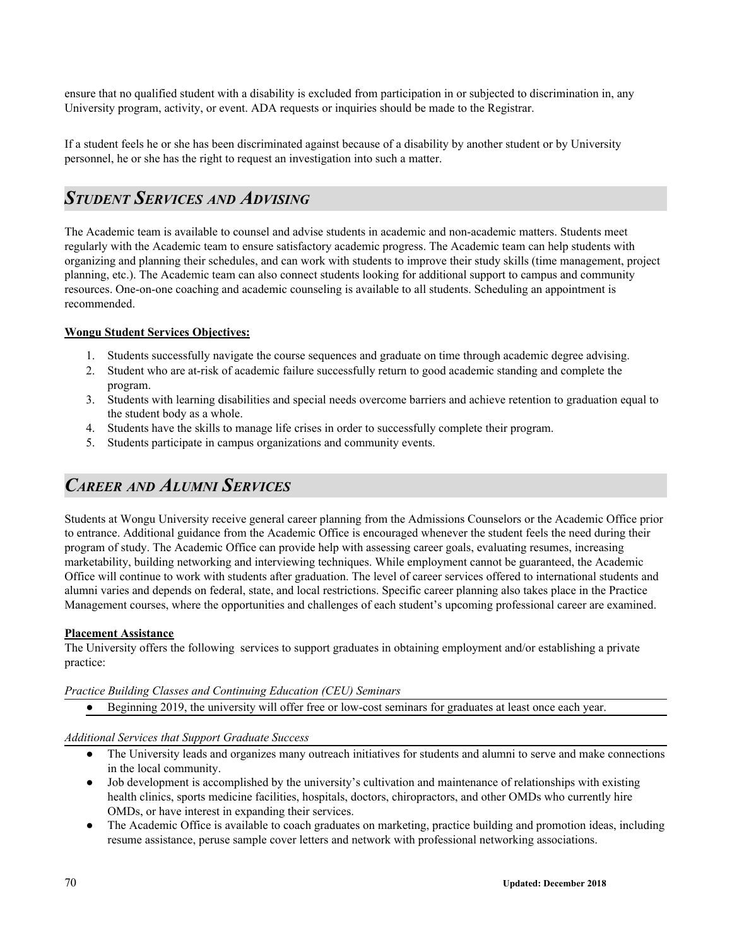ensure that no qualified student with a disability is excluded from participation in or subjected to discrimination in, any University program, activity, or event. ADA requests or inquiries should be made to the Registrar.

If a student feels he or she has been discriminated against because of a disability by another student or by University personnel, he or she has the right to request an investigation into such a matter.

## *STUDENT SERVICES AND ADVISING*

The Academic team is available to counsel and advise students in academic and non-academic matters. Students meet regularly with the Academic team to ensure satisfactory academic progress. The Academic team can help students with organizing and planning their schedules, and can work with students to improve their study skills (time management, project planning, etc.). The Academic team can also connect students looking for additional support to campus and community resources. One-on-one coaching and academic counseling is available to all students. Scheduling an appointment is recommended.

## **Wongu Student Services Objectives:**

- 1. Students successfully navigate the course sequences and graduate on time through academic degree advising.
- 2. Student who are at-risk of academic failure successfully return to good academic standing and complete the program.
- 3. Students with learning disabilities and special needs overcome barriers and achieve retention to graduation equal to the student body as a whole.
- 4. Students have the skills to manage life crises in order to successfully complete their program.
- 5. Students participate in campus organizations and community events.

## *CAREER AND ALUMNI SERVICES*

Students at Wongu University receive general career planning from the Admissions Counselors or the Academic Office prior to entrance. Additional guidance from the Academic Office is encouraged whenever the student feels the need during their program of study. The Academic Office can provide help with assessing career goals, evaluating resumes, increasing marketability, building networking and interviewing techniques. While employment cannot be guaranteed, the Academic Office will continue to work with students after graduation. The level of career services offered to international students and alumni varies and depends on federal, state, and local restrictions. Specific career planning also takes place in the Practice Management courses, where the opportunities and challenges of each student's upcoming professional career are examined.

## **Placement Assistance**

The University offers the following services to support graduates in obtaining employment and/or establishing a private practice:

## *Practice Building Classes and Continuing Education (CEU) Seminars*

● Beginning 2019, the university will offer free or low-cost seminars for graduates at least once each year.

## *Additional Services that Support Graduate Success*

- The University leads and organizes many outreach initiatives for students and alumni to serve and make connections in the local community.
- Job development is accomplished by the university's cultivation and maintenance of relationships with existing health clinics, sports medicine facilities, hospitals, doctors, chiropractors, and other OMDs who currently hire OMDs, or have interest in expanding their services.
- The Academic Office is available to coach graduates on marketing, practice building and promotion ideas, including resume assistance, peruse sample cover letters and network with professional networking associations.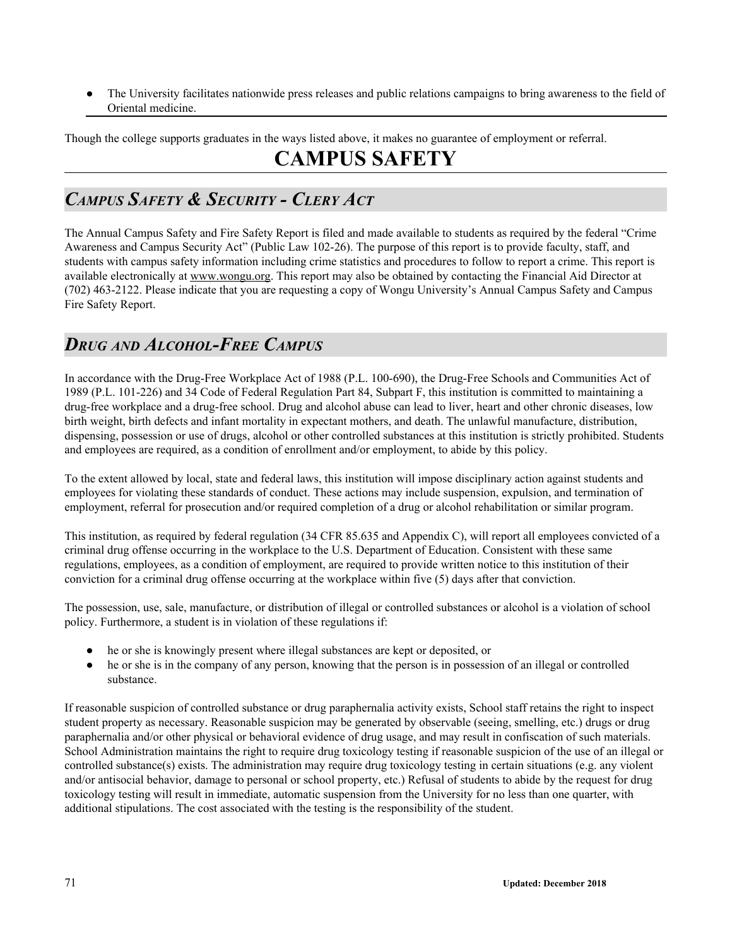The University facilitates nationwide press releases and public relations campaigns to bring awareness to the field of Oriental medicine.

Though the college supports graduates in the ways listed above, it makes no guarantee of employment or referral.

# **CAMPUS SAFETY**

## *CAMPUS SAFETY & SECURITY - CLERY ACT*

The Annual Campus Safety and Fire Safety Report is filed and made available to students as required by the federal "Crime Awareness and Campus Security Act" (Public Law 102-26). The purpose of this report is to provide faculty, staff, and students with campus safety information including crime statistics and procedures to follow to report a crime. This report is available electronically at www.wongu.org. This report may also be obtained by contacting the Financial Aid Director at (702) 463-2122. Please indicate that you are requesting a copy of Wongu University's Annual Campus Safety and Campus Fire Safety Report.

## *DRUG AND ALCOHOL-FREE CAMPUS*

In accordance with the Drug-Free Workplace Act of 1988 (P.L. 100-690), the Drug-Free Schools and Communities Act of 1989 (P.L. 101-226) and 34 Code of Federal Regulation Part 84, Subpart F, this institution is committed to maintaining a drug-free workplace and a drug-free school. Drug and alcohol abuse can lead to liver, heart and other chronic diseases, low birth weight, birth defects and infant mortality in expectant mothers, and death. The unlawful manufacture, distribution, dispensing, possession or use of drugs, alcohol or other controlled substances at this institution is strictly prohibited. Students and employees are required, as a condition of enrollment and/or employment, to abide by this policy.

To the extent allowed by local, state and federal laws, this institution will impose disciplinary action against students and employees for violating these standards of conduct. These actions may include suspension, expulsion, and termination of employment, referral for prosecution and/or required completion of a drug or alcohol rehabilitation or similar program.

This institution, as required by federal regulation (34 CFR 85.635 and Appendix C), will report all employees convicted of a criminal drug offense occurring in the workplace to the U.S. Department of Education. Consistent with these same regulations, employees, as a condition of employment, are required to provide written notice to this institution of their conviction for a criminal drug offense occurring at the workplace within five (5) days after that conviction.

The possession, use, sale, manufacture, or distribution of illegal or controlled substances or alcohol is a violation of school policy. Furthermore, a student is in violation of these regulations if:

- he or she is knowingly present where illegal substances are kept or deposited, or
- he or she is in the company of any person, knowing that the person is in possession of an illegal or controlled substance.

If reasonable suspicion of controlled substance or drug paraphernalia activity exists, School staff retains the right to inspect student property as necessary. Reasonable suspicion may be generated by observable (seeing, smelling, etc.) drugs or drug paraphernalia and/or other physical or behavioral evidence of drug usage, and may result in confiscation of such materials. School Administration maintains the right to require drug toxicology testing if reasonable suspicion of the use of an illegal or controlled substance(s) exists. The administration may require drug toxicology testing in certain situations (e.g. any violent and/or antisocial behavior, damage to personal or school property, etc.) Refusal of students to abide by the request for drug toxicology testing will result in immediate, automatic suspension from the University for no less than one quarter, with additional stipulations. The cost associated with the testing is the responsibility of the student.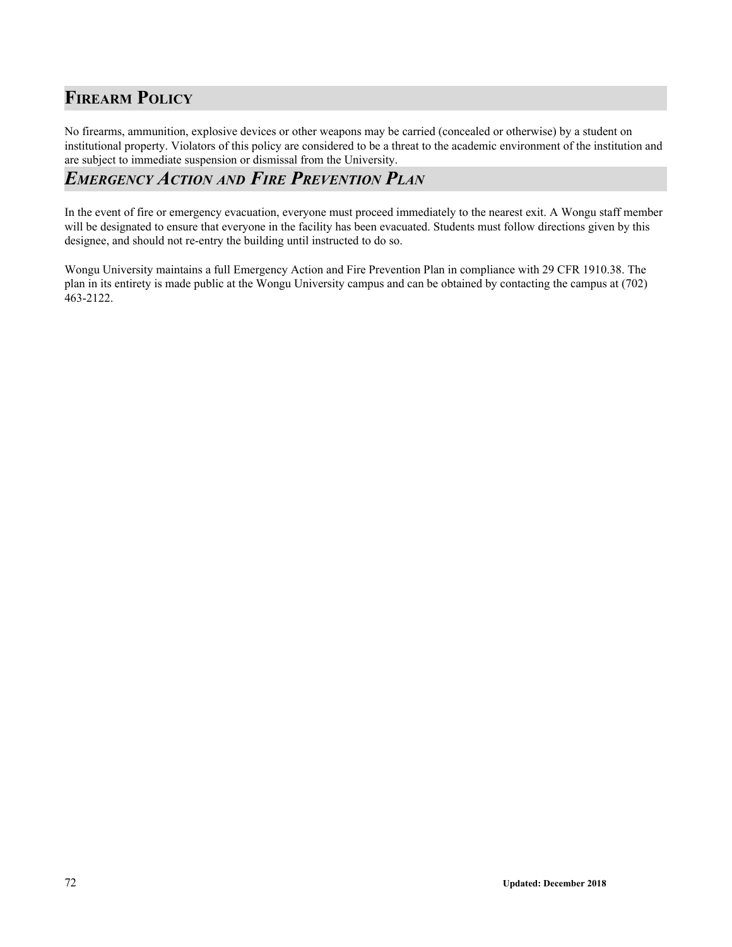## **FIREARM POLICY**

No firearms, ammunition, explosive devices or other weapons may be carried (concealed or otherwise) by a student on institutional property. Violators of this policy are considered to be a threat to the academic environment of the institution and are subject to immediate suspension or dismissal from the University.

## *EMERGENCY ACTION AND FIRE PREVENTION PLAN*

In the event of fire or emergency evacuation, everyone must proceed immediately to the nearest exit. A Wongu staff member will be designated to ensure that everyone in the facility has been evacuated. Students must follow directions given by this designee, and should not re-entry the building until instructed to do so.

Wongu University maintains a full Emergency Action and Fire Prevention Plan in compliance with 29 CFR 1910.38. The plan in its entirety is made public at the Wongu University campus and can be obtained by contacting the campus at (702) 463-2122.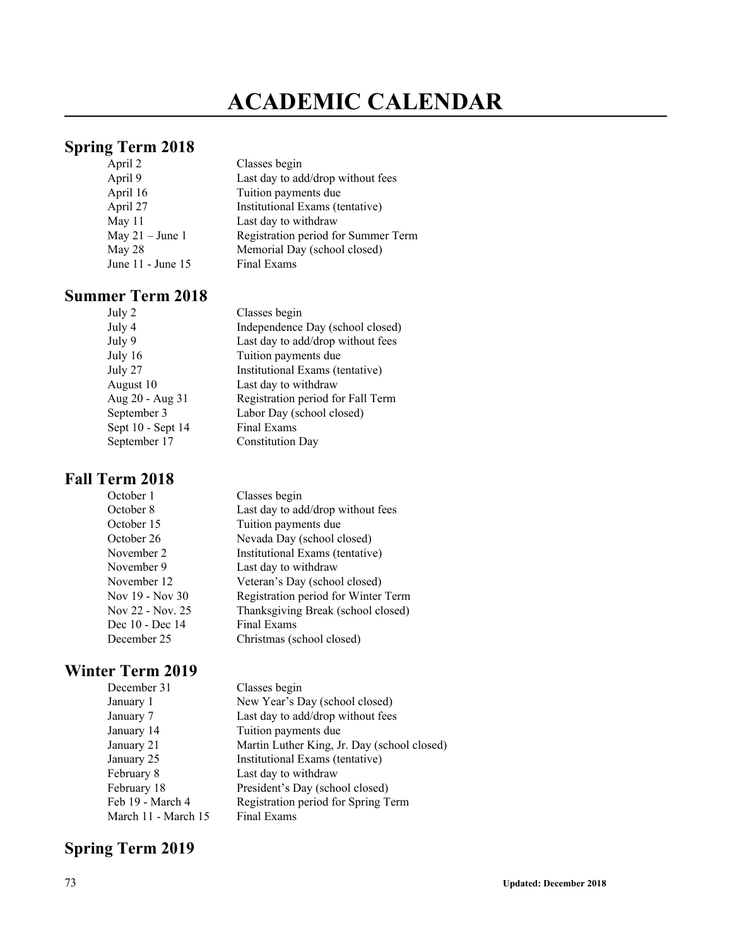## **ACADEMIC CALENDAR**

### **Spring Term 2018**

| April 2           | Classes begin                       |
|-------------------|-------------------------------------|
| April 9           | Last day to add/drop without fees   |
| April 16          | Tuition payments due                |
| April 27          | Institutional Exams (tentative)     |
| May 11            | Last day to withdraw                |
| May $21 -$ June 1 | Registration period for Summer Term |
| May 28            | Memorial Day (school closed)        |
| June 11 - June 15 | Final Exams                         |

#### **Summer Term 2018**

| July 2            | Classes begin                     |
|-------------------|-----------------------------------|
| July 4            | Independence Day (school closed)  |
| July 9            | Last day to add/drop without fees |
| July 16           | Tuition payments due              |
| July 27           | Institutional Exams (tentative)   |
| August 10         | Last day to withdraw              |
| Aug 20 - Aug 31   | Registration period for Fall Term |
| September 3       | Labor Day (school closed)         |
| Sept 10 - Sept 14 | Final Exams                       |
| September 17      | <b>Constitution Day</b>           |

#### **Fall Term 2018**

| October 1        | Classes begin                       |
|------------------|-------------------------------------|
| October 8        | Last day to add/drop without fees   |
| October 15       | Tuition payments due                |
| October 26       | Nevada Day (school closed)          |
| November 2       | Institutional Exams (tentative)     |
| November 9       | Last day to withdraw                |
| November 12      | Veteran's Day (school closed)       |
| Nov 19 - Nov 30  | Registration period for Winter Term |
| Nov 22 - Nov. 25 | Thanksgiving Break (school closed)  |
| Dec 10 - Dec 14  | Final Exams                         |
| December 25      | Christmas (school closed)           |
|                  |                                     |

## **Winter Term 2019**<br>December 31

| December 31         | Classes begin                               |
|---------------------|---------------------------------------------|
| January 1           | New Year's Day (school closed)              |
| January 7           | Last day to add/drop without fees           |
| January 14          | Tuition payments due                        |
| January 21          | Martin Luther King, Jr. Day (school closed) |
| January 25          | Institutional Exams (tentative)             |
| February 8          | Last day to withdraw                        |
| February 18         | President's Day (school closed)             |
| Feb 19 - March 4    | Registration period for Spring Term         |
| March 11 - March 15 | Final Exams                                 |

## **Spring Term 2019**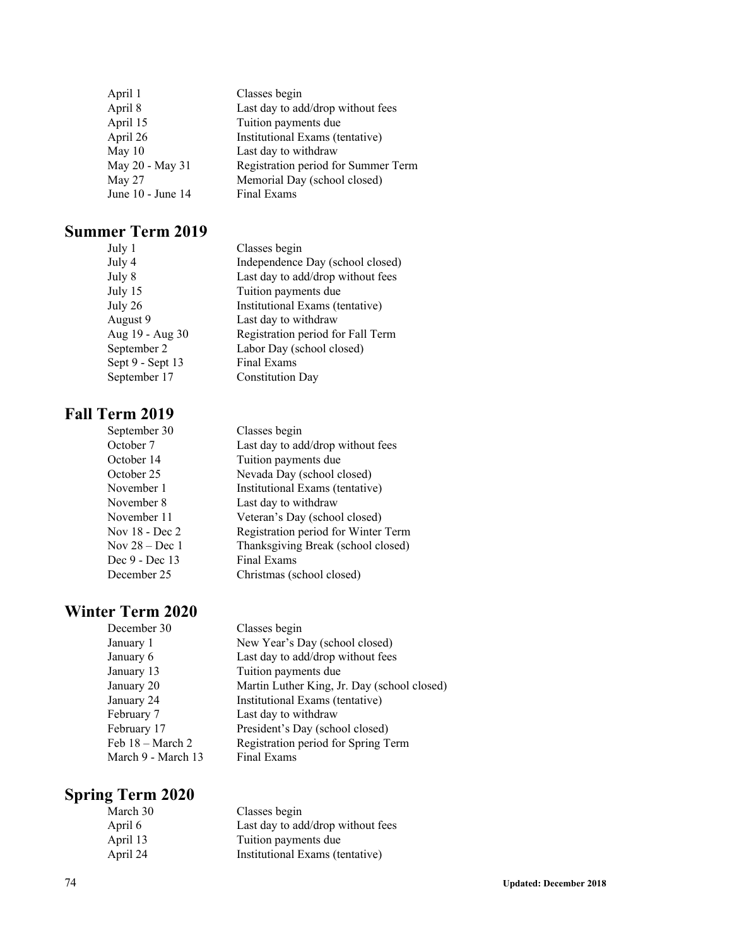| April 1           | Classes begin                       |
|-------------------|-------------------------------------|
| April 8           | Last day to add/drop without fees   |
| April 15          | Tuition payments due                |
| April 26          | Institutional Exams (tentative)     |
| May $10$          | Last day to withdraw                |
| May 20 - May 31   | Registration period for Summer Term |
| May 27            | Memorial Day (school closed)        |
| June 10 - June 14 | Final Exams                         |

#### **Summer Term 2019**

| July 1           | Classes begin                     |
|------------------|-----------------------------------|
| July 4           | Independence Day (school closed)  |
| July 8           | Last day to add/drop without fees |
| July 15          | Tuition payments due              |
| July 26          | Institutional Exams (tentative)   |
| August 9         | Last day to withdraw              |
| Aug 19 - Aug 30  | Registration period for Fall Term |
| September 2      | Labor Day (school closed)         |
| Sept 9 - Sept 13 | Final Exams                       |
| September 17     | <b>Constitution Day</b>           |
|                  |                                   |

#### **Fall Term 2019**

| Classes begin                       |
|-------------------------------------|
| Last day to add/drop without fees   |
| Tuition payments due                |
| Nevada Day (school closed)          |
| Institutional Exams (tentative)     |
| Last day to withdraw                |
| Veteran's Day (school closed)       |
| Registration period for Winter Term |
| Thanksgiving Break (school closed)  |
| Final Exams                         |
| Christmas (school closed)           |
|                                     |

# **Winter Term 2020**<br>December 30

| December 30        | Classes begin                               |
|--------------------|---------------------------------------------|
| January 1          | New Year's Day (school closed)              |
| January 6          | Last day to add/drop without fees           |
| January 13         | Tuition payments due                        |
| January 20         | Martin Luther King, Jr. Day (school closed) |
| January 24         | Institutional Exams (tentative)             |
| February 7         | Last day to withdraw                        |
| February 17        | President's Day (school closed)             |
| Feb 18 - March 2   | Registration period for Spring Term         |
| March 9 - March 13 | Final Exams                                 |

## **Spring Term 2020**

| March 30 | Classes begin                     |
|----------|-----------------------------------|
| April 6  | Last day to add/drop without fees |
| April 13 | Tuition payments due              |
| April 24 | Institutional Exams (tentative)   |
|          |                                   |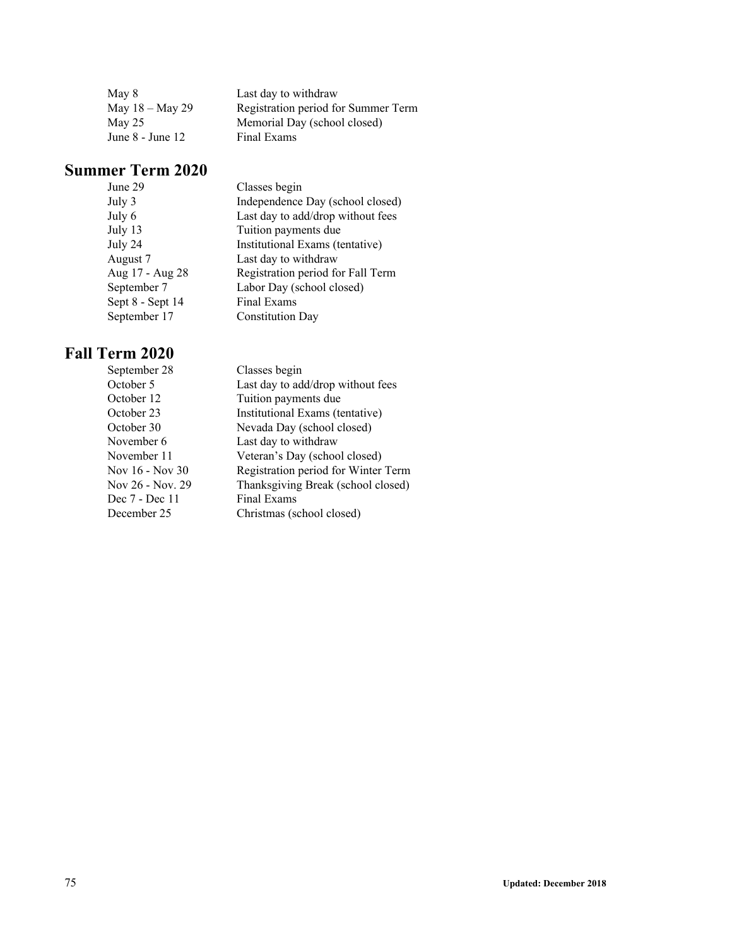| May 8              | Last day to withdraw                |
|--------------------|-------------------------------------|
| May $18 -$ May 29  | Registration period for Summer Term |
| May 25             | Memorial Day (school closed)        |
| June $8$ - June 12 | Final Exams                         |

### **Summer Term 2020**

| June 29          | Classes begin                     |
|------------------|-----------------------------------|
| July 3           | Independence Day (school closed)  |
| July 6           | Last day to add/drop without fees |
| July 13          | Tuition payments due              |
| July 24          | Institutional Exams (tentative)   |
| August 7         | Last day to withdraw              |
| Aug 17 - Aug 28  | Registration period for Fall Term |
| September 7      | Labor Day (school closed)         |
| Sept 8 - Sept 14 | Final Exams                       |
| September 17     | <b>Constitution Day</b>           |
|                  |                                   |

## **Fall Term 2020**

| September 28     | Classes begin                       |
|------------------|-------------------------------------|
| October 5        | Last day to add/drop without fees   |
| October 12       | Tuition payments due                |
| October 23       | Institutional Exams (tentative)     |
| October 30       | Nevada Day (school closed)          |
| November 6       | Last day to withdraw                |
| November 11      | Veteran's Day (school closed)       |
| Nov 16 - Nov 30  | Registration period for Winter Term |
| Nov 26 - Nov. 29 | Thanksgiving Break (school closed)  |
| Dec 7 - Dec 11   | Final Exams                         |
| December 25      | Christmas (school closed)           |
|                  |                                     |